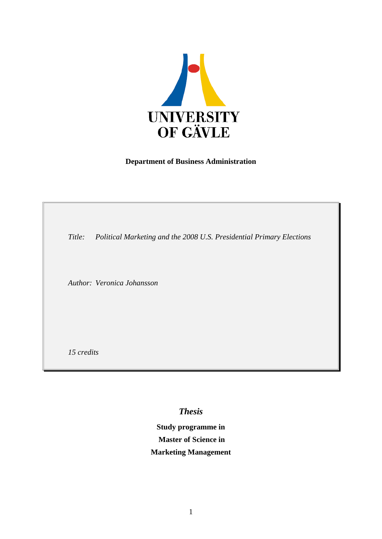

## **Department of Business Administration**

*Title: Political Marketing and the 2008 U.S. Presidential Primary Elections*

*Author: Veronica Johansson*

*15 credits*

*Thesis*

**Study programme in Master of Science in Marketing Management**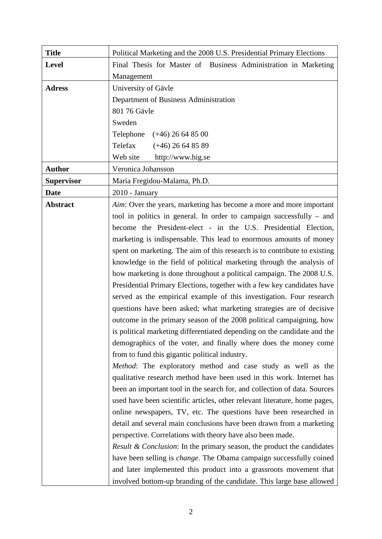| <b>Title</b>      | Political Marketing and the 2008 U.S. Presidential Primary Elections              |
|-------------------|-----------------------------------------------------------------------------------|
| <b>Level</b>      | Final Thesis for Master of Business Administration in Marketing                   |
|                   | Management                                                                        |
| <b>Adress</b>     | University of Gävle                                                               |
|                   | Department of Business Administration                                             |
|                   | 801 76 Gävle                                                                      |
|                   | Sweden                                                                            |
|                   | Telephone $(+46)$ 26 64 85 00                                                     |
|                   | Telefax<br>$(+46)$ 26 64 85 89                                                    |
|                   | Web site<br>http://www.hig.se                                                     |
| <b>Author</b>     | Veronica Johansson                                                                |
| <b>Supervisor</b> | Maria Fregidou-Malama, Ph.D.                                                      |
| <b>Date</b>       | 2010 - January                                                                    |
| <b>Abstract</b>   | Aim: Over the years, marketing has become a more and more important               |
|                   | tool in politics in general. In order to campaign successfully $-$ and            |
|                   | become the President-elect - in the U.S. Presidential Election,                   |
|                   | marketing is indispensable. This lead to enormous amounts of money                |
|                   | spent on marketing. The aim of this research is to contribute to existing         |
|                   | knowledge in the field of political marketing through the analysis of             |
|                   | how marketing is done throughout a political campaign. The 2008 U.S.              |
|                   | Presidential Primary Elections, together with a few key candidates have           |
|                   | served as the empirical example of this investigation. Four research              |
|                   | questions have been asked; what marketing strategies are of decisive              |
|                   | outcome in the primary season of the 2008 political campaigning, how              |
|                   | is political marketing differentiated depending on the candidate and the          |
|                   | demographics of the voter, and finally where does the money come                  |
|                   | from to fund this gigantic political industry.                                    |
|                   | Method: The exploratory method and case study as well as the                      |
|                   | qualitative research method have been used in this work. Internet has             |
|                   | been an important tool in the search for, and collection of data. Sources         |
|                   | used have been scientific articles, other relevant literature, home pages,        |
|                   | online newspapers, TV, etc. The questions have been researched in                 |
|                   | detail and several main conclusions have been drawn from a marketing              |
|                   | perspective. Correlations with theory have also been made.                        |
|                   | <i>Result &amp; Conclusion:</i> In the primary season, the product the candidates |
|                   | have been selling is <i>change</i> . The Obama campaign successfully coined       |
|                   | and later implemented this product into a grassroots movement that                |
|                   | involved bottom-up branding of the candidate. This large base allowed             |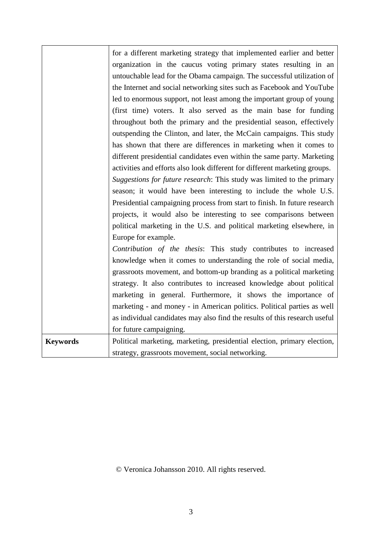|                 | for a different marketing strategy that implemented earlier and better     |
|-----------------|----------------------------------------------------------------------------|
|                 | organization in the caucus voting primary states resulting in an           |
|                 | untouchable lead for the Obama campaign. The successful utilization of     |
|                 | the Internet and social networking sites such as Facebook and YouTube      |
|                 | led to enormous support, not least among the important group of young      |
|                 | (first time) voters. It also served as the main base for funding           |
|                 | throughout both the primary and the presidential season, effectively       |
|                 | outspending the Clinton, and later, the McCain campaigns. This study       |
|                 | has shown that there are differences in marketing when it comes to         |
|                 | different presidential candidates even within the same party. Marketing    |
|                 | activities and efforts also look different for different marketing groups. |
|                 | Suggestions for future research: This study was limited to the primary     |
|                 | season; it would have been interesting to include the whole U.S.           |
|                 | Presidential campaigning process from start to finish. In future research  |
|                 | projects, it would also be interesting to see comparisons between          |
|                 | political marketing in the U.S. and political marketing elsewhere, in      |
|                 | Europe for example.                                                        |
|                 | Contribution of the thesis: This study contributes to increased            |
|                 | knowledge when it comes to understanding the role of social media,         |
|                 | grassroots movement, and bottom-up branding as a political marketing       |
|                 | strategy. It also contributes to increased knowledge about political       |
|                 | marketing in general. Furthermore, it shows the importance of              |
|                 | marketing - and money - in American politics. Political parties as well    |
|                 | as individual candidates may also find the results of this research useful |
|                 | for future campaigning.                                                    |
| <b>Keywords</b> | Political marketing, marketing, presidential election, primary election,   |
|                 | strategy, grassroots movement, social networking.                          |

# © Veronica Johansson 2010. All rights reserved.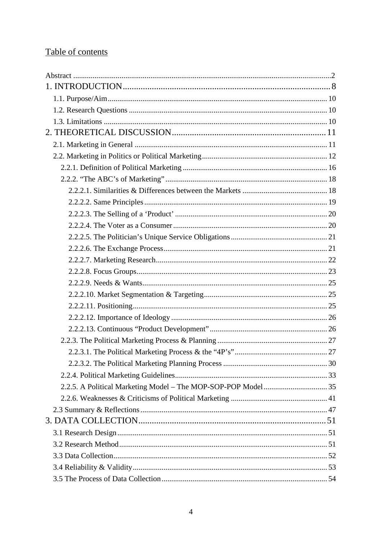# Table of contents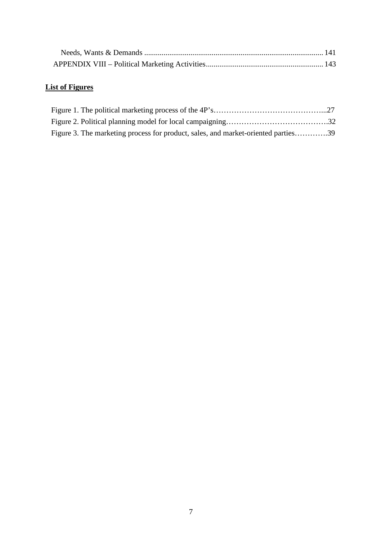# **List of Figures**

| Figure 3. The marketing process for product, sales, and market-oriented parties39 |  |
|-----------------------------------------------------------------------------------|--|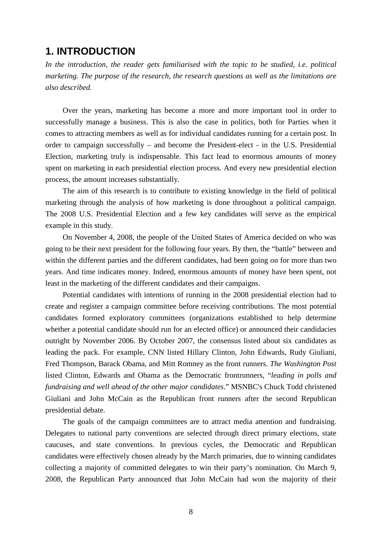# <span id="page-7-0"></span>**1. INTRODUCTION**

*In the introduction, the reader gets familiarised with the topic to be studied, i.e. political marketing. The purpose of the research, the research questions as well as the limitations are also described.*

Over the years, marketing has become a more and more important tool in order to successfully manage a business. This is also the case in politics, both for Parties when it comes to attracting members as well as for individual candidates running for a certain post. In order to campaign successfully – and become the President-elect - in the U.S. Presidential Election, marketing truly is indispensable. This fact lead to enormous amounts of money spent on marketing in each presidential election process. And every new presidential election process, the amount increases substantially.

The aim of this research is to contribute to existing knowledge in the field of political marketing through the analysis of how marketing is done throughout a political campaign. The 2008 U.S. Presidential Election and a few key candidates will serve as the empirical example in this study.

On November 4, 2008, the people of the United States of America decided on who was going to be their next president for the following four years. By then, the "battle" between and within the different parties and the different candidates, had been going on for more than two years. And time indicates money. Indeed, enormous amounts of money have been spent, not least in the marketing of the different candidates and their campaigns.

Potential candidates with intentions of running in the 2008 presidential election had to create and register a campaign committee before receiving contributions. The most potential candidates formed exploratory committees (organizations established to help determine whether a potential candidate should run for an elected office) or announced their candidacies outright by November 2006. By October 2007, the consensus listed about six candidates as leading the pack. For example, CNN listed Hillary Clinton, John Edwards, Rudy Giuliani, Fred Thompson, Barack Obama, and Mitt Romney as the front runners. *The Washington Post* listed Clinton, Edwards and Obama as the Democratic frontrunners, "*leading in polls and fundraising and well ahead of the other major candidates*." MSNBC's Chuck Todd christened Giuliani and John McCain as the Republican front runners after the second Republican presidential debate.

The goals of the campaign committees are to attract media attention and fundraising. Delegates to national party conventions are selected through direct primary elections, state caucuses, and state conventions. In previous cycles, the Democratic and Republican candidates were effectively chosen already by the March primaries, due to winning candidates collecting a majority of committed delegates to win their party's nomination. On March 9, 2008, the Republican Party announced that John McCain had won the majority of their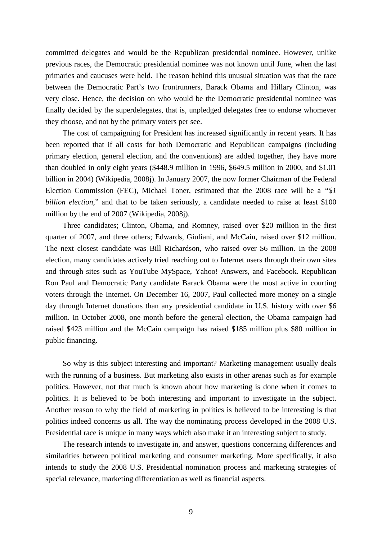committed delegates and would be the Republican presidential nominee. However, unlike previous races, the Democratic presidential nominee was not known until June, when the last primaries and caucuses were held. The reason behind this unusual situation was that the race between the Democratic Part's two frontrunners, Barack Obama and Hillary Clinton, was very close. Hence, the decision on who would be the Democratic presidential nominee was finally decided by the superdelegates, that is, unpledged delegates free to endorse whomever they choose, and not by the primary voters per see.

The cost of campaigning for President has increased significantly in recent years. It has been reported that if all costs for both Democratic and Republican campaigns (including primary election, general election, and the conventions) are added together, they have more than doubled in only eight years (\$448.9 million in 1996, \$649.5 million in 2000, and \$1.01 billion in 2004) (Wikipedia, 2008j). In January 2007, the now former Chairman of the Federal Election Commission (FEC), Michael Toner, estimated that the 2008 race will be a *"\$1 billion election*," and that to be taken seriously, a candidate needed to raise at least \$100 million by the end of 2007 (Wikipedia, 2008j).

Three candidates; Clinton, Obama, and Romney, raised over \$20 million in the first quarter of 2007, and three others; Edwards, Giuliani, and McCain, raised over \$12 million. The next closest candidate was Bill Richardson, who raised over \$6 million. In the 2008 election, many candidates actively tried reaching out to Internet users through their own sites and through sites such as YouTube MySpace, Yahoo! Answers, and Facebook. Republican Ron Paul and Democratic Party candidate Barack Obama were the most active in courting voters through the Internet. On December 16, 2007, Paul collected more money on a single day through Internet donations than any presidential candidate in U.S. history with over \$6 million. In October 2008, one month before the general election, the Obama campaign had raised \$423 million and the McCain campaign has raised \$185 million plus \$80 million in public financing.

So why is this subject interesting and important? Marketing management usually deals with the running of a business. But marketing also exists in other arenas such as for example politics. However, not that much is known about how marketing is done when it comes to politics. It is believed to be both interesting and important to investigate in the subject. Another reason to why the field of marketing in politics is believed to be interesting is that politics indeed concerns us all. The way the nominating process developed in the 2008 U.S. Presidential race is unique in many ways which also make it an interesting subject to study.

The research intends to investigate in, and answer, questions concerning differences and similarities between political marketing and consumer marketing. More specifically, it also intends to study the 2008 U.S. Presidential nomination process and marketing strategies of special relevance, marketing differentiation as well as financial aspects.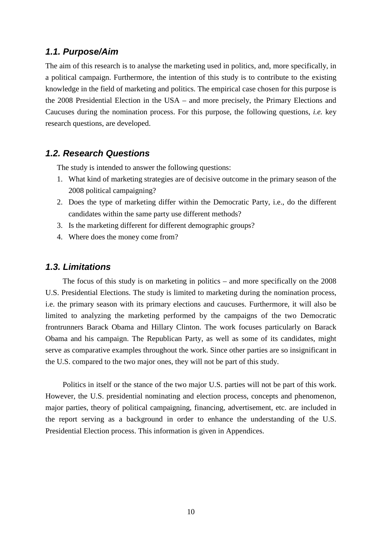## <span id="page-9-0"></span>*1.1. Purpose/Aim*

The aim of this research is to analyse the marketing used in politics, and, more specifically, in a political campaign. Furthermore, the intention of this study is to contribute to the existing knowledge in the field of marketing and politics. The empirical case chosen for this purpose is the 2008 Presidential Election in the USA – and more precisely, the Primary Elections and Caucuses during the nomination process. For this purpose, the following questions, *i.e.* key research questions, are developed.

## <span id="page-9-1"></span>*1.2. Research Questions*

The study is intended to answer the following questions:

- 1. What kind of marketing strategies are of decisive outcome in the primary season of the 2008 political campaigning?
- 2. Does the type of marketing differ within the Democratic Party, i.e., do the different candidates within the same party use different methods?
- 3. Is the marketing different for different demographic groups?
- 4. Where does the money come from?

### <span id="page-9-2"></span>*1.3. Limitations*

The focus of this study is on marketing in politics – and more specifically on the 2008 U.S. Presidential Elections. The study is limited to marketing during the nomination process, i.e. the primary season with its primary elections and caucuses. Furthermore, it will also be limited to analyzing the marketing performed by the campaigns of the two Democratic frontrunners Barack Obama and Hillary Clinton. The work focuses particularly on Barack Obama and his campaign. The Republican Party, as well as some of its candidates, might serve as comparative examples throughout the work. Since other parties are so insignificant in the U.S. compared to the two major ones, they will not be part of this study.

Politics in itself or the stance of the two major U.S. parties will not be part of this work. However, the U.S. presidential nominating and election process, concepts and phenomenon, major parties, theory of political campaigning, financing, advertisement, etc. are included in the report serving as a background in order to enhance the understanding of the U.S. Presidential Election process. This information is given in Appendices.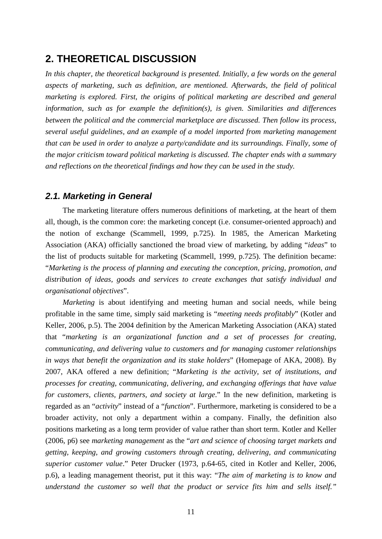# <span id="page-10-0"></span>**2. THEORETICAL DISCUSSION**

*In this chapter, the theoretical background is presented. Initially, a few words on the general aspects of marketing, such as definition, are mentioned. Afterwards, the field of political marketing is explored. First, the origins of political marketing are described and general information, such as for example the definition(s), is given. Similarities and differences between the political and the commercial marketplace are discussed. Then follow its process, several useful guidelines, and an example of a model imported from marketing management that can be used in order to analyze a party/candidate and its surroundings. Finally, some of the major criticism toward political marketing is discussed. The chapter ends with a summary and reflections on the theoretical findings and how they can be used in the study.*

## <span id="page-10-1"></span>*2.1. Marketing in General*

The marketing literature offers numerous definitions of marketing, at the heart of them all, though, is the common core: the marketing concept (i.e. consumer-oriented approach) and the notion of exchange (Scammell, 1999, p.725). In 1985, the American Marketing Association (AKA) officially sanctioned the broad view of marketing, by adding "*ideas*" to the list of products suitable for marketing (Scammell, 1999, p.725). The definition became: "*Marketing is the process of planning and executing the conception, pricing, promotion, and distribution of ideas, goods and services to create exchanges that satisfy individual and organisational objectives*".

*Marketing* is about identifying and meeting human and social needs, while being profitable in the same time, simply said marketing is "*meeting needs profitably*" (Kotler and Keller, 2006, p.5). The 2004 definition by the American Marketing Association (AKA) stated that "*marketing is an organizational function and a set of processes for creating, communicating, and delivering value to customers and for managing customer relationships in ways that benefit the organization and its stake holders*" (Homepage of AKA, 2008). By 2007, AKA offered a new definition; "*Marketing is the activity, set of institutions, and processes for creating, communicating, delivering, and exchanging offerings that have value for customers, clients, partners, and society at large*." In the new definition, marketing is regarded as an "*activity*" instead of a "*function*". Furthermore, marketing is considered to be a broader activity, not only a department within a company. Finally, the definition also positions marketing as a long term provider of value rather than short term. Kotler and Keller (2006, p6) see *marketing management* as the "*art and science of choosing target markets and getting, keeping, and growing customers through creating, delivering, and communicating superior customer value*." Peter Drucker (1973, p.64-65, cited in Kotler and Keller, 2006, p.6), a leading management theorist, put it this way: "*The aim of marketing is to know and understand the customer so well that the product or service fits him and sells itself."*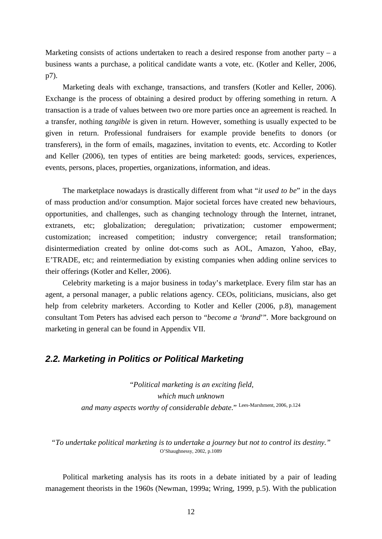Marketing consists of actions undertaken to reach a desired response from another party – a business wants a purchase, a political candidate wants a vote, etc. (Kotler and Keller, 2006, p7).

Marketing deals with exchange, transactions, and transfers (Kotler and Keller, 2006). Exchange is the process of obtaining a desired product by offering something in return. A transaction is a trade of values between two ore more parties once an agreement is reached. In a transfer, nothing *tangible* is given in return. However, something is usually expected to be given in return. Professional fundraisers for example provide benefits to donors (or transferers), in the form of emails, magazines, invitation to events, etc. According to Kotler and Keller (2006), ten types of entities are being marketed: goods, services, experiences, events, persons, places, properties, organizations, information, and ideas.

The marketplace nowadays is drastically different from what "*it used to be*" in the days of mass production and/or consumption. Major societal forces have created new behaviours, opportunities, and challenges, such as changing technology through the Internet, intranet, extranets, etc; globalization; deregulation; privatization; customer empowerment; customization; increased competition; industry convergence; retail transformation; disintermediation created by online dot-coms such as AOL, Amazon, Yahoo, eBay, E'TRADE, etc; and reintermediation by existing companies when adding online services to their offerings (Kotler and Keller, 2006).

Celebrity marketing is a major business in today's marketplace. Every film star has an agent, a personal manager, a public relations agency. CEOs, politicians, musicians, also get help from celebrity marketers. According to Kotler and Keller (2006, p.8), management consultant Tom Peters has advised each person to "*become a 'brand*'". More background on marketing in general can be found in Appendix VII.

## <span id="page-11-0"></span>*2.2. Marketing in Politics or Political Marketing*

"*Political marketing is an exciting field, which much unknown and many aspects worthy of considerable debate*." Lees-Marshment, 2006, p.124

*"To undertake political marketing is to undertake a journey but not to control its destiny."* O'Shaughnessy, 2002, p.1089

Political marketing analysis has its roots in a debate initiated by a pair of leading management theorists in the 1960s (Newman, 1999a; Wring, 1999, p.5). With the publication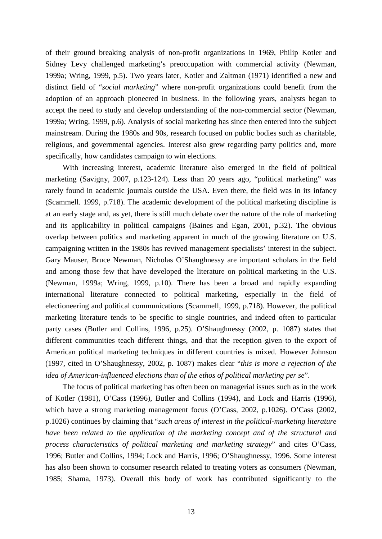of their ground breaking analysis of non-profit organizations in 1969, Philip Kotler and Sidney Levy challenged marketing's preoccupation with commercial activity (Newman, 1999a; Wring, 1999, p.5). Two years later, Kotler and Zaltman (1971) identified a new and distinct field of "*social marketing*" where non-profit organizations could benefit from the adoption of an approach pioneered in business. In the following years, analysts began to accept the need to study and develop understanding of the non-commercial sector (Newman, 1999a; Wring, 1999, p.6). Analysis of social marketing has since then entered into the subject mainstream. During the 1980s and 90s, research focused on public bodies such as charitable, religious, and governmental agencies. Interest also grew regarding party politics and, more specifically, how candidates campaign to win elections.

With increasing interest, academic literature also emerged in the field of political marketing (Savigny, 2007, p.123-124). Less than 20 years ago, "political marketing" was rarely found in academic journals outside the USA. Even there, the field was in its infancy (Scammell. 1999, p.718). The academic development of the political marketing discipline is at an early stage and, as yet, there is still much debate over the nature of the role of marketing and its applicability in political campaigns (Baines and Egan, 2001, p.32). The obvious overlap between politics and marketing apparent in much of the growing literature on U.S. campaigning written in the 1980s has revived management specialists' interest in the subject. Gary Mauser, Bruce Newman, Nicholas O'Shaughnessy are important scholars in the field and among those few that have developed the literature on political marketing in the U.S. (Newman, 1999a; Wring, 1999, p.10). There has been a broad and rapidly expanding international literature connected to political marketing, especially in the field of electioneering and political communications (Scammell, 1999, p.718). However, the political marketing literature tends to be specific to single countries, and indeed often to particular party cases (Butler and Collins, 1996, p.25). O'Shaughnessy (2002, p. 1087) states that different communities teach different things, and that the reception given to the export of American political marketing techniques in different countries is mixed. However Johnson (1997, cited in O'Shaughnessy, 2002, p. 1087) makes clear "*this is more a rejection of the idea of American-influenced elections than of the ethos of political marketing per se*".

The focus of political marketing has often been on managerial issues such as in the work of Kotler (1981), O'Cass (1996), Butler and Collins (1994), and Lock and Harris (1996), which have a strong marketing management focus (O'Cass, 2002, p.1026). O'Cass (2002, p.1026) continues by claiming that "*such areas of interest in the political-marketing literature have been related to the application of the marketing concept and of the structural and process characteristics of political marketing and marketing strategy*" and cites O'Cass, 1996; Butler and Collins, 1994; Lock and Harris, 1996; O'Shaughnessy, 1996. Some interest has also been shown to consumer research related to treating voters as consumers (Newman, 1985; Shama, 1973). Overall this body of work has contributed significantly to the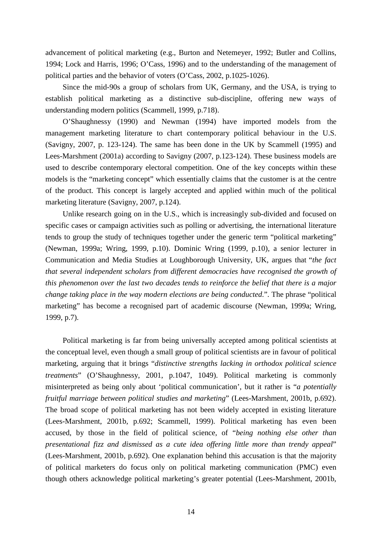advancement of political marketing (e.g., Burton and Netemeyer, 1992; Butler and Collins, 1994; Lock and Harris, 1996; O'Cass, 1996) and to the understanding of the management of political parties and the behavior of voters (O'Cass, 2002, p.1025-1026).

Since the mid-90s a group of scholars from UK, Germany, and the USA, is trying to establish political marketing as a distinctive sub-discipline, offering new ways of understanding modern politics (Scammell, 1999, p.718).

O'Shaughnessy (1990) and Newman (1994) have imported models from the management marketing literature to chart contemporary political behaviour in the U.S. (Savigny, 2007, p. 123-124). The same has been done in the UK by Scammell (1995) and Lees-Marshment (2001a) according to Savigny (2007, p.123-124). These business models are used to describe contemporary electoral competition. One of the key concepts within these models is the "marketing concept" which essentially claims that the customer is at the centre of the product. This concept is largely accepted and applied within much of the political marketing literature (Savigny, 2007, p.124).

Unlike research going on in the U.S., which is increasingly sub-divided and focused on specific cases or campaign activities such as polling or advertising, the international literature tends to group the study of techniques together under the generic term "political marketing" (Newman, 1999a; Wring, 1999, p.10). Dominic Wring (1999, p.10), a senior lecturer in Communication and Media Studies at Loughborough University, UK, argues that "*the fact that several independent scholars from different democracies have recognised the growth of this phenomenon over the last two decades tends to reinforce the belief that there is a major change taking place in the way modern elections are being conducted*.". The phrase "political marketing" has become a recognised part of academic discourse (Newman, 1999a; Wring, 1999, p.7).

Political marketing is far from being universally accepted among political scientists at the conceptual level, even though a small group of political scientists are in favour of political marketing, arguing that it brings "*distinctive strengths lacking in orthodox political science treatments*" (O'Shaughnessy, 2001, p.1047, 1049). Political marketing is commonly misinterpreted as being only about 'political communication', but it rather is "*a potentially fruitful marriage between political studies and marketing*" (Lees-Marshment, 2001b, p.692). The broad scope of political marketing has not been widely accepted in existing literature (Lees-Marshment, 2001b, p.692; Scammell, 1999). Political marketing has even been accused, by those in the field of political science, of "*being nothing else other than presentational fizz and dismissed as a cute idea offering little more than trendy appeal*" (Lees-Marshment, 2001b, p.692). One explanation behind this accusation is that the majority of political marketers do focus only on political marketing communication (PMC) even though others acknowledge political marketing's greater potential (Lees-Marshment, 2001b,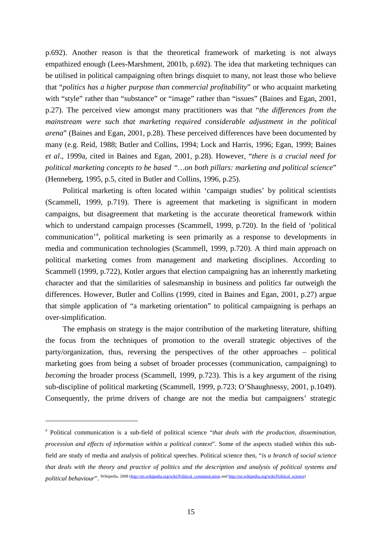p.692). Another reason is that the theoretical framework of marketing is not always empathized enough (Lees-Marshment, 2001b, p.692). The idea that marketing techniques can be utilised in political campaigning often brings disquiet to many, not least those who believe that "*politics has a higher purpose than commercial profitability*" or who acquaint marketing with "style" rather than "substance" or "image" rather than "issues" (Baines and Egan, 2001, p.27). The perceived view amongst many practitioners was that "*the differences from the mainstream were such that marketing required considerable adjustment in the political arena*" (Baines and Egan, 2001, p.28). These perceived differences have been documented by many (e.g. Reid, 1988; Butler and Collins, 1994; Lock and Harris, 1996; Egan, 1999; Baines *et al*., 1999a, cited in Baines and Egan, 2001, p.28). However, "*there is a crucial need for political marketing concepts to be based "…on both pillars: marketing and political science*" (Henneberg, 1995, p.5, cited in Butler and Collins, 1996, p.25).

Political marketing is often located within 'campaign studies' by political scientists (Scammell, 1999, p.719). There is agreement that marketing is significant in modern campaigns, but disagreement that marketing is the accurate theoretical framework within which to understand campaign processes (Scammell, 1999, p.720). In the field of 'political communic[a](#page-14-0)tion'<sup>a</sup>, political marketing is seen primarily as a response to developments in media and communication technologies (Scammell, 1999, p.720). A third main approach on political marketing comes from management and marketing disciplines. According to Scammell (1999, p.722), Kotler argues that election campaigning has an inherently marketing character and that the similarities of salesmanship in business and politics far outweigh the differences. However, Butler and Collins (1999, cited in Baines and Egan, 2001, p.27) argue that simple application of "a marketing orientation" to political campaigning is perhaps an over-simplification.

The emphasis on strategy is the major contribution of the marketing literature, shifting the focus from the techniques of promotion to the overall strategic objectives of the party/organization, thus, reversing the perspectives of the other approaches – political marketing goes from being a subset of broader processes (communication, campaigning) to *becoming* the broader process (Scammell, 1999, p.723). This is a key argument of the rising sub-discipline of political marketing (Scammell, 1999, p.723; O'Shaughnessy, 2001, p.1049). Consequently, the prime drivers of change are not the media but campaigners' strategic

 $\overline{a}$ 

<span id="page-14-0"></span><sup>a</sup> Political communication is a sub-field of political science "*that deals with the production, dissemination, procession and effects of information within a political context*". Some of the aspects studied within this subfield are study of media and analysis of political speeches. Political science then, "*is a branch of social science that deals with the theory and practice of politics and the description and analysis of political systems and political behaviour*". Wikipedia, 2008 [\(http://en.wikipedia.org/wiki/Political\\_communication](http://en.wikipedia.org/wiki/Political_communication) an[d http://en.wikipedia.org/wiki/Political\\_science\)](http://en.wikipedia.org/wiki/Political_science)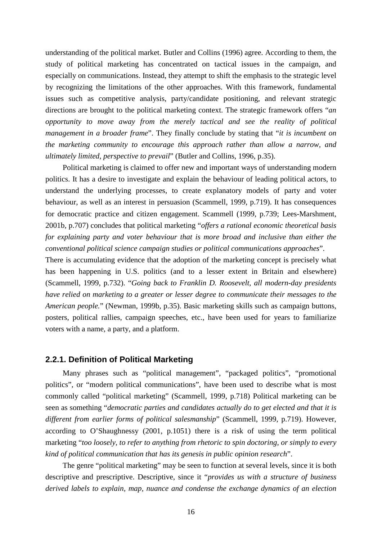understanding of the political market. Butler and Collins (1996) agree. According to them, the study of political marketing has concentrated on tactical issues in the campaign, and especially on communications. Instead, they attempt to shift the emphasis to the strategic level by recognizing the limitations of the other approaches. With this framework, fundamental issues such as competitive analysis, party/candidate positioning, and relevant strategic directions are brought to the political marketing context. The strategic framework offers "*an opportunity to move away from the merely tactical and see the reality of political management in a broader frame*". They finally conclude by stating that "*it is incumbent on the marketing community to encourage this approach rather than allow a narrow, and ultimately limited, perspective to prevail*" (Butler and Collins, 1996, p.35).

Political marketing is claimed to offer new and important ways of understanding modern politics. It has a desire to investigate and explain the behaviour of leading political actors, to understand the underlying processes, to create explanatory models of party and voter behaviour, as well as an interest in persuasion (Scammell, 1999, p.719). It has consequences for democratic practice and citizen engagement. Scammell (1999, p.739; Lees-Marshment, 2001b, p.707) concludes that political marketing "*offers a rational economic theoretical basis for explaining party and voter behaviour that is more broad and inclusive than either the conventional political science campaign studies or political communications approaches*".

There is accumulating evidence that the adoption of the marketing concept is precisely what has been happening in U.S. politics (and to a lesser extent in Britain and elsewhere) (Scammell, 1999, p.732). "*Going back to Franklin D. Roosevelt, all modern-day presidents have relied on marketing to a greater or lesser degree to communicate their messages to the American people.*" (Newman, 1999b, p.35). Basic marketing skills such as campaign buttons, posters, political rallies, campaign speeches, etc., have been used for years to familiarize voters with a name, a party, and a platform.

#### <span id="page-15-0"></span>**2.2.1. Definition of Political Marketing**

Many phrases such as "political management", "packaged politics", "promotional politics", or "modern political communications", have been used to describe what is most commonly called "political marketing" (Scammell, 1999, p.718) Political marketing can be seen as something "*democratic parties and candidates actually do to get elected and that it is different from earlier forms of political salesmanship*" (Scammell, 1999, p.719). However, according to O'Shaughnessy (2001, p.1051) there is a risk of using the term political marketing "*too loosely, to refer to anything from rhetoric to spin doctoring, or simply to every kind of political communication that has its genesis in public opinion research*".

The genre "political marketing" may be seen to function at several levels, since it is both descriptive and prescriptive. Descriptive, since it "*provides us with a structure of business derived labels to explain, map, nuance and condense the exchange dynamics of an election*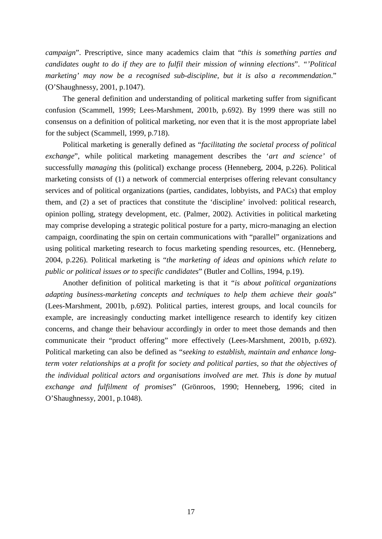*campaign*". Prescriptive, since many academics claim that "*this is something parties and candidates ought to do if they are to fulfil their mission of winning elections*". *"'Political marketing' may now be a recognised sub-discipline, but it is also a recommendation*." (O'Shaughnessy, 2001, p.1047).

The general definition and understanding of political marketing suffer from significant confusion (Scammell, 1999; Lees-Marshment, 2001b, p.692). By 1999 there was still no consensus on a definition of political marketing, nor even that it is the most appropriate label for the subject (Scammell, 1999, p.718).

Political marketing is generally defined as "*facilitating the societal process of political exchange*", while political marketing management describes the '*art and science'* of successfully *managing* this (political) exchange process (Henneberg, 2004, p.226). Political marketing consists of (1) a network of commercial enterprises offering relevant consultancy services and of political organizations (parties, candidates, lobbyists, and PACs) that employ them, and (2) a set of practices that constitute the 'discipline' involved: political research, opinion polling, strategy development, etc. (Palmer, 2002). Activities in political marketing may comprise developing a strategic political posture for a party, micro-managing an election campaign, coordinating the spin on certain communications with "parallel" organizations and using political marketing research to focus marketing spending resources, etc. (Henneberg, 2004, p.226). Political marketing is "*the marketing of ideas and opinions which relate to public or political issues or to specific candidates*" (Butler and Collins, 1994, p.19).

Another definition of political marketing is that it "*is about political organizations adapting business-marketing concepts and techniques to help them achieve their goals*" (Lees-Marshment, 2001b, p.692). Political parties, interest groups, and local councils for example, are increasingly conducting market intelligence research to identify key citizen concerns, and change their behaviour accordingly in order to meet those demands and then communicate their "product offering" more effectively (Lees-Marshment, 2001b, p.692). Political marketing can also be defined as "*seeking to establish, maintain and enhance longterm voter relationships at a profit for society and political parties, so that the objectives of the individual political actors and organisations involved are met. This is done by mutual exchange and fulfilment of promises*" (Grönroos, 1990; Henneberg, 1996; cited in O'Shaughnessy, 2001, p.1048).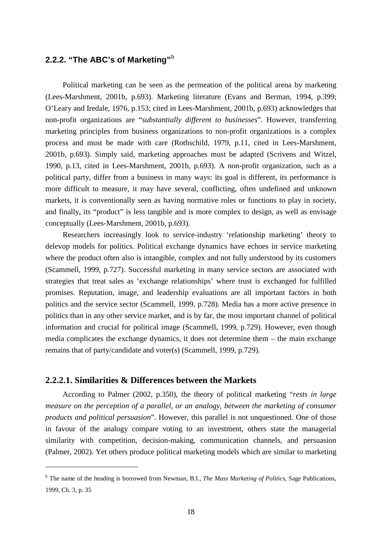# <span id="page-17-0"></span>**2.2.2. "The ABC's of Marketing"**[b](#page-17-2)

Political marketing can be seen as the permeation of the political arena by marketing (Lees-Marshment, 2001b, p.693). Marketing literature (Evans and Berman, 1994, p.399; O'Leary and Iredale, 1976, p.153; cited in Lees-Marshment, 2001b, p.693) acknowledges that non-profit organizations are "*substantially different to businesses*". However, transferring marketing principles from business organizations to non-profit organizations is a complex process and must be made with care (Rothschild, 1979, p.11, cited in Lees-Marshment, 2001b, p.693). Simply said, marketing approaches must be adapted (Scrivens and Witzel, 1990, p.13, cited in Lees-Marshment, 2001b, p.693). A non-profit organization, such as a political party, differ from a business in many ways: its goal is different, its performance is more difficult to measure, it may have several, conflicting, often undefined and unknown markets, it is conventionally seen as having normative roles or functions to play in society, and finally, its "product" is less tangible and is more complex to design, as well as envisage conceptually (Lees-Marshment, 2001b, p.693).

Researchers increasingly look to service-industry 'relationship marketing' theory to delevop models for politics. Political exchange dynamics have echoes in service marketing where the product often also is intangible, complex and not fully understood by its customers (Scammell, 1999, p.727). Successful marketing in many service sectors are associated with strategies that treat sales as 'exchange relationships' where trust is exchanged for fulfilled promises. Reputation, image, and leadership evaluations are all important factors in both politics and the service sector (Scammell, 1999, p.728). Media has a more active presence in politics than in any other service market, and is by far, the most important channel of political information and crucial for political image (Scammell, 1999, p.729). However, even though media complicates the exchange dynamics, it does not determine them – the main exchange remains that of party/candidate and voter(s) (Scammell, 1999, p.729).

#### <span id="page-17-1"></span>**2.2.2.1. Similarities & Differences between the Markets**

 $\overline{a}$ 

According to Palmer (2002, p.350), the theory of political marketing "*rests in large measure on the perception of a parallel, or an analogy, between the marketing of consumer products and political persuasion*". However, this parallel is not unquestioned. One of those in favour of the analogy compare voting to an investment, others state the managerial similarity with competition, decision-making, communication channels, and persuasion (Palmer, 2002). Yet others produce political marketing models which are similar to marketing

<span id="page-17-2"></span><sup>b</sup> The name of the heading is borrowed from Newman, B.I., *The Mass Marketing of Politics*, Sage Publications, 1999, Ch. 3, p. 35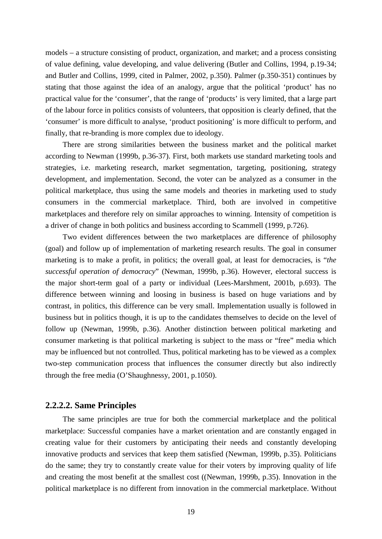models – a structure consisting of product, organization, and market; and a process consisting of value defining, value developing, and value delivering (Butler and Collins, 1994, p.19-34; and Butler and Collins, 1999, cited in Palmer, 2002, p.350). Palmer (p.350-351) continues by stating that those against the idea of an analogy, argue that the political 'product' has no practical value for the 'consumer', that the range of 'products' is very limited, that a large part of the labour force in politics consists of volunteers, that opposition is clearly defined, that the 'consumer' is more difficult to analyse, 'product positioning' is more difficult to perform, and finally, that re-branding is more complex due to ideology.

There are strong similarities between the business market and the political market according to Newman (1999b, p.36-37). First, both markets use standard marketing tools and strategies, i.e. marketing research, market segmentation, targeting, positioning, strategy development, and implementation. Second, the voter can be analyzed as a consumer in the political marketplace, thus using the same models and theories in marketing used to study consumers in the commercial marketplace. Third, both are involved in competitive marketplaces and therefore rely on similar approaches to winning. Intensity of competition is a driver of change in both politics and business according to Scammell (1999, p.726).

Two evident differences between the two marketplaces are difference of philosophy (goal) and follow up of implementation of marketing research results. The goal in consumer marketing is to make a profit, in politics; the overall goal, at least for democracies, is "*the successful operation of democracy*" (Newman, 1999b, p.36). However, electoral success is the major short-term goal of a party or individual (Lees-Marshment, 2001b, p.693). The difference between winning and loosing in business is based on huge variations and by contrast, in politics, this difference can be very small. Implementation usually is followed in business but in politics though, it is up to the candidates themselves to decide on the level of follow up (Newman, 1999b, p.36). Another distinction between political marketing and consumer marketing is that political marketing is subject to the mass or "free" media which may be influenced but not controlled. Thus, political marketing has to be viewed as a complex two-step communication process that influences the consumer directly but also indirectly through the free media (O'Shaughnessy, 2001, p.1050).

#### <span id="page-18-0"></span>**2.2.2.2. Same Principles**

The same principles are true for both the commercial marketplace and the political marketplace: Successful companies have a market orientation and are constantly engaged in creating value for their customers by anticipating their needs and constantly developing innovative products and services that keep them satisfied (Newman, 1999b, p.35). Politicians do the same; they try to constantly create value for their voters by improving quality of life and creating the most benefit at the smallest cost ((Newman, 1999b, p.35). Innovation in the political marketplace is no different from innovation in the commercial marketplace. Without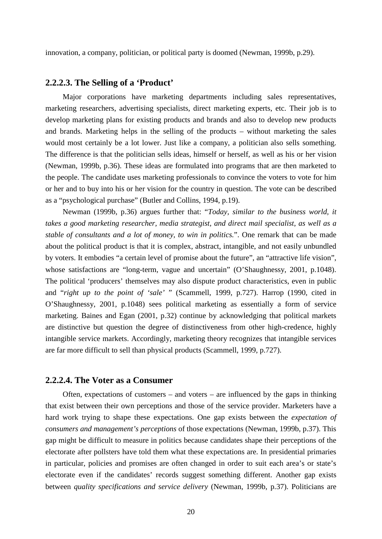innovation, a company, politician, or political party is doomed (Newman, 1999b, p.29).

#### <span id="page-19-0"></span>**2.2.2.3. The Selling of a 'Product'**

Major corporations have marketing departments including sales representatives, marketing researchers, advertising specialists, direct marketing experts, etc. Their job is to develop marketing plans for existing products and brands and also to develop new products and brands. Marketing helps in the selling of the products – without marketing the sales would most certainly be a lot lower. Just like a company, a politician also sells something. The difference is that the politician sells ideas, himself or herself, as well as his or her vision (Newman, 1999b, p.36). These ideas are formulated into programs that are then marketed to the people. The candidate uses marketing professionals to convince the voters to vote for him or her and to buy into his or her vision for the country in question. The vote can be described as a "psychological purchase" (Butler and Collins, 1994, p.19).

Newman (1999b, p.36) argues further that: "*Today, similar to the business world, it takes a good marketing researcher, media strategist, and direct mail specialist, as well as a stable of consultants and a lot of money, to win in politics.*". One remark that can be made about the political product is that it is complex, abstract, intangible, and not easily unbundled by voters. It embodies "a certain level of promise about the future", an "attractive life vision", whose satisfactions are "long-term, vague and uncertain" (O'Shaughnessy, 2001, p.1048). The political 'producers' themselves may also dispute product characteristics, even in public and "*right up to the point of 'sale'* " (Scammell, 1999, p.727). Harrop (1990, cited in O'Shaughnessy, 2001, p.1048) sees political marketing as essentially a form of service marketing. Baines and Egan (2001, p.32) continue by acknowledging that political markets are distinctive but question the degree of distinctiveness from other high-credence, highly intangible service markets. Accordingly, marketing theory recognizes that intangible services are far more difficult to sell than physical products (Scammell, 1999, p.727).

#### <span id="page-19-1"></span>**2.2.2.4. The Voter as a Consumer**

Often, expectations of customers – and voters – are influenced by the gaps in thinking that exist between their own perceptions and those of the service provider. Marketers have a hard work trying to shape these expectations. One gap exists between the *expectation of consumers and management's perceptions* of those expectations (Newman, 1999b, p.37). This gap might be difficult to measure in politics because candidates shape their perceptions of the electorate after pollsters have told them what these expectations are. In presidential primaries in particular, policies and promises are often changed in order to suit each area's or state's electorate even if the candidates' records suggest something different. Another gap exists between *quality specifications and service delivery* (Newman, 1999b, p.37). Politicians are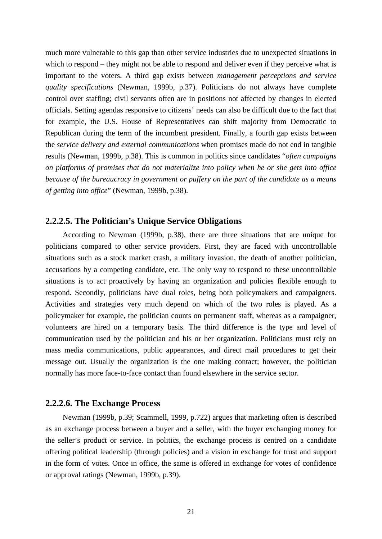much more vulnerable to this gap than other service industries due to unexpected situations in which to respond – they might not be able to respond and deliver even if they perceive what is important to the voters. A third gap exists between *management perceptions and service quality specifications* (Newman, 1999b, p.37). Politicians do not always have complete control over staffing; civil servants often are in positions not affected by changes in elected officials. Setting agendas responsive to citizens' needs can also be difficult due to the fact that for example, the U.S. House of Representatives can shift majority from Democratic to Republican during the term of the incumbent president. Finally, a fourth gap exists between the *service delivery and external communications* when promises made do not end in tangible results (Newman, 1999b, p.38). This is common in politics since candidates "*often campaigns on platforms of promises that do not materialize into policy when he or she gets into office because of the bureaucracy in government or puffery on the part of the candidate as a means of getting into office*" (Newman, 1999b, p.38).

#### <span id="page-20-0"></span>**2.2.2.5. The Politician's Unique Service Obligations**

According to Newman (1999b, p.38), there are three situations that are unique for politicians compared to other service providers. First, they are faced with uncontrollable situations such as a stock market crash, a military invasion, the death of another politician, accusations by a competing candidate, etc. The only way to respond to these uncontrollable situations is to act proactively by having an organization and policies flexible enough to respond. Secondly, politicians have dual roles, being both policymakers and campaigners. Activities and strategies very much depend on which of the two roles is played. As a policymaker for example, the politician counts on permanent staff, whereas as a campaigner, volunteers are hired on a temporary basis. The third difference is the type and level of communication used by the politician and his or her organization. Politicians must rely on mass media communications, public appearances, and direct mail procedures to get their message out. Usually the organization is the one making contact; however, the politician normally has more face-to-face contact than found elsewhere in the service sector.

#### <span id="page-20-1"></span>**2.2.2.6. The Exchange Process**

Newman (1999b, p.39; Scammell, 1999, p.722) argues that marketing often is described as an exchange process between a buyer and a seller, with the buyer exchanging money for the seller's product or service. In politics, the exchange process is centred on a candidate offering political leadership (through policies) and a vision in exchange for trust and support in the form of votes. Once in office, the same is offered in exchange for votes of confidence or approval ratings (Newman, 1999b, p.39).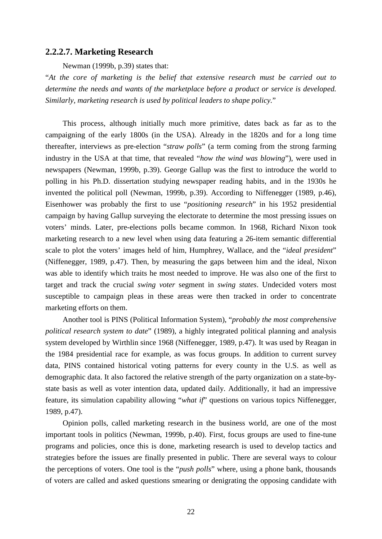#### <span id="page-21-0"></span>**2.2.2.7. Marketing Research**

Newman (1999b, p.39) states that:

"*At the core of marketing is the belief that extensive research must be carried out to determine the needs and wants of the marketplace before a product or service is developed. Similarly, marketing research is used by political leaders to shape policy.*"

This process, although initially much more primitive, dates back as far as to the campaigning of the early 1800s (in the USA). Already in the 1820s and for a long time thereafter, interviews as pre-election "*straw polls*" (a term coming from the strong farming industry in the USA at that time, that revealed "*how the wind was blowing*"), were used in newspapers (Newman, 1999b, p.39). George Gallup was the first to introduce the world to polling in his Ph.D. dissertation studying newspaper reading habits, and in the 1930s he invented the political poll (Newman, 1999b, p.39). According to Niffenegger (1989, p.46), Eisenhower was probably the first to use "*positioning research*" in his 1952 presidential campaign by having Gallup surveying the electorate to determine the most pressing issues on voters' minds. Later, pre-elections polls became common. In 1968, Richard Nixon took marketing research to a new level when using data featuring a 26-item semantic differential scale to plot the voters' images held of him, Humphrey, Wallace, and the "*ideal president*" (Niffenegger, 1989, p.47). Then, by measuring the gaps between him and the ideal, Nixon was able to identify which traits he most needed to improve. He was also one of the first to target and track the crucial *swing voter* segment in *swing states*. Undecided voters most susceptible to campaign pleas in these areas were then tracked in order to concentrate marketing efforts on them.

Another tool is PINS (Political Information System), "*probably the most comprehensive political research system to date*" (1989), a highly integrated political planning and analysis system developed by Wirthlin since 1968 (Niffenegger, 1989, p.47). It was used by Reagan in the 1984 presidential race for example, as was focus groups. In addition to current survey data, PINS contained historical voting patterns for every county in the U.S. as well as demographic data. It also factored the relative strength of the party organization on a state-bystate basis as well as voter intention data, updated daily. Additionally, it had an impressive feature, its simulation capability allowing "*what if*" questions on various topics Niffenegger, 1989, p.47).

Opinion polls, called marketing research in the business world, are one of the most important tools in politics (Newman, 1999b, p.40). First, focus groups are used to fine-tune programs and policies, once this is done, marketing research is used to develop tactics and strategies before the issues are finally presented in public. There are several ways to colour the perceptions of voters. One tool is the "*push polls*" where, using a phone bank, thousands of voters are called and asked questions smearing or denigrating the opposing candidate with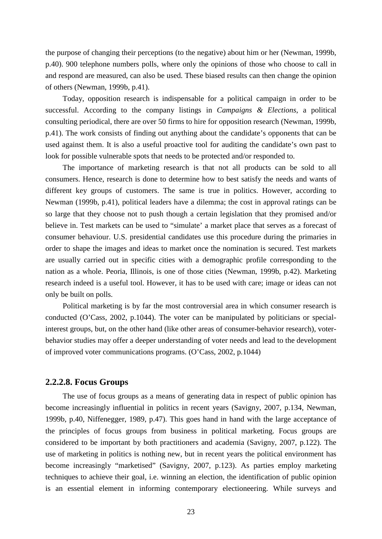the purpose of changing their perceptions (to the negative) about him or her (Newman, 1999b, p.40). 900 telephone numbers polls, where only the opinions of those who choose to call in and respond are measured, can also be used. These biased results can then change the opinion of others (Newman, 1999b, p.41).

Today, opposition research is indispensable for a political campaign in order to be successful. According to the company listings in *Campaigns & Elections*, a political consulting periodical, there are over 50 firms to hire for opposition research (Newman, 1999b, p.41). The work consists of finding out anything about the candidate's opponents that can be used against them. It is also a useful proactive tool for auditing the candidate's own past to look for possible vulnerable spots that needs to be protected and/or responded to.

The importance of marketing research is that not all products can be sold to all consumers. Hence, research is done to determine how to best satisfy the needs and wants of different key groups of customers. The same is true in politics. However, according to Newman (1999b, p.41), political leaders have a dilemma; the cost in approval ratings can be so large that they choose not to push though a certain legislation that they promised and/or believe in. Test markets can be used to "simulate' a market place that serves as a forecast of consumer behaviour. U.S. presidential candidates use this procedure during the primaries in order to shape the images and ideas to market once the nomination is secured. Test markets are usually carried out in specific cities with a demographic profile corresponding to the nation as a whole. Peoria, Illinois, is one of those cities (Newman, 1999b, p.42). Marketing research indeed is a useful tool. However, it has to be used with care; image or ideas can not only be built on polls.

Political marketing is by far the most controversial area in which consumer research is conducted (O'Cass, 2002, p.1044). The voter can be manipulated by politicians or specialinterest groups, but, on the other hand (like other areas of consumer-behavior research), voterbehavior studies may offer a deeper understanding of voter needs and lead to the development of improved voter communications programs. (O'Cass, 2002, p.1044)

#### <span id="page-22-0"></span>**2.2.2.8. Focus Groups**

The use of focus groups as a means of generating data in respect of public opinion has become increasingly influential in politics in recent years (Savigny, 2007, p.134, Newman, 1999b, p.40, Niffenegger, 1989, p.47). This goes hand in hand with the large acceptance of the principles of focus groups from business in political marketing. Focus groups are considered to be important by both practitioners and academia (Savigny, 2007, p.122). The use of marketing in politics is nothing new, but in recent years the political environment has become increasingly "marketised" (Savigny, 2007, p.123). As parties employ marketing techniques to achieve their goal, i.e. winning an election, the identification of public opinion is an essential element in informing contemporary electioneering. While surveys and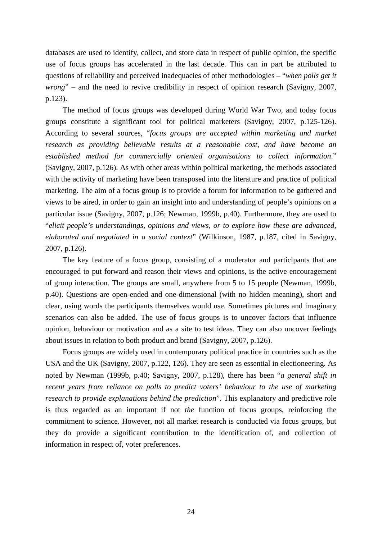databases are used to identify, collect, and store data in respect of public opinion, the specific use of focus groups has accelerated in the last decade. This can in part be attributed to questions of reliability and perceived inadequacies of other methodologies – "*when polls get it wrong*" – and the need to revive credibility in respect of opinion research (Savigny, 2007, p.123).

The method of focus groups was developed during World War Two, and today focus groups constitute a significant tool for political marketers (Savigny, 2007, p.125-126). According to several sources, "*focus groups are accepted within marketing and market research as providing believable results at a reasonable cost, and have become an established method for commercially oriented organisations to collect information*." (Savigny, 2007, p.126). As with other areas within political marketing, the methods associated with the activity of marketing have been transposed into the literature and practice of political marketing. The aim of a focus group is to provide a forum for information to be gathered and views to be aired, in order to gain an insight into and understanding of people's opinions on a particular issue (Savigny, 2007, p.126; Newman, 1999b, p.40). Furthermore, they are used to "*elicit people's understandings, opinions and views, or to explore how these are advanced, elaborated and negotiated in a social context*" (Wilkinson, 1987, p.187, cited in Savigny, 2007, p.126).

The key feature of a focus group, consisting of a moderator and participants that are encouraged to put forward and reason their views and opinions, is the active encouragement of group interaction. The groups are small, anywhere from 5 to 15 people (Newman, 1999b, p.40). Questions are open-ended and one-dimensional (with no hidden meaning), short and clear, using words the participants themselves would use. Sometimes pictures and imaginary scenarios can also be added. The use of focus groups is to uncover factors that influence opinion, behaviour or motivation and as a site to test ideas. They can also uncover feelings about issues in relation to both product and brand (Savigny, 2007, p.126).

Focus groups are widely used in contemporary political practice in countries such as the USA and the UK (Savigny, 2007, p.122, 126). They are seen as essential in electioneering. As noted by Newman (1999b, p.40; Savigny, 2007, p.128), there has been "*a general shift in recent years from reliance on polls to predict voters' behaviour to the use of marketing research to provide explanations behind the prediction*". This explanatory and predictive role is thus regarded as an important if not *the* function of focus groups, reinforcing the commitment to science. However, not all market research is conducted via focus groups, but they do provide a significant contribution to the identification of, and collection of information in respect of, voter preferences.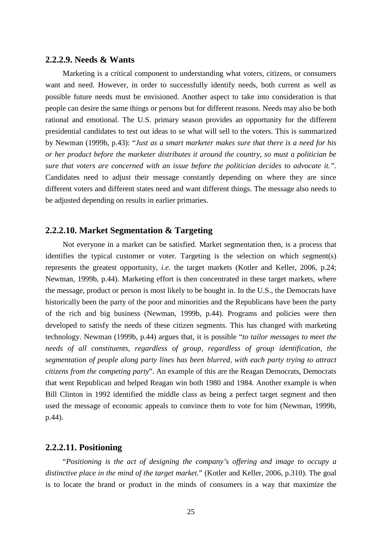#### <span id="page-24-0"></span>**2.2.2.9. Needs & Wants**

Marketing is a critical component to understanding what voters, citizens, or consumers want and need. However, in order to successfully identify needs, both current as well as possible future needs must be envisioned. Another aspect to take into consideration is that people can desire the same things or persons but for different reasons. Needs may also be both rational and emotional. The U.S. primary season provides an opportunity for the different presidential candidates to test out ideas to se what will sell to the voters. This is summarized by Newman (1999b, p.43): "*Just as a smart marketer makes sure that there is a need for his or her product before the marketer distributes it around the country, so must a politician be sure that voters are concerned with an issue before the politician decides to advocate it.".* Candidates need to adjust their message constantly depending on where they are since different voters and different states need and want different things. The message also needs to be adjusted depending on results in earlier primaries.

#### <span id="page-24-1"></span>**2.2.2.10. Market Segmentation & Targeting**

Not everyone in a market can be satisfied. Market segmentation then, is a process that identifies the typical customer or voter. Targeting is the selection on which segment(s) represents the greatest opportunity, *i.e.* the target markets (Kotler and Keller, 2006, p.24; Newman, 1999b, p.44). Marketing effort is then concentrated in these target markets, where the message, product or person is most likely to be bought in. In the U.S., the Democrats have historically been the party of the poor and minorities and the Republicans have been the party of the rich and big business (Newman, 1999b, p.44). Programs and policies were then developed to satisfy the needs of these citizen segments. This has changed with marketing technology. Newman (1999b, p.44) argues that, it is possible "*to tailor messages to meet the needs of all constituents, regardless of group, regardless of group identification, the segmentation of people along party lines has been blurred, with each party trying to attract citizens from the competing party*". An example of this are the Reagan Democrats, Democrats that went Republican and helped Reagan win both 1980 and 1984. Another example is when Bill Clinton in 1992 identified the middle class as being a perfect target segment and then used the message of economic appeals to convince them to vote for him (Newman, 1999b, p.44).

#### <span id="page-24-2"></span>**2.2.2.11. Positioning**

"*Positioning is the act of designing the company's offering and image to occupy a distinctive place in the mind of the target market.*" (Kotler and Keller, 2006, p.310). The goal is to locate the brand or product in the minds of consumers in a way that maximize the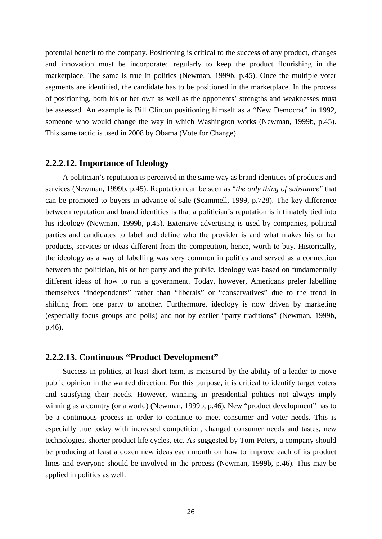potential benefit to the company. Positioning is critical to the success of any product, changes and innovation must be incorporated regularly to keep the product flourishing in the marketplace. The same is true in politics (Newman, 1999b, p.45). Once the multiple voter segments are identified, the candidate has to be positioned in the marketplace. In the process of positioning, both his or her own as well as the opponents' strengths and weaknesses must be assessed. An example is Bill Clinton positioning himself as a "New Democrat" in 1992, someone who would change the way in which Washington works (Newman, 1999b, p.45). This same tactic is used in 2008 by Obama (Vote for Change).

## <span id="page-25-0"></span>**2.2.2.12. Importance of Ideology**

A politician's reputation is perceived in the same way as brand identities of products and services (Newman, 1999b, p.45). Reputation can be seen as "*the only thing of substance*" that can be promoted to buyers in advance of sale (Scammell, 1999, p.728). The key difference between reputation and brand identities is that a politician's reputation is intimately tied into his ideology (Newman, 1999b, p.45). Extensive advertising is used by companies, political parties and candidates to label and define who the provider is and what makes his or her products, services or ideas different from the competition, hence, worth to buy. Historically, the ideology as a way of labelling was very common in politics and served as a connection between the politician, his or her party and the public. Ideology was based on fundamentally different ideas of how to run a government. Today, however, Americans prefer labelling themselves "independents" rather than "liberals" or "conservatives" due to the trend in shifting from one party to another. Furthermore, ideology is now driven by marketing (especially focus groups and polls) and not by earlier "party traditions" (Newman, 1999b, p.46).

#### <span id="page-25-1"></span>**2.2.2.13. Continuous "Product Development"**

Success in politics, at least short term, is measured by the ability of a leader to move public opinion in the wanted direction. For this purpose, it is critical to identify target voters and satisfying their needs. However, winning in presidential politics not always imply winning as a country (or a world) (Newman, 1999b, p.46). New "product development" has to be a continuous process in order to continue to meet consumer and voter needs. This is especially true today with increased competition, changed consumer needs and tastes, new technologies, shorter product life cycles, etc. As suggested by Tom Peters, a company should be producing at least a dozen new ideas each month on how to improve each of its product lines and everyone should be involved in the process (Newman, 1999b, p.46). This may be applied in politics as well.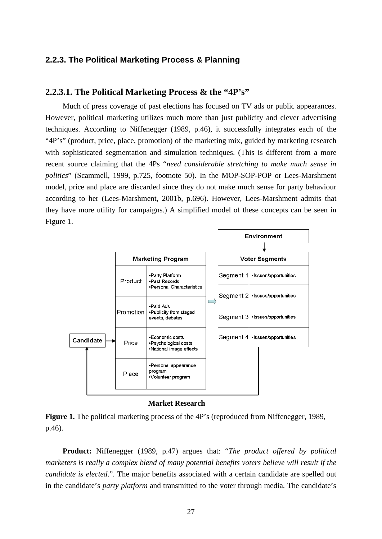### <span id="page-26-0"></span>**2.2.3. The Political Marketing Process & Planning**

#### <span id="page-26-1"></span>**2.2.3.1. The Political Marketing Process & the "4P's"**

Much of press coverage of past elections has focused on TV ads or public appearances. However, political marketing utilizes much more than just publicity and clever advertising techniques. According to Niffenegger (1989, p.46), it successfully integrates each of the "4P's" (product, price, place, promotion) of the marketing mix, guided by marketing research with sophisticated segmentation and simulation techniques. (This is different from a more recent source claiming that the 4Ps "*need considerable stretching to make much sense in politics*" (Scammell, 1999, p.725, footnote 50). In the MOP-SOP-POP or Lees-Marshment model, price and place are discarded since they do not make much sense for party behaviour according to her (Lees-Marshment, 2001b, p.696). However, Lees-Marshment admits that they have more utility for campaigns.) A simplified model of these concepts can be seen in Figure 1.



**Market Research**



**Product:** Niffenegger (1989, p.47) argues that: "*The product offered by political marketers is really a complex blend of many potential benefits voters believe will result if the candidate is elected*.". The major benefits associated with a certain candidate are spelled out in the candidate's *party platform* and transmitted to the voter through media. The candidate's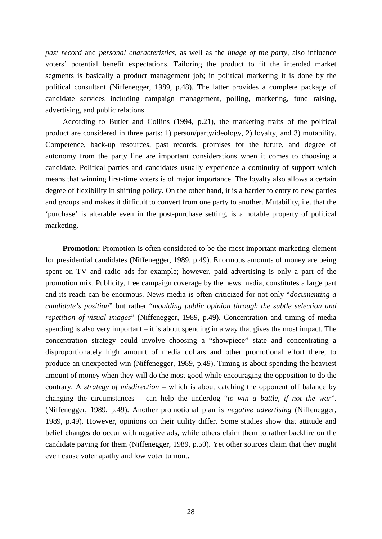*past record* and *personal characteristics*, as well as the *image of the party*, also influence voters' potential benefit expectations. Tailoring the product to fit the intended market segments is basically a product management job; in political marketing it is done by the political consultant (Niffenegger, 1989, p.48). The latter provides a complete package of candidate services including campaign management, polling, marketing, fund raising, advertising, and public relations.

According to Butler and Collins (1994, p.21), the marketing traits of the political product are considered in three parts: 1) person/party/ideology, 2) loyalty, and 3) mutability. Competence, back-up resources, past records, promises for the future, and degree of autonomy from the party line are important considerations when it comes to choosing a candidate. Political parties and candidates usually experience a continuity of support which means that winning first-time voters is of major importance. The loyalty also allows a certain degree of flexibility in shifting policy. On the other hand, it is a barrier to entry to new parties and groups and makes it difficult to convert from one party to another. Mutability, i.e. that the 'purchase' is alterable even in the post-purchase setting, is a notable property of political marketing.

**Promotion:** Promotion is often considered to be the most important marketing element for presidential candidates (Niffenegger, 1989, p.49). Enormous amounts of money are being spent on TV and radio ads for example; however, paid advertising is only a part of the promotion mix. Publicity, free campaign coverage by the news media, constitutes a large part and its reach can be enormous. News media is often criticized for not only "*documenting a candidate's position*" but rather "*moulding public opinion through the subtle selection and repetition of visual images*" (Niffenegger, 1989, p.49). Concentration and timing of media spending is also very important – it is about spending in a way that gives the most impact. The concentration strategy could involve choosing a "showpiece" state and concentrating a disproportionately high amount of media dollars and other promotional effort there, to produce an unexpected win (Niffenegger, 1989, p.49). Timing is about spending the heaviest amount of money when they will do the most good while encouraging the opposition to do the contrary. A *strategy of misdirection* – which is about catching the opponent off balance by changing the circumstances – can help the underdog "*to win a battle, if not the war*". (Niffenegger, 1989, p.49). Another promotional plan is *negative advertising* (Niffenegger, 1989, p.49). However, opinions on their utility differ. Some studies show that attitude and belief changes do occur with negative ads, while others claim them to rather backfire on the candidate paying for them (Niffenegger, 1989, p.50). Yet other sources claim that they might even cause voter apathy and low voter turnout.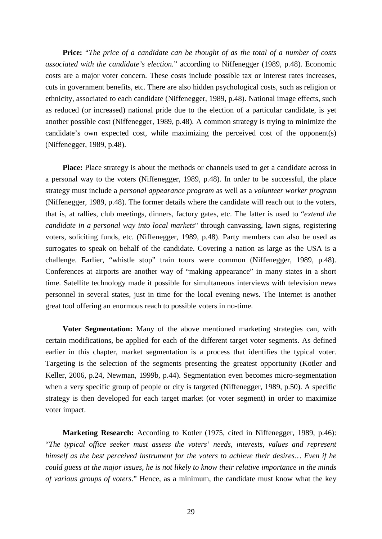**Price:** "*The price of a candidate can be thought of as the total of a number of costs associated with the candidate's election.*" according to Niffenegger (1989, p.48). Economic costs are a major voter concern. These costs include possible tax or interest rates increases, cuts in government benefits, etc. There are also hidden psychological costs, such as religion or ethnicity, associated to each candidate (Niffenegger, 1989, p.48). National image effects, such as reduced (or increased) national pride due to the election of a particular candidate, is yet another possible cost (Niffenegger, 1989, p.48). A common strategy is trying to minimize the candidate's own expected cost, while maximizing the perceived cost of the opponent(s) (Niffenegger, 1989, p.48).

**Place:** Place strategy is about the methods or channels used to get a candidate across in a personal way to the voters (Niffenegger, 1989, p.48). In order to be successful, the place strategy must include a *personal appearance program* as well as a *volunteer worker program*  (Niffenegger, 1989, p.48). The former details where the candidate will reach out to the voters, that is, at rallies, club meetings, dinners, factory gates, etc. The latter is used to "*extend the candidate in a personal way into local markets*" through canvassing, lawn signs, registering voters, soliciting funds, etc. (Niffenegger, 1989, p.48). Party members can also be used as surrogates to speak on behalf of the candidate. Covering a nation as large as the USA is a challenge. Earlier, "whistle stop" train tours were common (Niffenegger, 1989, p.48). Conferences at airports are another way of "making appearance" in many states in a short time. Satellite technology made it possible for simultaneous interviews with television news personnel in several states, just in time for the local evening news. The Internet is another great tool offering an enormous reach to possible voters in no-time.

**Voter Segmentation:** Many of the above mentioned marketing strategies can, with certain modifications, be applied for each of the different target voter segments. As defined earlier in this chapter, market segmentation is a process that identifies the typical voter. Targeting is the selection of the segments presenting the greatest opportunity (Kotler and Keller, 2006, p.24, Newman, 1999b, p.44). Segmentation even becomes micro-segmentation when a very specific group of people or city is targeted (Niffenegger, 1989, p.50). A specific strategy is then developed for each target market (or voter segment) in order to maximize voter impact.

**Marketing Research:** According to Kotler (1975, cited in Niffenegger, 1989, p.46): "*The typical office seeker must assess the voters' needs, interests, values and represent himself as the best perceived instrument for the voters to achieve their desires… Even if he could guess at the major issues, he is not likely to know their relative importance in the minds of various groups of voters*." Hence, as a minimum, the candidate must know what the key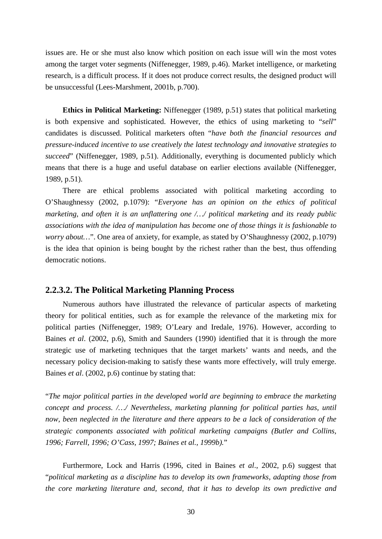issues are. He or she must also know which position on each issue will win the most votes among the target voter segments (Niffenegger, 1989, p.46). Market intelligence, or marketing research, is a difficult process. If it does not produce correct results, the designed product will be unsuccessful (Lees-Marshment, 2001b, p.700).

**Ethics in Political Marketing:** Niffenegger (1989, p.51) states that political marketing is both expensive and sophisticated. However, the ethics of using marketing to "*sell*" candidates is discussed. Political marketers often "*have both the financial resources and pressure-induced incentive to use creatively the latest technology and innovative strategies to succeed*" (Niffenegger, 1989, p.51). Additionally, everything is documented publicly which means that there is a huge and useful database on earlier elections available (Niffenegger, 1989, p.51).

There are ethical problems associated with political marketing according to O'Shaughnessy (2002, p.1079): "*Everyone has an opinion on the ethics of political marketing, and often it is an unflattering one /…/ political marketing and its ready public associations with the idea of manipulation has become one of those things it is fashionable to worry about…*". One area of anxiety, for example, as stated by O'Shaughnessy (2002, p.1079) is the idea that opinion is being bought by the richest rather than the best, thus offending democratic notions.

#### <span id="page-29-0"></span>**2.2.3.2. The Political Marketing Planning Process**

Numerous authors have illustrated the relevance of particular aspects of marketing theory for political entities, such as for example the relevance of the marketing mix for political parties (Niffenegger, 1989; O'Leary and Iredale, 1976). However, according to Baines *et al*. (2002, p.6), Smith and Saunders (1990) identified that it is through the more strategic use of marketing techniques that the target markets' wants and needs, and the necessary policy decision-making to satisfy these wants more effectively, will truly emerge. Baines *et al*. (2002, p.6) continue by stating that:

"*The major political parties in the developed world are beginning to embrace the marketing concept and process. /…/ Nevertheless, marketing planning for political parties has, until now, been neglected in the literature and there appears to be a lack of consideration of the strategic components associated with political marketing campaigns (Butler and Collins, 1996; Farrell, 1996; O'Cass, 1997; Baines et al., 1999b).*"

Furthermore, Lock and Harris (1996, cited in Baines *et al*., 2002, p.6) suggest that "*political marketing as a discipline has to develop its own frameworks, adapting those from the core marketing literature and, second, that it has to develop its own predictive and*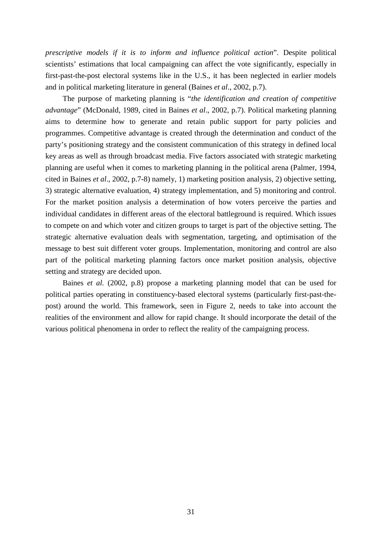*prescriptive models if it is to inform and influence political action*". Despite political scientists' estimations that local campaigning can affect the vote significantly, especially in first-past-the-post electoral systems like in the U.S., it has been neglected in earlier models and in political marketing literature in general (Baines *et al*., 2002, p.7).

The purpose of marketing planning is "*the identification and creation of competitive advantage*" (McDonald, 1989, cited in Baines *et al*., 2002, p.7). Political marketing planning aims to determine how to generate and retain public support for party policies and programmes. Competitive advantage is created through the determination and conduct of the party's positioning strategy and the consistent communication of this strategy in defined local key areas as well as through broadcast media. Five factors associated with strategic marketing planning are useful when it comes to marketing planning in the political arena (Palmer, 1994, cited in Baines *et al*., 2002, p.7-8) namely, 1) marketing position analysis, 2) objective setting, 3) strategic alternative evaluation, 4) strategy implementation, and 5) monitoring and control. For the market position analysis a determination of how voters perceive the parties and individual candidates in different areas of the electoral battleground is required. Which issues to compete on and which voter and citizen groups to target is part of the objective setting. The strategic alternative evaluation deals with segmentation, targeting, and optimisation of the message to best suit different voter groups. Implementation, monitoring and control are also part of the political marketing planning factors once market position analysis, objective setting and strategy are decided upon.

Baines *et al.* (2002, p.8) propose a marketing planning model that can be used for political parties operating in constituency-based electoral systems (particularly first-past-thepost) around the world. This framework, seen in Figure 2, needs to take into account the realities of the environment and allow for rapid change. It should incorporate the detail of the various political phenomena in order to reflect the reality of the campaigning process.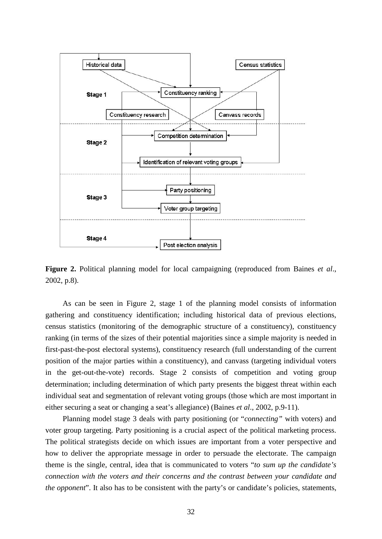

**Figure 2.** Political planning model for local campaigning (reproduced from Baines *et al*., 2002, p.8).

As can be seen in Figure 2, stage 1 of the planning model consists of information gathering and constituency identification; including historical data of previous elections, census statistics (monitoring of the demographic structure of a constituency), constituency ranking (in terms of the sizes of their potential majorities since a simple majority is needed in first-past-the-post electoral systems), constituency research (full understanding of the current position of the major parties within a constituency), and canvass (targeting individual voters in the get-out-the-vote) records. Stage 2 consists of competition and voting group determination; including determination of which party presents the biggest threat within each individual seat and segmentation of relevant voting groups (those which are most important in either securing a seat or changing a seat's allegiance) (Baines *et al*., 2002, p.9-11).

Planning model stage 3 deals with party positioning (or "*connecting"* with voters) and voter group targeting. Party positioning is a crucial aspect of the political marketing process. The political strategists decide on which issues are important from a voter perspective and how to deliver the appropriate message in order to persuade the electorate. The campaign theme is the single, central, idea that is communicated to voters "*to sum up the candidate's connection with the voters and their concerns and the contrast between your candidate and the opponent*". It also has to be consistent with the party's or candidate's policies, statements,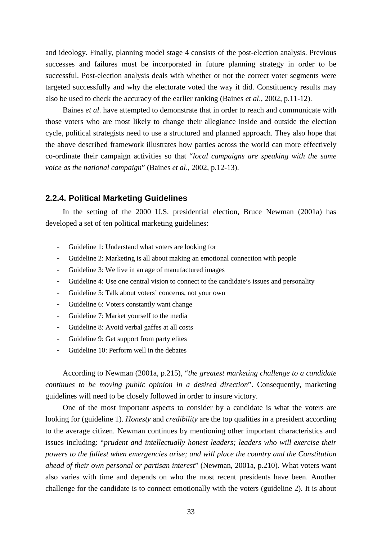and ideology. Finally, planning model stage 4 consists of the post-election analysis. Previous successes and failures must be incorporated in future planning strategy in order to be successful. Post-election analysis deals with whether or not the correct voter segments were targeted successfully and why the electorate voted the way it did. Constituency results may also be used to check the accuracy of the earlier ranking (Baines *et al*., 2002, p.11-12).

Baines *et al*. have attempted to demonstrate that in order to reach and communicate with those voters who are most likely to change their allegiance inside and outside the election cycle, political strategists need to use a structured and planned approach. They also hope that the above described framework illustrates how parties across the world can more effectively co-ordinate their campaign activities so that "*local campaigns are speaking with the same voice as the national campaign*" (Baines *et al*., 2002, p.12-13).

#### <span id="page-32-0"></span>**2.2.4. Political Marketing Guidelines**

In the setting of the 2000 U.S. presidential election, Bruce Newman (2001a) has developed a set of ten political marketing guidelines:

- Guideline 1: Understand what voters are looking for
- Guideline 2: Marketing is all about making an emotional connection with people
- Guideline 3: We live in an age of manufactured images
- Guideline 4: Use one central vision to connect to the candidate's issues and personality
- Guideline 5: Talk about voters' concerns, not your own
- Guideline 6: Voters constantly want change
- Guideline 7: Market yourself to the media
- Guideline 8: Avoid verbal gaffes at all costs
- Guideline 9: Get support from party elites
- Guideline 10: Perform well in the debates

According to Newman (2001a, p.215), "*the greatest marketing challenge to a candidate continues to be moving public opinion in a desired direction*". Consequently, marketing guidelines will need to be closely followed in order to insure victory.

One of the most important aspects to consider by a candidate is what the voters are looking for (guideline 1). *Honesty* and *credibility* are the top qualities in a president according to the average citizen. Newman continues by mentioning other important characteristics and issues including: "*prudent and intellectually honest leaders; leaders who will exercise their powers to the fullest when emergencies arise; and will place the country and the Constitution ahead of their own personal or partisan interest*" (Newman, 2001a, p.210). What voters want also varies with time and depends on who the most recent presidents have been. Another challenge for the candidate is to connect emotionally with the voters (guideline 2). It is about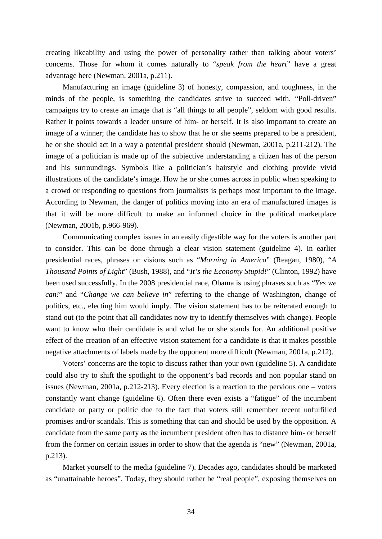creating likeability and using the power of personality rather than talking about voters' concerns. Those for whom it comes naturally to "*speak from the heart*" have a great advantage here (Newman, 2001a, p.211).

Manufacturing an image (guideline 3) of honesty, compassion, and toughness, in the minds of the people, is something the candidates strive to succeed with. "Poll-driven" campaigns try to create an image that is "all things to all people", seldom with good results. Rather it points towards a leader unsure of him- or herself. It is also important to create an image of a winner; the candidate has to show that he or she seems prepared to be a president, he or she should act in a way a potential president should (Newman, 2001a, p.211-212). The image of a politician is made up of the subjective understanding a citizen has of the person and his surroundings. Symbols like a politician's hairstyle and clothing provide vivid illustrations of the candidate's image. How he or she comes across in public when speaking to a crowd or responding to questions from journalists is perhaps most important to the image. According to Newman, the danger of politics moving into an era of manufactured images is that it will be more difficult to make an informed choice in the political marketplace (Newman, 2001b, p.966-969).

Communicating complex issues in an easily digestible way for the voters is another part to consider. This can be done through a clear vision statement (guideline 4). In earlier presidential races, phrases or visions such as "*Morning in America*" (Reagan, 1980), "*A Thousand Points of Light*" (Bush, 1988), and "*It's the Economy Stupid!*" (Clinton, 1992) have been used successfully. In the 2008 presidential race, Obama is using phrases such as "*Yes we can!*" and "*Change we can believe in*" referring to the change of Washington, change of politics, etc., electing him would imply. The vision statement has to be reiterated enough to stand out (to the point that all candidates now try to identify themselves with change). People want to know who their candidate is and what he or she stands for. An additional positive effect of the creation of an effective vision statement for a candidate is that it makes possible negative attachments of labels made by the opponent more difficult (Newman, 2001a, p.212).

Voters' concerns are the topic to discuss rather than your own (guideline 5). A candidate could also try to shift the spotlight to the opponent's bad records and non popular stand on issues (Newman, 2001a, p.212-213). Every election is a reaction to the pervious one – voters constantly want change (guideline 6). Often there even exists a "fatigue" of the incumbent candidate or party or politic due to the fact that voters still remember recent unfulfilled promises and/or scandals. This is something that can and should be used by the opposition. A candidate from the same party as the incumbent president often has to distance him- or herself from the former on certain issues in order to show that the agenda is "new" (Newman, 2001a, p.213).

Market yourself to the media (guideline 7). Decades ago, candidates should be marketed as "unattainable heroes". Today, they should rather be "real people", exposing themselves on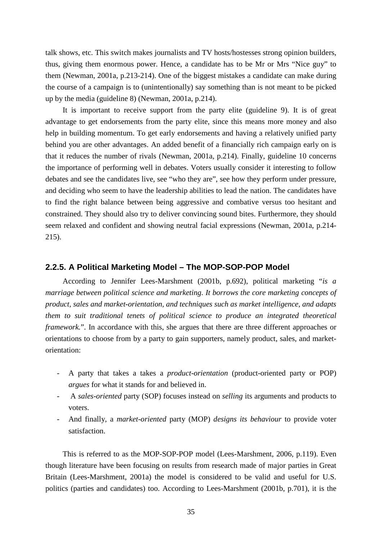talk shows, etc. This switch makes journalists and TV hosts/hostesses strong opinion builders, thus, giving them enormous power. Hence, a candidate has to be Mr or Mrs "Nice guy" to them (Newman, 2001a, p.213-214). One of the biggest mistakes a candidate can make during the course of a campaign is to (unintentionally) say something than is not meant to be picked up by the media (guideline 8) (Newman, 2001a, p.214).

It is important to receive support from the party elite (guideline 9). It is of great advantage to get endorsements from the party elite, since this means more money and also help in building momentum. To get early endorsements and having a relatively unified party behind you are other advantages. An added benefit of a financially rich campaign early on is that it reduces the number of rivals (Newman, 2001a, p.214). Finally, guideline 10 concerns the importance of performing well in debates. Voters usually consider it interesting to follow debates and see the candidates live, see "who they are", see how they perform under pressure, and deciding who seem to have the leadership abilities to lead the nation. The candidates have to find the right balance between being aggressive and combative versus too hesitant and constrained. They should also try to deliver convincing sound bites. Furthermore, they should seem relaxed and confident and showing neutral facial expressions (Newman, 2001a, p.214- 215).

#### <span id="page-34-0"></span>**2.2.5. A Political Marketing Model – The MOP-SOP-POP Model**

According to Jennifer Lees-Marshment (2001b, p.692), political marketing "*is a marriage between political science and marketing. It borrows the core marketing concepts of product, sales and market-orientation, and techniques such as market intelligence, and adapts them to suit traditional tenets of political science to produce an integrated theoretical framework.*". In accordance with this, she argues that there are three different approaches or orientations to choose from by a party to gain supporters, namely product, sales, and marketorientation:

- A party that takes a takes a *product-orientation* (product-oriented party or POP) *argues* for what it stands for and believed in.
- A *sales-oriented* party (SOP) focuses instead on *selling* its arguments and products to voters.
- And finally, a *market-oriented* party (MOP) *designs its behaviour* to provide voter satisfaction.

This is referred to as the MOP-SOP-POP model (Lees-Marshment, 2006, p.119). Even though literature have been focusing on results from research made of major parties in Great Britain (Lees-Marshment, 2001a) the model is considered to be valid and useful for U.S. politics (parties and candidates) too. According to Lees-Marshment (2001b, p.701), it is the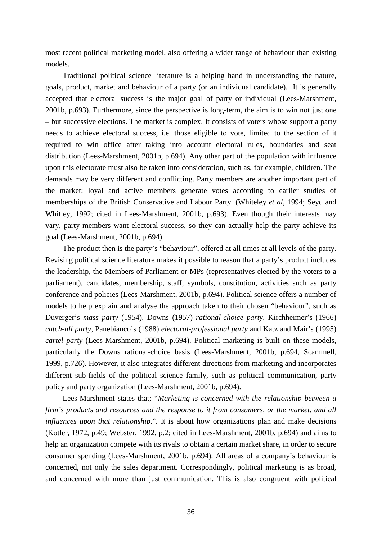most recent political marketing model, also offering a wider range of behaviour than existing models.

Traditional political science literature is a helping hand in understanding the nature, goals, product, market and behaviour of a party (or an individual candidate). It is generally accepted that electoral success is the major goal of party or individual (Lees-Marshment, 2001b, p.693). Furthermore, since the perspective is long-term, the aim is to win not just one – but successive elections. The market is complex. It consists of voters whose support a party needs to achieve electoral success, i.e. those eligible to vote, limited to the section of it required to win office after taking into account electoral rules, boundaries and seat distribution (Lees-Marshment, 2001b, p.694). Any other part of the population with influence upon this electorate must also be taken into consideration, such as, for example, children. The demands may be very different and conflicting. Party members are another important part of the market; loyal and active members generate votes according to earlier studies of memberships of the British Conservative and Labour Party. (Whiteley *et al*, 1994; Seyd and Whitley, 1992; cited in Lees-Marshment, 2001b, p.693). Even though their interests may vary, party members want electoral success, so they can actually help the party achieve its goal (Lees-Marshment, 2001b, p.694).

The product then is the party's "behaviour", offered at all times at all levels of the party. Revising political science literature makes it possible to reason that a party's product includes the leadership, the Members of Parliament or MPs (representatives elected by the voters to a parliament), candidates, membership, staff, symbols, constitution, activities such as party conference and policies (Lees-Marshment, 2001b, p.694). Political science offers a number of models to help explain and analyse the approach taken to their chosen "behaviour", such as Duverger's *mass party* (1954), Downs (1957) *rational-choice party*, Kirchheimer's (1966) *catch-all party*, Panebianco's (1988) *electoral-professional party* and Katz and Mair's (1995) *cartel party* (Lees-Marshment, 2001b, p.694). Political marketing is built on these models, particularly the Downs rational-choice basis (Lees-Marshment, 2001b, p.694, Scammell, 1999, p.726). However, it also integrates different directions from marketing and incorporates different sub-fields of the political science family, such as political communication, party policy and party organization (Lees-Marshment, 2001b, p.694).

Lees-Marshment states that; "*Marketing is concerned with the relationship between a firm's products and resources and the response to it from consumers, or the market, and all influences upon that relationship*.". It is about how organizations plan and make decisions (Kotler, 1972, p.49; Webster, 1992, p.2; cited in Lees-Marshment, 2001b, p.694) and aims to help an organization compete with its rivals to obtain a certain market share, in order to secure consumer spending (Lees-Marshment, 2001b, p.694). All areas of a company's behaviour is concerned, not only the sales department. Correspondingly, political marketing is as broad, and concerned with more than just communication. This is also congruent with political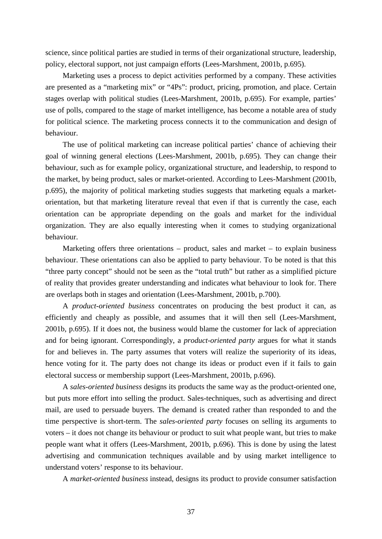science, since political parties are studied in terms of their organizational structure, leadership, policy, electoral support, not just campaign efforts (Lees-Marshment, 2001b, p.695).

Marketing uses a process to depict activities performed by a company. These activities are presented as a "marketing mix" or "4Ps": product, pricing, promotion, and place. Certain stages overlap with political studies (Lees-Marshment, 2001b, p.695). For example, parties' use of polls, compared to the stage of market intelligence, has become a notable area of study for political science. The marketing process connects it to the communication and design of behaviour.

The use of political marketing can increase political parties' chance of achieving their goal of winning general elections (Lees-Marshment, 2001b, p.695). They can change their behaviour, such as for example policy, organizational structure, and leadership, to respond to the market, by being product, sales or market-oriented. According to Lees-Marshment (2001b, p.695), the majority of political marketing studies suggests that marketing equals a marketorientation, but that marketing literature reveal that even if that is currently the case, each orientation can be appropriate depending on the goals and market for the individual organization. They are also equally interesting when it comes to studying organizational behaviour.

Marketing offers three orientations – product, sales and market – to explain business behaviour. These orientations can also be applied to party behaviour. To be noted is that this "three party concept" should not be seen as the "total truth" but rather as a simplified picture of reality that provides greater understanding and indicates what behaviour to look for. There are overlaps both in stages and orientation (Lees-Marshment, 2001b, p.700).

A *product-oriented business* concentrates on producing the best product it can, as efficiently and cheaply as possible, and assumes that it will then sell (Lees-Marshment, 2001b, p.695). If it does not, the business would blame the customer for lack of appreciation and for being ignorant. Correspondingly, a *product-oriented party* argues for what it stands for and believes in. The party assumes that voters will realize the superiority of its ideas, hence voting for it. The party does not change its ideas or product even if it fails to gain electoral success or membership support (Lees-Marshment, 2001b, p.696).

A *sales-oriented business* designs its products the same way as the product-oriented one, but puts more effort into selling the product. Sales-techniques, such as advertising and direct mail, are used to persuade buyers. The demand is created rather than responded to and the time perspective is short-term. The *sales-oriented party* focuses on selling its arguments to voters – it does not change its behaviour or product to suit what people want, but tries to make people want what it offers (Lees-Marshment, 2001b, p.696). This is done by using the latest advertising and communication techniques available and by using market intelligence to understand voters' response to its behaviour.

A *market-oriented business* instead, designs its product to provide consumer satisfaction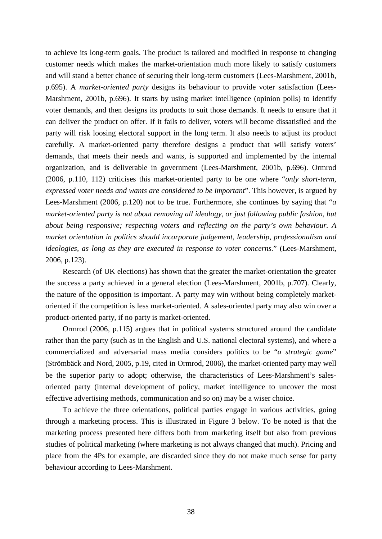to achieve its long-term goals. The product is tailored and modified in response to changing customer needs which makes the market-orientation much more likely to satisfy customers and will stand a better chance of securing their long-term customers (Lees-Marshment, 2001b, p.695). A *market-oriented party* designs its behaviour to provide voter satisfaction (Lees-Marshment, 2001b, p.696). It starts by using market intelligence (opinion polls) to identify voter demands, and then designs its products to suit those demands. It needs to ensure that it can deliver the product on offer. If it fails to deliver, voters will become dissatisfied and the party will risk loosing electoral support in the long term. It also needs to adjust its product carefully. A market-oriented party therefore designs a product that will satisfy voters' demands, that meets their needs and wants, is supported and implemented by the internal organization, and is deliverable in government (Lees-Marshment, 2001b, p.696). Ormrod (2006, p.110, 112) criticises this market-oriented party to be one where "*only short-term, expressed voter needs and wants are considered to be important*". This however, is argued by Lees-Marshment (2006, p.120) not to be true. Furthermore, she continues by saying that "*a market-oriented party is not about removing all ideology, or just following public fashion, but about being responsive; respecting voters and reflecting on the party's own behaviour. A market orientation in politics should incorporate judgement, leadership, professionalism and ideologies, as long as they are executed in response to voter concerns.*" (Lees-Marshment, 2006, p.123).

Research (of UK elections) has shown that the greater the market-orientation the greater the success a party achieved in a general election (Lees-Marshment, 2001b, p.707). Clearly, the nature of the opposition is important. A party may win without being completely marketoriented if the competition is less market-oriented. A sales-oriented party may also win over a product-oriented party, if no party is market-oriented.

Ormrod (2006, p.115) argues that in political systems structured around the candidate rather than the party (such as in the English and U.S. national electoral systems), and where a commercialized and adversarial mass media considers politics to be "*a strategic game*" (Strömbäck and Nord, 2005, p.19, cited in Ormrod, 2006), the market-oriented party may well be the superior party to adopt; otherwise, the characteristics of Lees-Marshment's salesoriented party (internal development of policy, market intelligence to uncover the most effective advertising methods, communication and so on) may be a wiser choice.

To achieve the three orientations, political parties engage in various activities, going through a marketing process. This is illustrated in Figure 3 below. To be noted is that the marketing process presented here differs both from marketing itself but also from previous studies of political marketing (where marketing is not always changed that much). Pricing and place from the 4Ps for example, are discarded since they do not make much sense for party behaviour according to Lees-Marshment.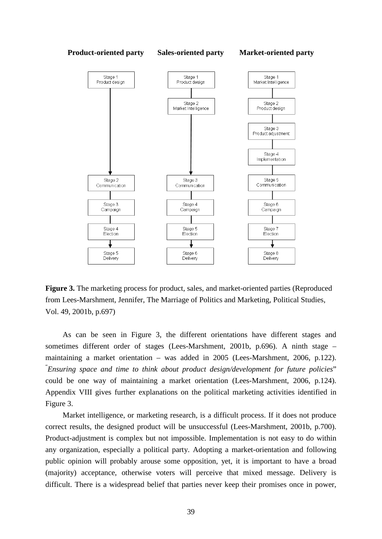#### **Product-oriented party Sales-oriented party Market-oriented party**



Figure 3. The marketing process for product, sales, and market-oriented parties (Reproduced from Lees-Marshment, Jennifer, The Marriage of Politics and Marketing, Political Studies, Vol. 49, 2001b, p.697)

As can be seen in Figure 3, the different orientations have different stages and sometimes different order of stages (Lees-Marshment, 2001b, p.696). A ninth stage – maintaining a market orientation – was added in 2005 (Lees-Marshment, 2006, p.122). " *Ensuring space and time to think about product design/development for future policies*" could be one way of maintaining a market orientation (Lees-Marshment, 2006, p.124). Appendix VIII gives further explanations on the political marketing activities identified in Figure 3.

Market intelligence, or marketing research, is a difficult process. If it does not produce correct results, the designed product will be unsuccessful (Lees-Marshment, 2001b, p.700). Product-adjustment is complex but not impossible. Implementation is not easy to do within any organization, especially a political party. Adopting a market-orientation and following public opinion will probably arouse some opposition, yet, it is important to have a broad (majority) acceptance, otherwise voters will perceive that mixed message. Delivery is difficult. There is a widespread belief that parties never keep their promises once in power,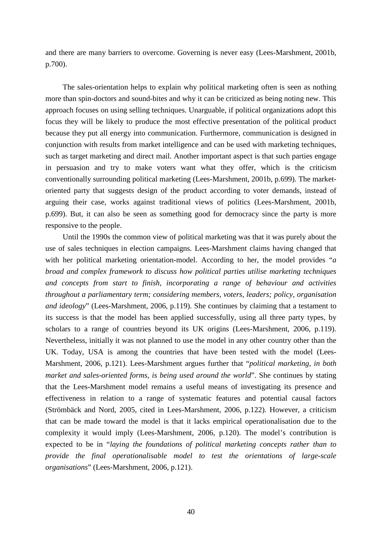and there are many barriers to overcome. Governing is never easy (Lees-Marshment, 2001b, p.700).

The sales-orientation helps to explain why political marketing often is seen as nothing more than spin-doctors and sound-bites and why it can be criticized as being noting new. This approach focuses on using selling techniques. Unarguable, if political organizations adopt this focus they will be likely to produce the most effective presentation of the political product because they put all energy into communication. Furthermore, communication is designed in conjunction with results from market intelligence and can be used with marketing techniques, such as target marketing and direct mail. Another important aspect is that such parties engage in persuasion and try to make voters want what they offer, which is the criticism conventionally surrounding political marketing (Lees-Marshment, 2001b, p.699). The marketoriented party that suggests design of the product according to voter demands, instead of arguing their case, works against traditional views of politics (Lees-Marshment, 2001b, p.699). But, it can also be seen as something good for democracy since the party is more responsive to the people.

Until the 1990s the common view of political marketing was that it was purely about the use of sales techniques in election campaigns. Lees-Marshment claims having changed that with her political marketing orientation-model. According to her, the model provides "*a broad and complex framework to discuss how political parties utilise marketing techniques and concepts from start to finish, incorporating a range of behaviour and activities throughout a parliamentary term; considering members, voters, leaders; policy, organisation and ideology*" (Lees-Marshment, 2006, p.119). She continues by claiming that a testament to its success is that the model has been applied successfully, using all three party types, by scholars to a range of countries beyond its UK origins (Lees-Marshment, 2006, p.119). Nevertheless, initially it was not planned to use the model in any other country other than the UK. Today, USA is among the countries that have been tested with the model (Lees-Marshment, 2006, p.121). Lees-Marshment argues further that "*political marketing, in both market and sales-oriented forms, is being used around the world*". She continues by stating that the Lees-Marshment model remains a useful means of investigating its presence and effectiveness in relation to a range of systematic features and potential causal factors (Strömbäck and Nord, 2005, cited in Lees-Marshment, 2006, p.122). However, a criticism that can be made toward the model is that it lacks empirical operationalisation due to the complexity it would imply (Lees-Marshment, 2006, p.120). The model's contribution is expected to be in "*laying the foundations of political marketing concepts rather than to provide the final operationalisable model to test the orientations of large-scale organisations*" (Lees-Marshment, 2006, p.121).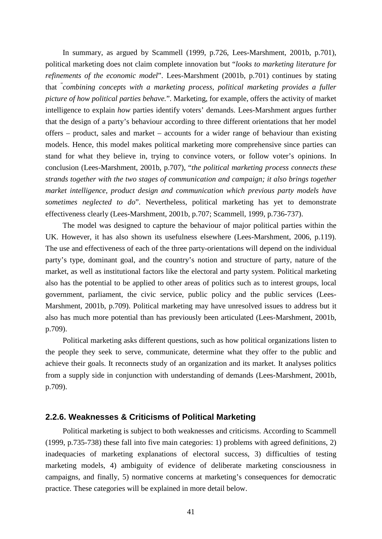In summary, as argued by Scammell (1999, p.726, Lees-Marshment, 2001b, p.701), political marketing does not claim complete innovation but "*looks to marketing literature for refinements of the economic model*". Lees-Marshment (2001b, p.701) continues by stating that " *combining concepts with a marketing process, political marketing provides a fuller picture of how political parties behave.*". Marketing, for example, offers the activity of market intelligence to explain *how* parties identify voters' demands. Lees-Marshment argues further that the design of a party's behaviour according to three different orientations that her model offers – product, sales and market – accounts for a wider range of behaviour than existing models. Hence, this model makes political marketing more comprehensive since parties can stand for what they believe in, trying to convince voters, or follow voter's opinions. In conclusion (Lees-Marshment, 2001b, p.707), "*the political marketing process connects these strands together with the two stages of communication and campaign; it also brings together market intelligence, product design and communication which previous party models have sometimes neglected to do*". Nevertheless, political marketing has yet to demonstrate effectiveness clearly (Lees-Marshment, 2001b, p.707; Scammell, 1999, p.736-737).

The model was designed to capture the behaviour of major political parties within the UK. However, it has also shown its usefulness elsewhere (Lees-Marshment, 2006, p.119). The use and effectiveness of each of the three party-orientations will depend on the individual party's type, dominant goal, and the country's notion and structure of party, nature of the market, as well as institutional factors like the electoral and party system. Political marketing also has the potential to be applied to other areas of politics such as to interest groups, local government, parliament, the civic service, public policy and the public services (Lees-Marshment, 2001b, p.709). Political marketing may have unresolved issues to address but it also has much more potential than has previously been articulated (Lees-Marshment, 2001b, p.709).

Political marketing asks different questions, such as how political organizations listen to the people they seek to serve, communicate, determine what they offer to the public and achieve their goals. It reconnects study of an organization and its market. It analyses politics from a supply side in conjunction with understanding of demands (Lees-Marshment, 2001b, p.709).

#### **2.2.6. Weaknesses & Criticisms of Political Marketing**

Political marketing is subject to both weaknesses and criticisms. According to Scammell (1999, p.735-738) these fall into five main categories: 1) problems with agreed definitions, 2) inadequacies of marketing explanations of electoral success, 3) difficulties of testing marketing models, 4) ambiguity of evidence of deliberate marketing consciousness in campaigns, and finally, 5) normative concerns at marketing's consequences for democratic practice. These categories will be explained in more detail below.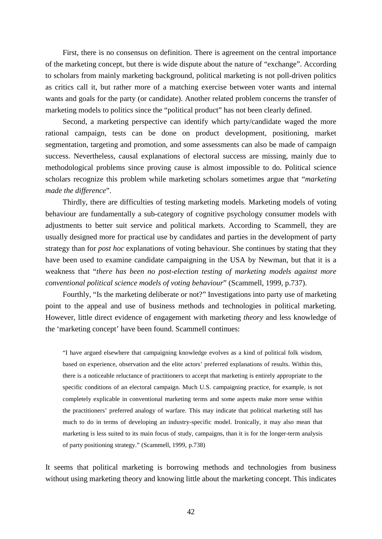First, there is no consensus on definition. There is agreement on the central importance of the marketing concept, but there is wide dispute about the nature of "exchange". According to scholars from mainly marketing background, political marketing is not poll-driven politics as critics call it, but rather more of a matching exercise between voter wants and internal wants and goals for the party (or candidate). Another related problem concerns the transfer of marketing models to politics since the "political product" has not been clearly defined.

Second, a marketing perspective can identify which party/candidate waged the more rational campaign, tests can be done on product development, positioning, market segmentation, targeting and promotion, and some assessments can also be made of campaign success. Nevertheless, causal explanations of electoral success are missing, mainly due to methodological problems since proving cause is almost impossible to do. Political science scholars recognize this problem while marketing scholars sometimes argue that "*marketing made the difference*".

Thirdly, there are difficulties of testing marketing models. Marketing models of voting behaviour are fundamentally a sub-category of cognitive psychology consumer models with adjustments to better suit service and political markets. According to Scammell, they are usually designed more for practical use by candidates and parties in the development of party strategy than for *post hoc* explanations of voting behaviour. She continues by stating that they have been used to examine candidate campaigning in the USA by Newman, but that it is a weakness that "*there has been no post-election testing of marketing models against more conventional political science models of voting behaviour*" (Scammell, 1999, p.737).

Fourthly, "Is the marketing deliberate or not?" Investigations into party use of marketing point to the appeal and use of business methods and technologies in political marketing. However, little direct evidence of engagement with marketing *theory* and less knowledge of the 'marketing concept' have been found. Scammell continues:

"I have argued elsewhere that campaigning knowledge evolves as a kind of political folk wisdom, based on experience, observation and the elite actors' preferred explanations of results. Within this, there is a noticeable reluctance of practitioners to accept that marketing is entirely appropriate to the specific conditions of an electoral campaign. Much U.S. campaigning practice, for example, is not completely explicable in conventional marketing terms and some aspects make more sense within the practitioners' preferred analogy of warfare. This may indicate that political marketing still has much to do in terms of developing an industry-specific model. Ironically, it may also mean that marketing is less suited to its main focus of study, campaigns, than it is for the longer-term analysis of party positioning strategy." (Scammell, 1999, p.738)

It seems that political marketing is borrowing methods and technologies from business without using marketing theory and knowing little about the marketing concept. This indicates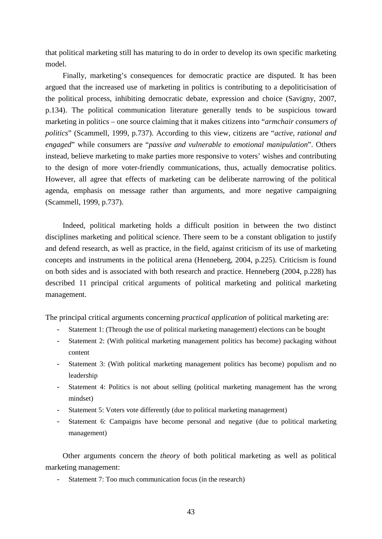that political marketing still has maturing to do in order to develop its own specific marketing model.

Finally, marketing's consequences for democratic practice are disputed. It has been argued that the increased use of marketing in politics is contributing to a depoliticisation of the political process, inhibiting democratic debate, expression and choice (Savigny, 2007, p.134). The political communication literature generally tends to be suspicious toward marketing in politics – one source claiming that it makes citizens into "*armchair consumers of politics*" (Scammell, 1999, p.737). According to this view, citizens are "*active, rational and engaged*" while consumers are "*passive and vulnerable to emotional manipulation*". Others instead, believe marketing to make parties more responsive to voters' wishes and contributing to the design of more voter-friendly communications, thus, actually democratise politics. However, all agree that effects of marketing can be deliberate narrowing of the political agenda, emphasis on message rather than arguments, and more negative campaigning (Scammell, 1999, p.737).

Indeed, political marketing holds a difficult position in between the two distinct disciplines marketing and political science. There seem to be a constant obligation to justify and defend research, as well as practice, in the field, against criticism of its use of marketing concepts and instruments in the political arena (Henneberg, 2004, p.225). Criticism is found on both sides and is associated with both research and practice. Henneberg (2004, p.228) has described 11 principal critical arguments of political marketing and political marketing management.

The principal critical arguments concerning *practical application* of political marketing are:

- Statement 1: (Through the use of political marketing management) elections can be bought
- Statement 2: (With political marketing management politics has become) packaging without content
- Statement 3: (With political marketing management politics has become) populism and no leadership
- Statement 4: Politics is not about selling (political marketing management has the wrong mindset)
- Statement 5: Voters vote differently (due to political marketing management)
- Statement 6: Campaigns have become personal and negative (due to political marketing management)

Other arguments concern the *theory* of both political marketing as well as political marketing management:

- Statement 7: Too much communication focus (in the research)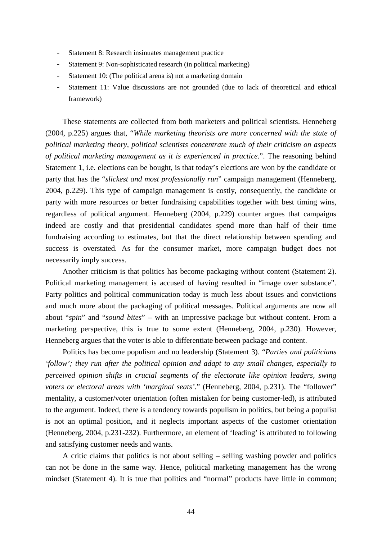- Statement 8: Research insinuates management practice
- Statement 9: Non-sophisticated research (in political marketing)
- Statement 10: (The political arena is) not a marketing domain
- Statement 11: Value discussions are not grounded (due to lack of theoretical and ethical framework)

These statements are collected from both marketers and political scientists. Henneberg (2004, p.225) argues that, "*While marketing theorists are more concerned with the state of political marketing theory, political scientists concentrate much of their criticism on aspects of political marketing management as it is experienced in practice.*". The reasoning behind Statement 1, i.e. elections can be bought, is that today's elections are won by the candidate or party that has the "*slickest and most professionally run*" campaign management (Henneberg, 2004, p.229). This type of campaign management is costly, consequently, the candidate or party with more resources or better fundraising capabilities together with best timing wins, regardless of political argument. Henneberg (2004, p.229) counter argues that campaigns indeed are costly and that presidential candidates spend more than half of their time fundraising according to estimates, but that the direct relationship between spending and success is overstated. As for the consumer market, more campaign budget does not necessarily imply success.

Another criticism is that politics has become packaging without content (Statement 2). Political marketing management is accused of having resulted in "image over substance". Party politics and political communication today is much less about issues and convictions and much more about the packaging of political messages. Political arguments are now all about "*spin*" and "*sound bites*" – with an impressive package but without content. From a marketing perspective, this is true to some extent (Henneberg, 2004, p.230). However, Henneberg argues that the voter is able to differentiate between package and content.

Politics has become populism and no leadership (Statement 3). "*Parties and politicians 'follow'; they run after the political opinion and adapt to any small changes, especially to perceived opinion shifts in crucial segments of the electorate like opinion leaders, swing voters or electoral areas with 'marginal seats'.*" (Henneberg, 2004, p.231). The "follower" mentality, a customer/voter orientation (often mistaken for being customer-led), is attributed to the argument. Indeed, there is a tendency towards populism in politics, but being a populist is not an optimal position, and it neglects important aspects of the customer orientation (Henneberg, 2004, p.231-232). Furthermore, an element of 'leading' is attributed to following and satisfying customer needs and wants.

A critic claims that politics is not about selling – selling washing powder and politics can not be done in the same way. Hence, political marketing management has the wrong mindset (Statement 4). It is true that politics and "normal" products have little in common;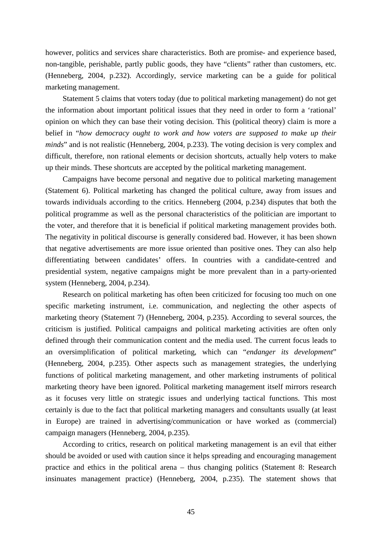however, politics and services share characteristics. Both are promise- and experience based, non-tangible, perishable, partly public goods, they have "clients" rather than customers, etc. (Henneberg, 2004, p.232). Accordingly, service marketing can be a guide for political marketing management.

Statement 5 claims that voters today (due to political marketing management) do not get the information about important political issues that they need in order to form a 'rational' opinion on which they can base their voting decision. This (political theory) claim is more a belief in "*how democracy ought to work and how voters are supposed to make up their minds*" and is not realistic (Henneberg, 2004, p.233). The voting decision is very complex and difficult, therefore, non rational elements or decision shortcuts, actually help voters to make up their minds. These shortcuts are accepted by the political marketing management.

Campaigns have become personal and negative due to political marketing management (Statement 6). Political marketing has changed the political culture, away from issues and towards individuals according to the critics. Henneberg (2004, p.234) disputes that both the political programme as well as the personal characteristics of the politician are important to the voter, and therefore that it is beneficial if political marketing management provides both. The negativity in political discourse is generally considered bad. However, it has been shown that negative advertisements are more issue oriented than positive ones. They can also help differentiating between candidates' offers. In countries with a candidate-centred and presidential system, negative campaigns might be more prevalent than in a party-oriented system (Henneberg, 2004, p.234).

Research on political marketing has often been criticized for focusing too much on one specific marketing instrument, i.e. communication, and neglecting the other aspects of marketing theory (Statement 7) (Henneberg, 2004, p.235). According to several sources, the criticism is justified. Political campaigns and political marketing activities are often only defined through their communication content and the media used. The current focus leads to an oversimplification of political marketing, which can "*endanger its development*" (Henneberg, 2004, p.235). Other aspects such as management strategies, the underlying functions of political marketing management, and other marketing instruments of political marketing theory have been ignored. Political marketing management itself mirrors research as it focuses very little on strategic issues and underlying tactical functions. This most certainly is due to the fact that political marketing managers and consultants usually (at least in Europe) are trained in advertising/communication or have worked as (commercial) campaign managers (Henneberg, 2004, p.235).

According to critics, research on political marketing management is an evil that either should be avoided or used with caution since it helps spreading and encouraging management practice and ethics in the political arena – thus changing politics (Statement 8: Research insinuates management practice) (Henneberg, 2004, p.235). The statement shows that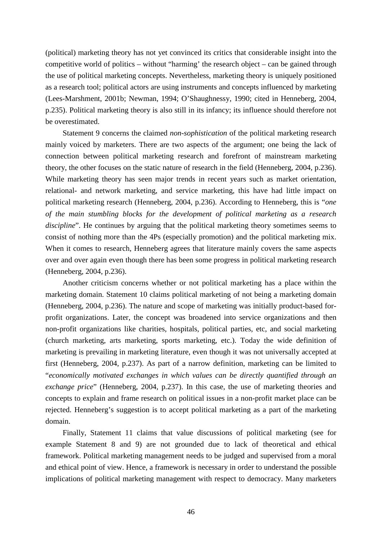(political) marketing theory has not yet convinced its critics that considerable insight into the competitive world of politics – without "harming' the research object – can be gained through the use of political marketing concepts. Nevertheless, marketing theory is uniquely positioned as a research tool; political actors are using instruments and concepts influenced by marketing (Lees-Marshment, 2001b; Newman, 1994; O'Shaughnessy, 1990; cited in Henneberg, 2004, p.235). Political marketing theory is also still in its infancy; its influence should therefore not be overestimated.

Statement 9 concerns the claimed *non-sophistication* of the political marketing research mainly voiced by marketers. There are two aspects of the argument; one being the lack of connection between political marketing research and forefront of mainstream marketing theory, the other focuses on the static nature of research in the field (Henneberg, 2004, p.236). While marketing theory has seen major trends in recent years such as market orientation, relational- and network marketing, and service marketing, this have had little impact on political marketing research (Henneberg, 2004, p.236). According to Henneberg, this is "*one of the main stumbling blocks for the development of political marketing as a research discipline*". He continues by arguing that the political marketing theory sometimes seems to consist of nothing more than the 4Ps (especially promotion) and the political marketing mix. When it comes to research, Henneberg agrees that literature mainly covers the same aspects over and over again even though there has been some progress in political marketing research (Henneberg, 2004, p.236).

Another criticism concerns whether or not political marketing has a place within the marketing domain. Statement 10 claims political marketing of not being a marketing domain (Henneberg, 2004, p.236). The nature and scope of marketing was initially product-based forprofit organizations. Later, the concept was broadened into service organizations and then non-profit organizations like charities, hospitals, political parties, etc, and social marketing (church marketing, arts marketing, sports marketing, etc.). Today the wide definition of marketing is prevailing in marketing literature, even though it was not universally accepted at first (Henneberg, 2004, p.237). As part of a narrow definition, marketing can be limited to "*economically motivated exchanges in which values can be directly quantified through an exchange price*" (Henneberg, 2004, p.237). In this case, the use of marketing theories and concepts to explain and frame research on political issues in a non-profit market place can be rejected. Henneberg's suggestion is to accept political marketing as a part of the marketing domain.

Finally, Statement 11 claims that value discussions of political marketing (see for example Statement 8 and 9) are not grounded due to lack of theoretical and ethical framework. Political marketing management needs to be judged and supervised from a moral and ethical point of view. Hence, a framework is necessary in order to understand the possible implications of political marketing management with respect to democracy. Many marketers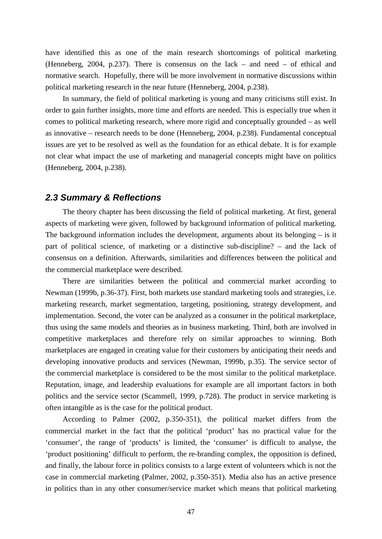have identified this as one of the main research shortcomings of political marketing (Henneberg, 2004, p.237). There is consensus on the lack – and need – of ethical and normative search. Hopefully, there will be more involvement in normative discussions within political marketing research in the near future (Henneberg, 2004, p.238).

In summary, the field of political marketing is young and many criticisms still exist. In order to gain further insights, more time and efforts are needed. This is especially true when it comes to political marketing research, where more rigid and conceptually grounded – as well as innovative – research needs to be done (Henneberg, 2004, p.238). Fundamental conceptual issues are yet to be resolved as well as the foundation for an ethical debate. It is for example not clear what impact the use of marketing and managerial concepts might have on politics (Henneberg, 2004, p.238).

### *2.3 Summary & Reflections*

The theory chapter has been discussing the field of political marketing. At first, general aspects of marketing were given, followed by background information of political marketing. The background information includes the development, arguments about its belonging  $-$  is it part of political science, of marketing or a distinctive sub-discipline? – and the lack of consensus on a definition. Afterwards, similarities and differences between the political and the commercial marketplace were described.

There are similarities between the political and commercial market according to Newman (1999b, p.36-37). First, both markets use standard marketing tools and strategies, i.e. marketing research, market segmentation, targeting, positioning, strategy development, and implementation. Second, the voter can be analyzed as a consumer in the political marketplace, thus using the same models and theories as in business marketing. Third, both are involved in competitive marketplaces and therefore rely on similar approaches to winning. Both marketplaces are engaged in creating value for their customers by anticipating their needs and developing innovative products and services (Newman, 1999b, p.35). The service sector of the commercial marketplace is considered to be the most similar to the political marketplace. Reputation, image, and leadership evaluations for example are all important factors in both politics and the service sector (Scammell, 1999, p.728). The product in service marketing is often intangible as is the case for the political product.

According to Palmer (2002, p.350-351), the political market differs from the commercial market in the fact that the political 'product' has no practical value for the 'consumer', the range of 'products' is limited, the 'consumer' is difficult to analyse, the 'product positioning' difficult to perform, the re-branding complex, the opposition is defined, and finally, the labour force in politics consists to a large extent of volunteers which is not the case in commercial marketing (Palmer, 2002, p.350-351). Media also has an active presence in politics than in any other consumer/service market which means that political marketing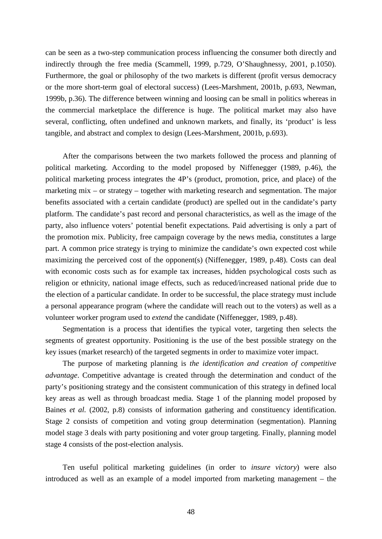can be seen as a two-step communication process influencing the consumer both directly and indirectly through the free media (Scammell, 1999, p.729, O'Shaughnessy, 2001, p.1050). Furthermore, the goal or philosophy of the two markets is different (profit versus democracy or the more short-term goal of electoral success) (Lees-Marshment, 2001b, p.693, Newman, 1999b, p.36). The difference between winning and loosing can be small in politics whereas in the commercial marketplace the difference is huge. The political market may also have several, conflicting, often undefined and unknown markets, and finally, its 'product' is less tangible, and abstract and complex to design (Lees-Marshment, 2001b, p.693).

After the comparisons between the two markets followed the process and planning of political marketing. According to the model proposed by Niffenegger (1989, p.46), the political marketing process integrates the 4P's (product, promotion, price, and place) of the marketing mix – or strategy – together with marketing research and segmentation. The major benefits associated with a certain candidate (product) are spelled out in the candidate's party platform. The candidate's past record and personal characteristics, as well as the image of the party, also influence voters' potential benefit expectations. Paid advertising is only a part of the promotion mix. Publicity, free campaign coverage by the news media, constitutes a large part. A common price strategy is trying to minimize the candidate's own expected cost while maximizing the perceived cost of the opponent(s) (Niffenegger, 1989, p.48). Costs can deal with economic costs such as for example tax increases, hidden psychological costs such as religion or ethnicity, national image effects, such as reduced/increased national pride due to the election of a particular candidate. In order to be successful, the place strategy must include a personal appearance program (where the candidate will reach out to the voters) as well as a volunteer worker program used to *extend* the candidate (Niffenegger, 1989, p.48).

Segmentation is a process that identifies the typical voter, targeting then selects the segments of greatest opportunity. Positioning is the use of the best possible strategy on the key issues (market research) of the targeted segments in order to maximize voter impact.

The purpose of marketing planning is *the identification and creation of competitive advantage*. Competitive advantage is created through the determination and conduct of the party's positioning strategy and the consistent communication of this strategy in defined local key areas as well as through broadcast media. Stage 1 of the planning model proposed by Baines *et al.* (2002, p.8) consists of information gathering and constituency identification. Stage 2 consists of competition and voting group determination (segmentation). Planning model stage 3 deals with party positioning and voter group targeting. Finally, planning model stage 4 consists of the post-election analysis.

Ten useful political marketing guidelines (in order to *insure victory*) were also introduced as well as an example of a model imported from marketing management – the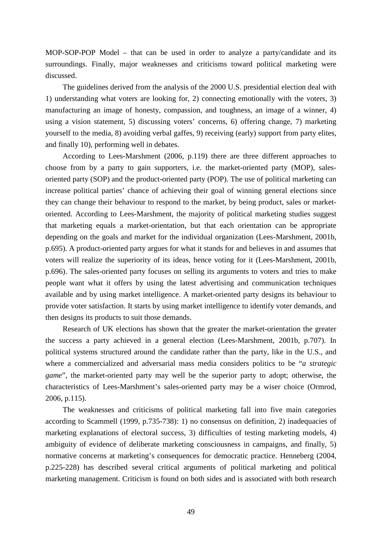MOP-SOP-POP Model – that can be used in order to analyze a party/candidate and its surroundings. Finally, major weaknesses and criticisms toward political marketing were discussed.

The guidelines derived from the analysis of the 2000 U.S. presidential election deal with 1) understanding what voters are looking for, 2) connecting emotionally with the voters, 3) manufacturing an image of honesty, compassion, and toughness, an image of a winner, 4) using a vision statement, 5) discussing voters' concerns, 6) offering change, 7) marketing yourself to the media, 8) avoiding verbal gaffes, 9) receiving (early) support from party elites, and finally 10), performing well in debates.

According to Lees-Marshment (2006, p.119) there are three different approaches to choose from by a party to gain supporters, i.e. the market-oriented party (MOP), salesoriented party (SOP) and the product-oriented party (POP). The use of political marketing can increase political parties' chance of achieving their goal of winning general elections since they can change their behaviour to respond to the market, by being product, sales or marketoriented. According to Lees-Marshment, the majority of political marketing studies suggest that marketing equals a market-orientation, but that each orientation can be appropriate depending on the goals and market for the individual organization (Lees-Marshment, 2001b, p.695). A product-oriented party argues for what it stands for and believes in and assumes that voters will realize the superiority of its ideas, hence voting for it (Lees-Marshment, 2001b, p.696). The sales-oriented party focuses on selling its arguments to voters and tries to make people want what it offers by using the latest advertising and communication techniques available and by using market intelligence. A market-oriented party designs its behaviour to provide voter satisfaction. It starts by using market intelligence to identify voter demands, and then designs its products to suit those demands.

Research of UK elections has shown that the greater the market-orientation the greater the success a party achieved in a general election (Lees-Marshment, 2001b, p.707). In political systems structured around the candidate rather than the party, like in the U.S., and where a commercialized and adversarial mass media considers politics to be "*a strategic game*", the market-oriented party may well be the superior party to adopt; otherwise, the characteristics of Lees-Marshment's sales-oriented party may be a wiser choice (Ormrod, 2006, p.115).

The weaknesses and criticisms of political marketing fall into five main categories according to Scammell (1999, p.735-738): 1) no consensus on definition, 2) inadequacies of marketing explanations of electoral success, 3) difficulties of testing marketing models, 4) ambiguity of evidence of deliberate marketing consciousness in campaigns, and finally, 5) normative concerns at marketing's consequences for democratic practice. Henneberg (2004, p.225-228) has described several critical arguments of political marketing and political marketing management. Criticism is found on both sides and is associated with both research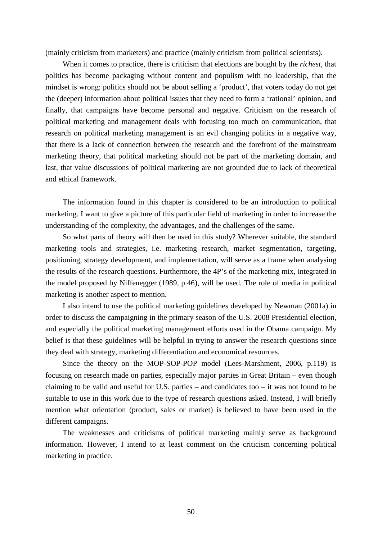(mainly criticism from marketers) and practice (mainly criticism from political scientists).

When it comes to practice, there is criticism that elections are bought by the *richest*, that politics has become packaging without content and populism with no leadership, that the mindset is wrong: politics should not be about selling a 'product', that voters today do not get the (deeper) information about political issues that they need to form a 'rational' opinion, and finally, that campaigns have become personal and negative. Criticism on the research of political marketing and management deals with focusing too much on communication, that research on political marketing management is an evil changing politics in a negative way, that there is a lack of connection between the research and the forefront of the mainstream marketing theory, that political marketing should not be part of the marketing domain, and last, that value discussions of political marketing are not grounded due to lack of theoretical and ethical framework.

The information found in this chapter is considered to be an introduction to political marketing. I want to give a picture of this particular field of marketing in order to increase the understanding of the complexity, the advantages, and the challenges of the same.

So what parts of theory will then be used in this study? Wherever suitable, the standard marketing tools and strategies, i.e. marketing research, market segmentation, targeting, positioning, strategy development, and implementation, will serve as a frame when analysing the results of the research questions. Furthermore, the 4P's of the marketing mix, integrated in the model proposed by Niffenegger (1989, p.46), will be used. The role of media in political marketing is another aspect to mention.

I also intend to use the political marketing guidelines developed by Newman (2001a) in order to discuss the campaigning in the primary season of the U.S. 2008 Presidential election, and especially the political marketing management efforts used in the Obama campaign. My belief is that these guidelines will be helpful in trying to answer the research questions since they deal with strategy, marketing differentiation and economical resources.

Since the theory on the MOP-SOP-POP model (Lees-Marshment, 2006, p.119) is focusing on research made on parties, especially major parties in Great Britain – even though claiming to be valid and useful for U.S. parties – and candidates too – it was not found to be suitable to use in this work due to the type of research questions asked. Instead, I will briefly mention what orientation (product, sales or market) is believed to have been used in the different campaigns.

The weaknesses and criticisms of political marketing mainly serve as background information. However, I intend to at least comment on the criticism concerning political marketing in practice.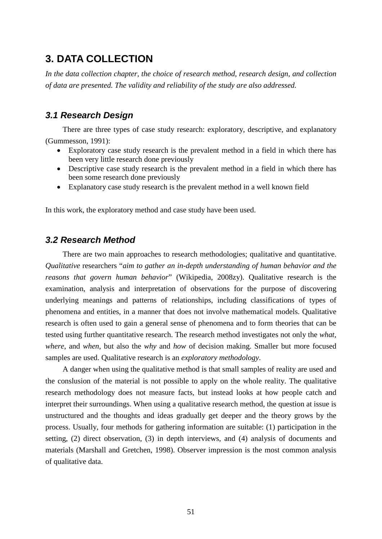# **3. DATA COLLECTION**

*In the data collection chapter, the choice of research method, research design, and collection of data are presented. The validity and reliability of the study are also addressed.*

# *3.1 Research Design*

There are three types of case study research: exploratory, descriptive, and explanatory (Gummesson, 1991):

- Exploratory case study research is the prevalent method in a field in which there has been very little research done previously
- Descriptive case study research is the prevalent method in a field in which there has been some research done previously
- Explanatory case study research is the prevalent method in a well known field

In this work, the exploratory method and case study have been used.

# *3.2 Research Method*

There are two main approaches to research methodologies; qualitative and quantitative. *Qualitative* researchers "*aim to gather an in-depth understanding of human behavior and the reasons that govern human behavior*" (Wikipedia, 2008zy). Qualitative research is the examination, analysis and interpretation of observations for the purpose of discovering underlying meanings and patterns of relationships, including classifications of types of phenomena and entities, in a manner that does not involve mathematical models. Qualitative research is often used to gain a general sense of phenomena and to form theories that can be tested using further quantitative research. The research method investigates not only the *what, where*, and *when*, but also the *why* and *how* of decision making. Smaller but more focused samples are used. Qualitative research is an *exploratory methodology*.

A danger when using the qualitative method is that small samples of reality are used and the conslusion of the material is not possible to apply on the whole reality. The qualitative research methodology does not measure facts, but instead looks at how people catch and interpret their surroundings. When using a qualitative research method, the question at issue is unstructured and the thoughts and ideas gradually get deeper and the theory grows by the process. Usually, four methods for gathering information are suitable: (1) participation in the setting, (2) direct observation, (3) in depth interviews, and (4) analysis of documents and materials (Marshall and Gretchen, 1998). Observer impression is the most common analysis of qualitative data.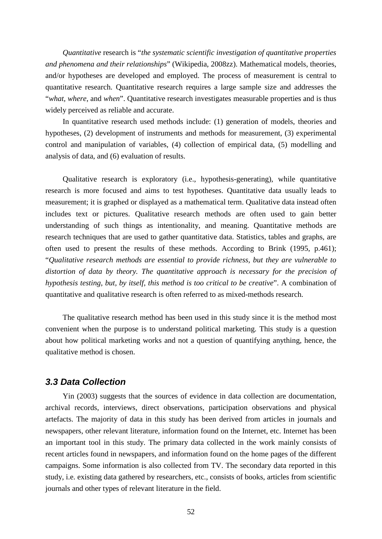*Quantitative* research is "*the systematic scientific investigation of quantitative properties and phenomena and their relationships*" (Wikipedia, 2008zz). Mathematical models, theories, and/or hypotheses are developed and employed. The process of measurement is central to quantitative research. Quantitative research requires a large sample size and addresses the "*what, where*, and *when*". Quantitative research investigates measurable properties and is thus widely perceived as reliable and accurate.

In quantitative research used methods include: (1) generation of models, theories and hypotheses, (2) development of instruments and methods for measurement, (3) experimental control and manipulation of variables, (4) collection of empirical data, (5) modelling and analysis of data, and (6) evaluation of results.

Qualitative research is exploratory (i.e., hypothesis-generating), while quantitative research is more focused and aims to test hypotheses. Quantitative data usually leads to measurement; it is graphed or displayed as a mathematical term. Qualitative data instead often includes text or pictures. Qualitative research methods are often used to gain better understanding of such things as intentionality, and meaning. Quantitative methods are research techniques that are used to gather quantitative data. Statistics, tables and graphs, are often used to present the results of these methods. According to Brink (1995, p.461); "*Qualitative research methods are essential to provide richness, but they are vulnerable to*  distortion of data by theory. The quantitative approach is necessary for the precision of *hypothesis testing, but, by itself, this method is too critical to be creative*". A combination of quantitative and qualitative research is often referred to as mixed-methods research.

The qualitative research method has been used in this study since it is the method most convenient when the purpose is to understand political marketing. This study is a question about how political marketing works and not a question of quantifying anything, hence, the qualitative method is chosen.

# *3.3 Data Collection*

Yin (2003) suggests that the sources of evidence in data collection are documentation, archival records, interviews, direct observations, participation observations and physical artefacts. The majority of data in this study has been derived from articles in journals and newspapers, other relevant literature, information found on the Internet, etc. Internet has been an important tool in this study. The primary data collected in the work mainly consists of recent articles found in newspapers, and information found on the home pages of the different campaigns. Some information is also collected from TV. The secondary data reported in this study, i.e. existing data gathered by researchers, etc., consists of books, articles from scientific journals and other types of relevant literature in the field.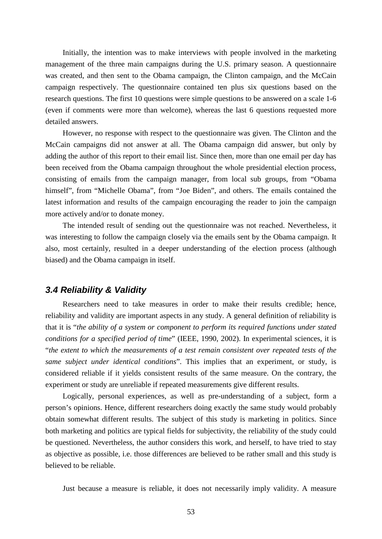Initially, the intention was to make interviews with people involved in the marketing management of the three main campaigns during the U.S. primary season. A questionnaire was created, and then sent to the Obama campaign, the Clinton campaign, and the McCain campaign respectively. The questionnaire contained ten plus six questions based on the research questions. The first 10 questions were simple questions to be answered on a scale 1-6 (even if comments were more than welcome), whereas the last 6 questions requested more detailed answers.

However, no response with respect to the questionnaire was given. The Clinton and the McCain campaigns did not answer at all. The Obama campaign did answer, but only by adding the author of this report to their email list. Since then, more than one email per day has been received from the Obama campaign throughout the whole presidential election process, consisting of emails from the campaign manager, from local sub groups, from "Obama himself", from "Michelle Obama", from "Joe Biden", and others. The emails contained the latest information and results of the campaign encouraging the reader to join the campaign more actively and/or to donate money.

The intended result of sending out the questionnaire was not reached. Nevertheless, it was interesting to follow the campaign closely via the emails sent by the Obama campaign. It also, most certainly, resulted in a deeper understanding of the election process (although biased) and the Obama campaign in itself.

# *3.4 Reliability & Validity*

Researchers need to take measures in order to make their results credible; hence, reliability and validity are important aspects in any study. A general definition of reliability is that it is "*the ability of a system or component to perform its required functions under stated conditions for a specified period of time*" (IEEE, 1990, 2002). In experimental sciences, it is "*the extent to which the measurements of a test remain consistent over repeated tests of the same subject under identical conditions*". This implies that an experiment, or study, is considered reliable if it yields consistent results of the same measure. On the contrary, the experiment or study are unreliable if repeated measurements give different results.

Logically, personal experiences, as well as pre-understanding of a subject, form a person's opinions. Hence, different researchers doing exactly the same study would probably obtain somewhat different results. The subject of this study is marketing in politics. Since both marketing and politics are typical fields for subjectivity, the reliability of the study could be questioned. Nevertheless, the author considers this work, and herself, to have tried to stay as objective as possible, i.e. those differences are believed to be rather small and this study is believed to be reliable.

Just because a measure is reliable, it does not necessarily imply validity. A measure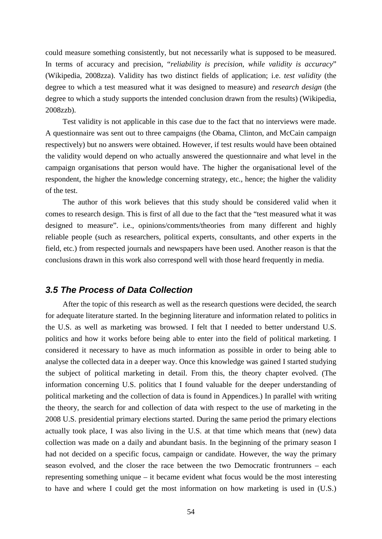could measure something consistently, but not necessarily what is supposed to be measured. In terms of accuracy and precision, "*reliability is precision, while validity is accuracy*" (Wikipedia, 2008zza). Validity has two distinct fields of application; i.e. *test validity* (the degree to which a test measured what it was designed to measure) and *research design* (the degree to which a study supports the intended conclusion drawn from the results) (Wikipedia, 2008zzb).

Test validity is not applicable in this case due to the fact that no interviews were made. A questionnaire was sent out to three campaigns (the Obama, Clinton, and McCain campaign respectively) but no answers were obtained. However, if test results would have been obtained the validity would depend on who actually answered the questionnaire and what level in the campaign organisations that person would have. The higher the organisational level of the respondent, the higher the knowledge concerning strategy, etc., hence; the higher the validity of the test.

The author of this work believes that this study should be considered valid when it comes to research design. This is first of all due to the fact that the "test measured what it was designed to measure". i.e., opinions/comments/theories from many different and highly reliable people (such as researchers, political experts, consultants, and other experts in the field, etc.) from respected journals and newspapers have been used. Another reason is that the conclusions drawn in this work also correspond well with those heard frequently in media.

# *3.5 The Process of Data Collection*

After the topic of this research as well as the research questions were decided, the search for adequate literature started. In the beginning literature and information related to politics in the U.S. as well as marketing was browsed. I felt that I needed to better understand U.S. politics and how it works before being able to enter into the field of political marketing. I considered it necessary to have as much information as possible in order to being able to analyse the collected data in a deeper way. Once this knowledge was gained I started studying the subject of political marketing in detail. From this, the theory chapter evolved. (The information concerning U.S. politics that I found valuable for the deeper understanding of political marketing and the collection of data is found in Appendices.) In parallel with writing the theory, the search for and collection of data with respect to the use of marketing in the 2008 U.S. presidential primary elections started. During the same period the primary elections actually took place, I was also living in the U.S. at that time which means that (new) data collection was made on a daily and abundant basis. In the beginning of the primary season I had not decided on a specific focus, campaign or candidate. However, the way the primary season evolved, and the closer the race between the two Democratic frontrunners – each representing something unique – it became evident what focus would be the most interesting to have and where I could get the most information on how marketing is used in (U.S.)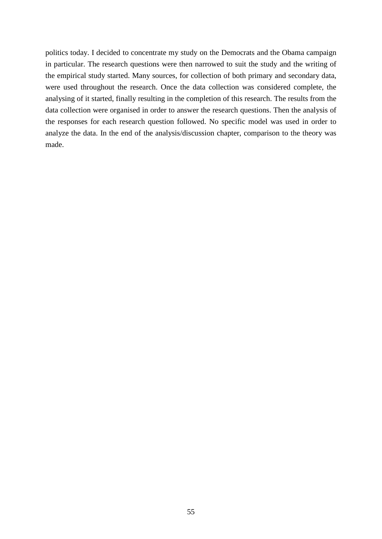politics today. I decided to concentrate my study on the Democrats and the Obama campaign in particular. The research questions were then narrowed to suit the study and the writing of the empirical study started. Many sources, for collection of both primary and secondary data, were used throughout the research. Once the data collection was considered complete, the analysing of it started, finally resulting in the completion of this research. The results from the data collection were organised in order to answer the research questions. Then the analysis of the responses for each research question followed. No specific model was used in order to analyze the data. In the end of the analysis/discussion chapter, comparison to the theory was made.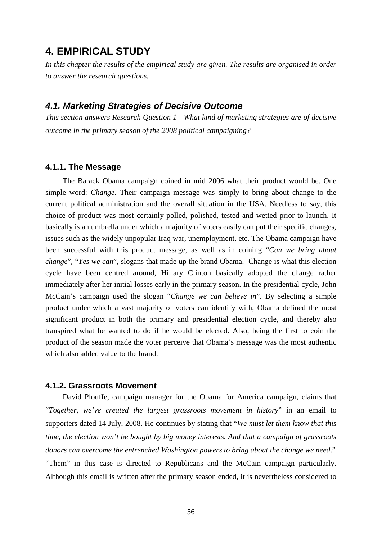# **4. EMPIRICAL STUDY**

*In this chapter the results of the empirical study are given. The results are organised in order to answer the research questions.*

### *4.1. Marketing Strategies of Decisive Outcome*

*This section answers Research Question 1 - What kind of marketing strategies are of decisive outcome in the primary season of the 2008 political campaigning?*

#### **4.1.1. The Message**

The Barack Obama campaign coined in mid 2006 what their product would be. One simple word: *Change*. Their campaign message was simply to bring about change to the current political administration and the overall situation in the USA. Needless to say, this choice of product was most certainly polled, polished, tested and wetted prior to launch. It basically is an umbrella under which a majority of voters easily can put their specific changes, issues such as the widely unpopular Iraq war, unemployment, etc. The Obama campaign have been successful with this product message, as well as in coining "*Can we bring about change*", "*Yes we can*", slogans that made up the brand Obama. Change is what this election cycle have been centred around, Hillary Clinton basically adopted the change rather immediately after her initial losses early in the primary season. In the presidential cycle, John McCain's campaign used the slogan "*Change we can believe in*". By selecting a simple product under which a vast majority of voters can identify with, Obama defined the most significant product in both the primary and presidential election cycle, and thereby also transpired what he wanted to do if he would be elected. Also, being the first to coin the product of the season made the voter perceive that Obama's message was the most authentic which also added value to the brand.

#### **4.1.2. Grassroots Movement**

David Plouffe, campaign manager for the Obama for America campaign, claims that "*Together, we've created the largest grassroots movement in history*" in an email to supporters dated 14 July, 2008. He continues by stating that "*We must let them know that this time, the election won't be bought by big money interests. And that a campaign of grassroots donors can overcome the entrenched Washington powers to bring about the change we need*." "Them" in this case is directed to Republicans and the McCain campaign particularly. Although this email is written after the primary season ended, it is nevertheless considered to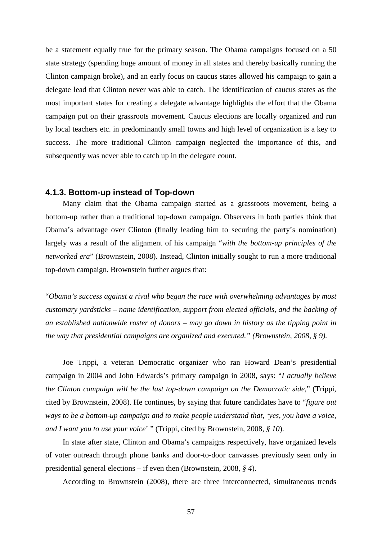be a statement equally true for the primary season. The Obama campaigns focused on a 50 state strategy (spending huge amount of money in all states and thereby basically running the Clinton campaign broke), and an early focus on caucus states allowed his campaign to gain a delegate lead that Clinton never was able to catch. The identification of caucus states as the most important states for creating a delegate advantage highlights the effort that the Obama campaign put on their grassroots movement. Caucus elections are locally organized and run by local teachers etc. in predominantly small towns and high level of organization is a key to success. The more traditional Clinton campaign neglected the importance of this, and subsequently was never able to catch up in the delegate count.

#### **4.1.3. Bottom-up instead of Top-down**

Many claim that the Obama campaign started as a grassroots movement, being a bottom-up rather than a traditional top-down campaign. Observers in both parties think that Obama's advantage over Clinton (finally leading him to securing the party's nomination) largely was a result of the alignment of his campaign "*with the bottom-up principles of the networked era*" (Brownstein, 2008). Instead, Clinton initially sought to run a more traditional top-down campaign. Brownstein further argues that:

"*Obama's success against a rival who began the race with overwhelming advantages by most customary yardsticks – name identification, support from elected officials, and the backing of an established nationwide roster of donors – may go down in history as the tipping point in the way that presidential campaigns are organized and executed." (Brownstein, 2008, § 9).*

Joe Trippi, a veteran Democratic organizer who ran Howard Dean's presidential campaign in 2004 and John Edwards's primary campaign in 2008, says: "*I actually believe the Clinton campaign will be the last top-down campaign on the Democratic side*," (Trippi, cited by Brownstein, 2008). He continues, by saying that future candidates have to "*figure out ways to be a bottom-up campaign and to make people understand that, 'yes, you have a voice, and I want you to use your voice*' " (Trippi, cited by Brownstein, 2008, *§ 10*).

In state after state, Clinton and Obama's campaigns respectively, have organized levels of voter outreach through phone banks and door-to-door canvasses previously seen only in presidential general elections – if even then (Brownstein, 2008, *§ 4*).

According to Brownstein (2008), there are three interconnected, simultaneous trends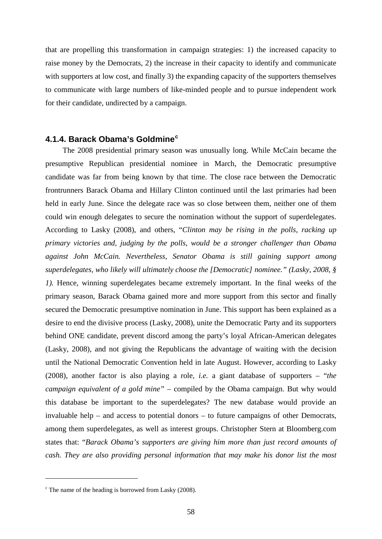that are propelling this transformation in campaign strategies: 1) the increased capacity to raise money by the Democrats, 2) the increase in their capacity to identify and communicate with supporters at low cost, and finally 3) the expanding capacity of the supporters themselves to communicate with large numbers of like-minded people and to pursue independent work for their candidate, undirected by a campaign.

#### **4.1.4. Barack Obama's Goldmine[c](#page-57-0)**

The 2008 presidential primary season was unusually long. While McCain became the presumptive Republican presidential nominee in March, the Democratic presumptive candidate was far from being known by that time. The close race between the Democratic frontrunners Barack Obama and Hillary Clinton continued until the last primaries had been held in early June. Since the delegate race was so close between them, neither one of them could win enough delegates to secure the nomination without the support of superdelegates. According to Lasky (2008), and others, "*Clinton may be rising in the polls, racking up primary victories and, judging by the polls, would be a stronger challenger than Obama against John McCain. Nevertheless, Senator Obama is still gaining support among superdelegates, who likely will ultimately choose the [Democratic] nominee." (Lasky, 2008, § 1).* Hence, winning superdelegates became extremely important. In the final weeks of the primary season, Barack Obama gained more and more support from this sector and finally secured the Democratic presumptive nomination in June. This support has been explained as a desire to end the divisive process (Lasky, 2008), unite the Democratic Party and its supporters behind ONE candidate, prevent discord among the party's loyal African-American delegates (Lasky, 2008), and not giving the Republicans the advantage of waiting with the decision until the National Democratic Convention held in late August. However, according to Lasky (2008), another factor is also playing a role, *i.e.* a giant database of supporters – "*the campaign equivalent of a gold mine"* – compiled by the Obama campaign. But why would this database be important to the superdelegates? The new database would provide an invaluable help – and access to potential donors – to future campaigns of other Democrats, among them superdelegates, as well as interest groups. Christopher Stern at Bloomberg.com states that: "*Barack Obama's supporters are giving him more than just record amounts of cash. They are also providing personal information that may make his donor list the most* 

 $\overline{a}$ 

<span id="page-57-0"></span> $\degree$  The name of the heading is borrowed from Lasky (2008).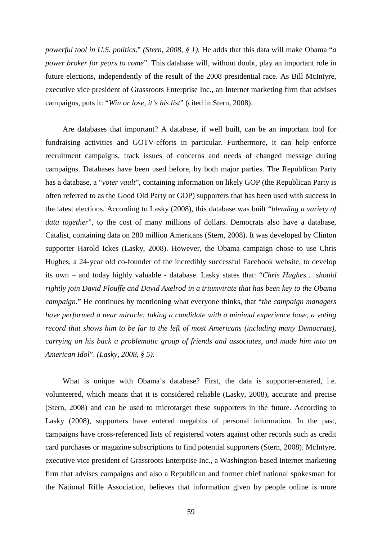*powerful tool in U.S. politics*." *(Stern, 2008, § 1).* He adds that this data will make Obama "*a power broker for years to come*". This database will, without doubt, play an important role in future elections, independently of the result of the 2008 presidential race. As Bill McIntyre, executive vice president of Grassroots Enterprise Inc., an Internet marketing firm that advises campaigns, puts it: "*Win or lose, it's his list*" (cited in Stern, 2008).

Are databases that important? A database, if well built, can be an important tool for fundraising activities and GOTV-efforts in particular. Furthermore, it can help enforce recruitment campaigns, track issues of concerns and needs of changed message during campaigns. Databases have been used before, by both major parties. The Republican Party has a database, a "*voter vault*", containing information on likely GOP (the Republican Party is often referred to as the Good Old Party or GOP) supporters that has been used with success in the latest elections. According to Lasky (2008), this database was built "*blending a variety of data together*", to the cost of many millions of dollars. Democrats also have a database, Catalist, containing data on 280 million Americans (Stern, 2008). It was developed by Clinton supporter Harold Ickes (Lasky, 2008). However, the Obama campaign chose to use Chris Hughes, a 24-year old co-founder of the incredibly successful Facebook website, to develop its own – and today highly valuable - database. Lasky states that: "*Chris Hughes… should rightly join David Plouffe and David Axelrod in a triumvirate that has been key to the Obama campaign*." He continues by mentioning what everyone thinks, that "*the campaign managers have performed a near miracle: taking a candidate with a minimal experience base, a voting record that shows him to be far to the left of most Americans (including many Democrats), carrying on his back a problematic group of friends and associates, and made him into an American Idol*". *(Lasky, 2008, § 5).*

What is unique with Obama's database? First, the data is supporter-entered, i.e. volunteered, which means that it is considered reliable (Lasky, 2008), accurate and precise (Stern, 2008) and can be used to microtarget these supporters in the future. According to Lasky (2008), supporters have entered megabits of personal information. In the past, campaigns have cross-referenced lists of registered voters against other records such as credit card purchases or magazine subscriptions to find potential supporters (Stern, 2008). McIntyre, executive vice president of Grassroots Enterprise Inc., a Washington-based Internet marketing firm that advises campaigns and also a Republican and former chief national spokesman for the National Rifle Association, believes that information given by people online is more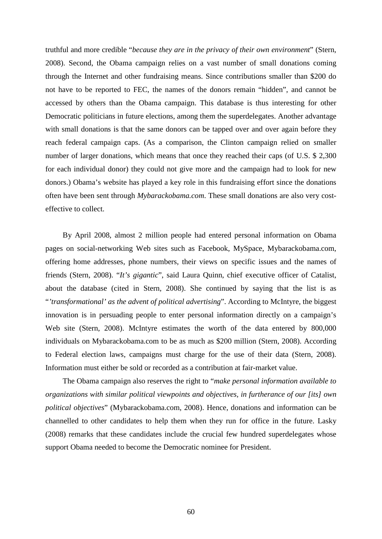truthful and more credible "*because they are in the privacy of their own environment*" (Stern, 2008). Second, the Obama campaign relies on a vast number of small donations coming through the Internet and other fundraising means. Since contributions smaller than \$200 do not have to be reported to FEC, the names of the donors remain "hidden", and cannot be accessed by others than the Obama campaign. This database is thus interesting for other Democratic politicians in future elections, among them the superdelegates. Another advantage with small donations is that the same donors can be tapped over and over again before they reach federal campaign caps. (As a comparison, the Clinton campaign relied on smaller number of larger donations, which means that once they reached their caps (of U.S. \$ 2,300) for each individual donor) they could not give more and the campaign had to look for new donors.) Obama's website has played a key role in this fundraising effort since the donations often have been sent through *Mybarackobama.com*. These small donations are also very costeffective to collect.

By April 2008, almost 2 million people had entered personal information on Obama pages on social-networking Web sites such as Facebook, MySpace, Mybarackobama.com, offering home addresses, phone numbers, their views on specific issues and the names of friends (Stern, 2008). "*It's gigantic*", said Laura Quinn, chief executive officer of Catalist, about the database (cited in Stern, 2008). She continued by saying that the list is as "*'transformational' as the advent of political advertising*". According to McIntyre, the biggest innovation is in persuading people to enter personal information directly on a campaign's Web site (Stern, 2008). McIntyre estimates the worth of the data entered by 800,000 individuals on Mybarackobama.com to be as much as \$200 million (Stern, 2008). According to Federal election laws, campaigns must charge for the use of their data (Stern, 2008). Information must either be sold or recorded as a contribution at fair-market value.

The Obama campaign also reserves the right to "*make personal information available to organizations with similar political viewpoints and objectives, in furtherance of our [its] own political objectives*" (Mybarackobama.com, 2008). Hence, donations and information can be channelled to other candidates to help them when they run for office in the future. Lasky (2008) remarks that these candidates include the crucial few hundred superdelegates whose support Obama needed to become the Democratic nominee for President.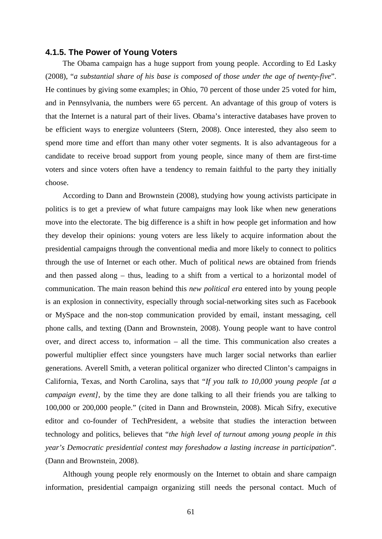#### **4.1.5. The Power of Young Voters**

The Obama campaign has a huge support from young people. According to Ed Lasky (2008), "*a substantial share of his base is composed of those under the age of twenty-five*". He continues by giving some examples; in Ohio, 70 percent of those under 25 voted for him, and in Pennsylvania, the numbers were 65 percent. An advantage of this group of voters is that the Internet is a natural part of their lives. Obama's interactive databases have proven to be efficient ways to energize volunteers (Stern, 2008). Once interested, they also seem to spend more time and effort than many other voter segments. It is also advantageous for a candidate to receive broad support from young people, since many of them are first-time voters and since voters often have a tendency to remain faithful to the party they initially choose.

According to Dann and Brownstein (2008), studying how young activists participate in politics is to get a preview of what future campaigns may look like when new generations move into the electorate. The big difference is a shift in how people get information and how they develop their opinions: young voters are less likely to acquire information about the presidential campaigns through the conventional media and more likely to connect to politics through the use of Internet or each other. Much of political *news* are obtained from friends and then passed along – thus, leading to a shift from a vertical to a horizontal model of communication. The main reason behind this *new political era* entered into by young people is an explosion in connectivity, especially through social-networking sites such as Facebook or MySpace and the non-stop communication provided by email, instant messaging, cell phone calls, and texting (Dann and Brownstein, 2008). Young people want to have control over, and direct access to, information – all the time. This communication also creates a powerful multiplier effect since youngsters have much larger social networks than earlier generations. Averell Smith, a veteran political organizer who directed Clinton's campaigns in California, Texas, and North Carolina, says that "*If you talk to 10,000 young people [at a campaign event],* by the time they are done talking to all their friends you are talking to 100,000 or 200,000 people." (cited in Dann and Brownstein, 2008). Micah Sifry, executive editor and co-founder of TechPresident, a website that studies the interaction between technology and politics, believes that "*the high level of turnout among young people in this year's Democratic presidential contest may foreshadow a lasting increase in participation*". (Dann and Brownstein, 2008).

Although young people rely enormously on the Internet to obtain and share campaign information, presidential campaign organizing still needs the personal contact. Much of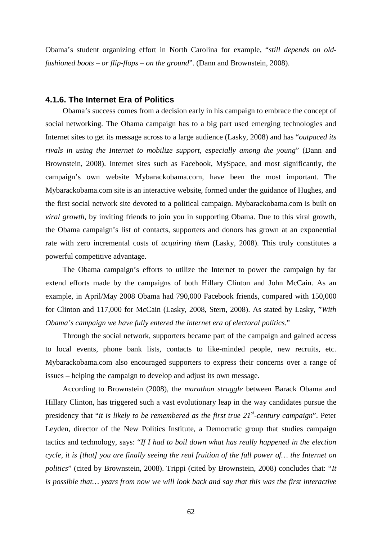Obama's student organizing effort in North Carolina for example, "*still depends on oldfashioned boots – or flip-flops – on the ground*". (Dann and Brownstein, 2008).

#### **4.1.6. The Internet Era of Politics**

Obama's success comes from a decision early in his campaign to embrace the concept of social networking. The Obama campaign has to a big part used emerging technologies and Internet sites to get its message across to a large audience (Lasky, 2008) and has "*outpaced its rivals in using the Internet to mobilize support, especially among the young*" (Dann and Brownstein, 2008). Internet sites such as Facebook, MySpace, and most significantly, the campaign's own website Mybarackobama.com, have been the most important. The Mybarackobama.com site is an interactive website, formed under the guidance of Hughes, and the first social network site devoted to a political campaign. Mybarackobama.com is built on *viral growth*, by inviting friends to join you in supporting Obama. Due to this viral growth, the Obama campaign's list of contacts, supporters and donors has grown at an exponential rate with zero incremental costs of *acquiring them* (Lasky, 2008). This truly constitutes a powerful competitive advantage.

The Obama campaign's efforts to utilize the Internet to power the campaign by far extend efforts made by the campaigns of both Hillary Clinton and John McCain. As an example, in April/May 2008 Obama had 790,000 Facebook friends, compared with 150,000 for Clinton and 117,000 for McCain (Lasky, 2008, Stern, 2008). As stated by Lasky, "*With Obama's campaign we have fully entered the internet era of electoral politics.*"

Through the social network, supporters became part of the campaign and gained access to local events, phone bank lists, contacts to like-minded people, new recruits, etc. Mybarackobama.com also encouraged supporters to express their concerns over a range of issues – helping the campaign to develop and adjust its own message.

According to Brownstein (2008), the *marathon struggle* between Barack Obama and Hillary Clinton, has triggered such a vast evolutionary leap in the way candidates pursue the presidency that "*it is likely to be remembered as the first true 21st -century campaign*". Peter Leyden, director of the New Politics Institute, a Democratic group that studies campaign tactics and technology, says: "*If I had to boil down what has really happened in the election cycle, it is [that] you are finally seeing the real fruition of the full power of… the Internet on politics*" (cited by Brownstein, 2008). Trippi (cited by Brownstein, 2008) concludes that: "*It is possible that… years from now we will look back and say that this was the first interactive*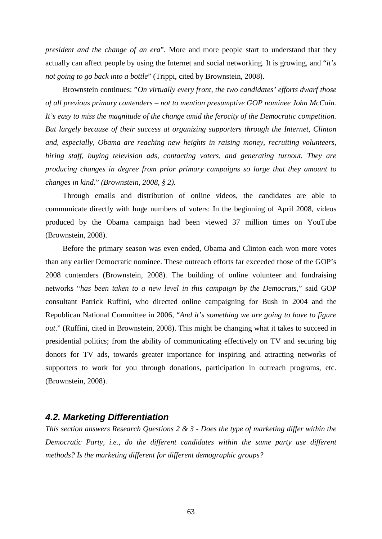*president and the change of an era*". More and more people start to understand that they actually can affect people by using the Internet and social networking. It is growing, and "*it's not going to go back into a bottle*" (Trippi, cited by Brownstein, 2008).

Brownstein continues: "*On virtually every front, the two candidates' efforts dwarf those of all previous primary contenders – not to mention presumptive GOP nominee John McCain. It's easy to miss the magnitude of the change amid the ferocity of the Democratic competition. But largely because of their success at organizing supporters through the Internet, Clinton and, especially, Obama are reaching new heights in raising money, recruiting volunteers, hiring staff, buying television ads, contacting voters, and generating turnout. They are producing changes in degree from prior primary campaigns so large that they amount to changes in kind.*" *(Brownstein, 2008, § 2).*

Through emails and distribution of online videos, the candidates are able to communicate directly with huge numbers of voters: In the beginning of April 2008, videos produced by the Obama campaign had been viewed 37 million times on YouTube (Brownstein, 2008).

Before the primary season was even ended, Obama and Clinton each won more votes than any earlier Democratic nominee. These outreach efforts far exceeded those of the GOP's 2008 contenders (Brownstein, 2008). The building of online volunteer and fundraising networks "*has been taken to a new level in this campaign by the Democrats*," said GOP consultant Patrick Ruffini, who directed online campaigning for Bush in 2004 and the Republican National Committee in 2006, "*And it's something we are going to have to figure out*." (Ruffini, cited in Brownstein, 2008). This might be changing what it takes to succeed in presidential politics; from the ability of communicating effectively on TV and securing big donors for TV ads, towards greater importance for inspiring and attracting networks of supporters to work for you through donations, participation in outreach programs, etc. (Brownstein, 2008).

# *4.2. Marketing Differentiation*

*This section answers Research Questions 2 & 3 - Does the type of marketing differ within the Democratic Party, i.e., do the different candidates within the same party use different methods? Is the marketing different for different demographic groups?*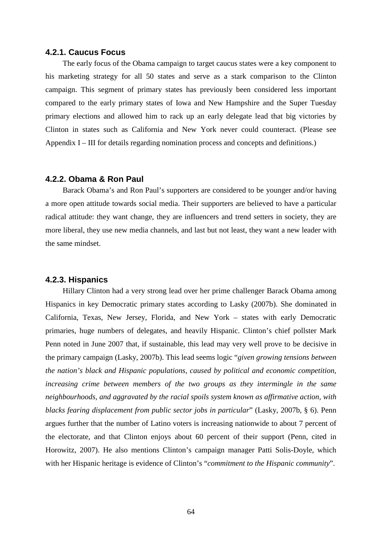#### **4.2.1. Caucus Focus**

The early focus of the Obama campaign to target caucus states were a key component to his marketing strategy for all 50 states and serve as a stark comparison to the Clinton campaign. This segment of primary states has previously been considered less important compared to the early primary states of Iowa and New Hampshire and the Super Tuesday primary elections and allowed him to rack up an early delegate lead that big victories by Clinton in states such as California and New York never could counteract. (Please see Appendix I – III for details regarding nomination process and concepts and definitions.)

### **4.2.2. Obama & Ron Paul**

Barack Obama's and Ron Paul's supporters are considered to be younger and/or having a more open attitude towards social media. Their supporters are believed to have a particular radical attitude: they want change, they are influencers and trend setters in society, they are more liberal, they use new media channels, and last but not least, they want a new leader with the same mindset.

#### **4.2.3. Hispanics**

Hillary Clinton had a very strong lead over her prime challenger Barack Obama among Hispanics in key Democratic primary states according to Lasky (2007b). She dominated in California, Texas, New Jersey, Florida, and New York – states with early Democratic primaries, huge numbers of delegates, and heavily Hispanic. Clinton's chief pollster Mark Penn noted in June 2007 that, if sustainable, this lead may very well prove to be decisive in the primary campaign (Lasky, 2007b). This lead seems logic "*given growing tensions between the nation's black and Hispanic populations, caused by political and economic competition, increasing crime between members of the two groups as they intermingle in the same neighbourhoods, and aggravated by the racial spoils system known as affirmative action, with blacks fearing displacement from public sector jobs in particular*" (Lasky, 2007b, § 6). Penn argues further that the number of Latino voters is increasing nationwide to about 7 percent of the electorate, and that Clinton enjoys about 60 percent of their support (Penn, cited in Horowitz, 2007). He also mentions Clinton's campaign manager Patti Solis-Doyle, which with her Hispanic heritage is evidence of Clinton's "*commitment to the Hispanic community*".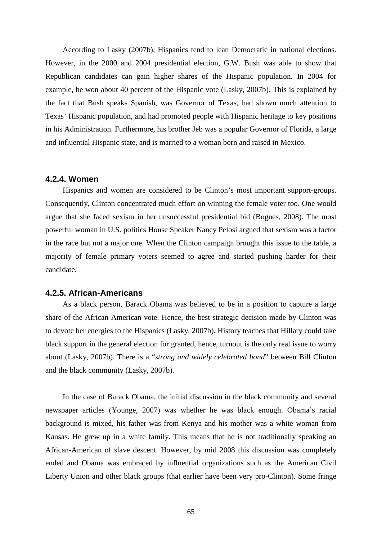According to Lasky (2007b), Hispanics tend to lean Democratic in national elections. However, in the 2000 and 2004 presidential election, G.W. Bush was able to show that Republican candidates can gain higher shares of the Hispanic population. In 2004 for example, he won about 40 percent of the Hispanic vote (Lasky, 2007b). This is explained by the fact that Bush speaks Spanish, was Governor of Texas, had shown much attention to Texas' Hispanic population, and had promoted people with Hispanic heritage to key positions in his Administration. Furthermore, his brother Jeb was a popular Governor of Florida, a large and influential Hispanic state, and is married to a woman born and raised in Mexico.

#### **4.2.4. Women**

Hispanics and women are considered to be Clinton's most important support-groups. Consequently, Clinton concentrated much effort on winning the female voter too. One would argue that she faced sexism in her unsuccessful presidential bid (Bogues, 2008). The most powerful woman in U.S. politics House Speaker Nancy Pelosi argued that sexism was a factor in the race but not a major one. When the Clinton campaign brought this issue to the table, a majority of female primary voters seemed to agree and started pushing harder for their candidate.

### **4.2.5. African-Americans**

As a black person, Barack Obama was believed to be in a position to capture a large share of the African-American vote. Hence, the best strategic decision made by Clinton was to devote her energies to the Hispanics (Lasky, 2007b). History teaches that Hillary could take black support in the general election for granted, hence, turnout is the only real issue to worry about (Lasky, 2007b). There is a "*strong and widely celebrated bond*" between Bill Clinton and the black community (Lasky, 2007b).

In the case of Barack Obama, the initial discussion in the black community and several newspaper articles (Younge, 2007) was whether he was black enough. Obama's racial background is mixed, his father was from Kenya and his mother was a white woman from Kansas. He grew up in a white family. This means that he is not traditionally speaking an African-American of slave descent. However, by mid 2008 this discussion was completely ended and Obama was embraced by influential organizations such as the American Civil Liberty Union and other black groups (that earlier have been very pro-Clinton). Some fringe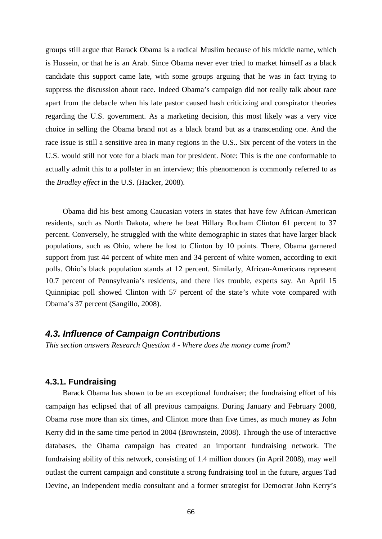groups still argue that Barack Obama is a radical Muslim because of his middle name, which is Hussein, or that he is an Arab. Since Obama never ever tried to market himself as a black candidate this support came late, with some groups arguing that he was in fact trying to suppress the discussion about race. Indeed Obama's campaign did not really talk about race apart from the debacle when his late pastor caused hash criticizing and conspirator theories regarding the U.S. government. As a marketing decision, this most likely was a very vice choice in selling the Obama brand not as a black brand but as a transcending one. And the race issue is still a sensitive area in many regions in the U.S.. Six percent of the voters in the U.S. would still not vote for a black man for president. Note: This is the one conformable to actually admit this to a pollster in an interview; this phenomenon is commonly referred to as the *Bradley effect* in the U.S. (Hacker, 2008).

Obama did his best among Caucasian voters in states that have few African-American residents, such as North Dakota, where he beat Hillary Rodham Clinton 61 percent to 37 percent. Conversely, he struggled with the white demographic in states that have larger black populations, such as Ohio, where he lost to Clinton by 10 points. There, Obama garnered support from just 44 percent of white men and 34 percent of white women, according to exit polls. Ohio's black population stands at 12 percent. Similarly, African-Americans represent 10.7 percent of Pennsylvania's residents, and there lies trouble, experts say. An April 15 Quinnipiac poll showed Clinton with 57 percent of the state's white vote compared with Obama's 37 percent (Sangillo, 2008).

### *4.3. Influence of Campaign Contributions*

*This section answers Research Question 4 - Where does the money come from?*

#### **4.3.1. Fundraising**

Barack Obama has shown to be an exceptional fundraiser; the fundraising effort of his campaign has eclipsed that of all previous campaigns. During January and February 2008, Obama rose more than six times, and Clinton more than five times, as much money as John Kerry did in the same time period in 2004 (Brownstein, 2008). Through the use of interactive databases, the Obama campaign has created an important fundraising network. The fundraising ability of this network, consisting of 1.4 million donors (in April 2008), may well outlast the current campaign and constitute a strong fundraising tool in the future, argues Tad Devine, an independent media consultant and a former strategist for Democrat John Kerry's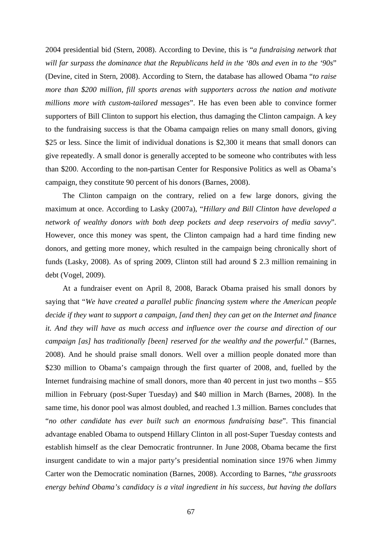2004 presidential bid (Stern, 2008). According to Devine, this is "*a fundraising network that will far surpass the dominance that the Republicans held in the '80s and even in to the '90s*" (Devine, cited in Stern, 2008). According to Stern, the database has allowed Obama "*to raise more than \$200 million, fill sports arenas with supporters across the nation and motivate millions more with custom-tailored messages*". He has even been able to convince former supporters of Bill Clinton to support his election, thus damaging the Clinton campaign. A key to the fundraising success is that the Obama campaign relies on many small donors, giving \$25 or less. Since the limit of individual donations is \$2,300 it means that small donors can give repeatedly. A small donor is generally accepted to be someone who contributes with less than \$200. According to the non-partisan Center for Responsive Politics as well as Obama's campaign, they constitute 90 percent of his donors (Barnes, 2008).

The Clinton campaign on the contrary, relied on a few large donors, giving the maximum at once. According to Lasky (2007a), "*Hillary and Bill Clinton have developed a network of wealthy donors with both deep pockets and deep reservoirs of media savvy*". However, once this money was spent, the Clinton campaign had a hard time finding new donors, and getting more money, which resulted in the campaign being chronically short of funds (Lasky, 2008). As of spring 2009, Clinton still had around \$ 2.3 million remaining in debt (Vogel, 2009).

At a fundraiser event on April 8, 2008, Barack Obama praised his small donors by saying that "*We have created a parallel public financing system where the American people decide if they want to support a campaign, [and then] they can get on the Internet and finance it. And they will have as much access and influence over the course and direction of our campaign [as] has traditionally [been] reserved for the wealthy and the powerful*." (Barnes, 2008). And he should praise small donors. Well over a million people donated more than \$230 million to Obama's campaign through the first quarter of 2008, and, fuelled by the Internet fundraising machine of small donors, more than 40 percent in just two months – \$55 million in February (post-Super Tuesday) and \$40 million in March (Barnes, 2008). In the same time, his donor pool was almost doubled, and reached 1.3 million. Barnes concludes that "*no other candidate has ever built such an enormous fundraising base*". This financial advantage enabled Obama to outspend Hillary Clinton in all post-Super Tuesday contests and establish himself as the clear Democratic frontrunner. In June 2008, Obama became the first insurgent candidate to win a major party's presidential nomination since 1976 when Jimmy Carter won the Democratic nomination (Barnes, 2008). According to Barnes, "*the grassroots energy behind Obama's candidacy is a vital ingredient in his success, but having the dollars*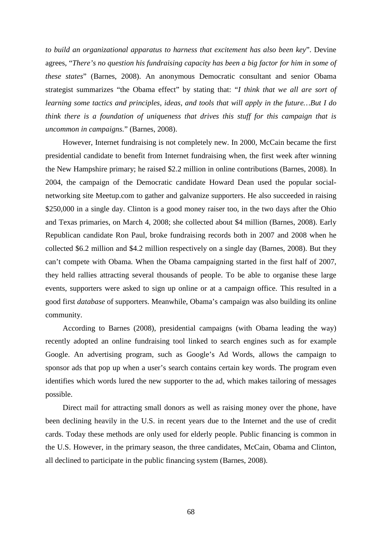*to build an organizational apparatus to harness that excitement has also been key*". Devine agrees, "*There's no question his fundraising capacity has been a big factor for him in some of these states*" (Barnes, 2008). An anonymous Democratic consultant and senior Obama strategist summarizes "the Obama effect" by stating that: "*I think that we all are sort of learning some tactics and principles, ideas, and tools that will apply in the future…But I do think there is a foundation of uniqueness that drives this stuff for this campaign that is uncommon in campaigns.*" (Barnes, 2008).

However, Internet fundraising is not completely new. In 2000, McCain became the first presidential candidate to benefit from Internet fundraising when, the first week after winning the New Hampshire primary; he raised \$2.2 million in online contributions (Barnes, 2008). In 2004, the campaign of the Democratic candidate Howard Dean used the popular socialnetworking site Meetup.com to gather and galvanize supporters. He also succeeded in raising \$250,000 in a single day. Clinton is a good money raiser too, in the two days after the Ohio and Texas primaries, on March 4, 2008; she collected about \$4 million (Barnes, 2008). Early Republican candidate Ron Paul, broke fundraising records both in 2007 and 2008 when he collected \$6.2 million and \$4.2 million respectively on a single day (Barnes, 2008). But they can't compete with Obama. When the Obama campaigning started in the first half of 2007, they held rallies attracting several thousands of people. To be able to organise these large events, supporters were asked to sign up online or at a campaign office. This resulted in a good first *database* of supporters. Meanwhile, Obama's campaign was also building its online community.

According to Barnes (2008), presidential campaigns (with Obama leading the way) recently adopted an online fundraising tool linked to search engines such as for example Google. An advertising program, such as Google's Ad Words, allows the campaign to sponsor ads that pop up when a user's search contains certain key words. The program even identifies which words lured the new supporter to the ad, which makes tailoring of messages possible.

Direct mail for attracting small donors as well as raising money over the phone, have been declining heavily in the U.S. in recent years due to the Internet and the use of credit cards. Today these methods are only used for elderly people. Public financing is common in the U.S. However, in the primary season, the three candidates, McCain, Obama and Clinton, all declined to participate in the public financing system (Barnes, 2008).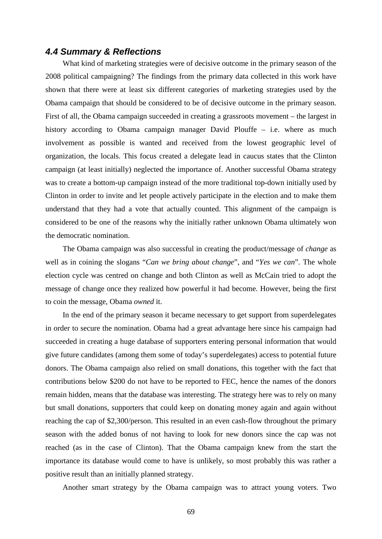# *4.4 Summary & Reflections*

What kind of marketing strategies were of decisive outcome in the primary season of the 2008 political campaigning? The findings from the primary data collected in this work have shown that there were at least six different categories of marketing strategies used by the Obama campaign that should be considered to be of decisive outcome in the primary season. First of all, the Obama campaign succeeded in creating a grassroots movement – the largest in history according to Obama campaign manager David Plouffe – i.e. where as much involvement as possible is wanted and received from the lowest geographic level of organization, the locals. This focus created a delegate lead in caucus states that the Clinton campaign (at least initially) neglected the importance of. Another successful Obama strategy was to create a bottom-up campaign instead of the more traditional top-down initially used by Clinton in order to invite and let people actively participate in the election and to make them understand that they had a vote that actually counted. This alignment of the campaign is considered to be one of the reasons why the initially rather unknown Obama ultimately won the democratic nomination.

The Obama campaign was also successful in creating the product/message of *change* as well as in coining the slogans "*Can we bring about change*", and "*Yes we can*". The whole election cycle was centred on change and both Clinton as well as McCain tried to adopt the message of change once they realized how powerful it had become. However, being the first to coin the message, Obama *owned* it.

In the end of the primary season it became necessary to get support from superdelegates in order to secure the nomination. Obama had a great advantage here since his campaign had succeeded in creating a huge database of supporters entering personal information that would give future candidates (among them some of today's superdelegates) access to potential future donors. The Obama campaign also relied on small donations, this together with the fact that contributions below \$200 do not have to be reported to FEC, hence the names of the donors remain hidden, means that the database was interesting. The strategy here was to rely on many but small donations, supporters that could keep on donating money again and again without reaching the cap of \$2,300/person. This resulted in an even cash-flow throughout the primary season with the added bonus of not having to look for new donors since the cap was not reached (as in the case of Clinton). That the Obama campaign knew from the start the importance its database would come to have is unlikely, so most probably this was rather a positive result than an initially planned strategy.

Another smart strategy by the Obama campaign was to attract young voters. Two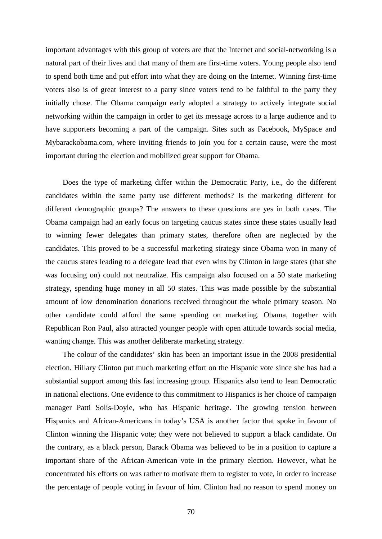important advantages with this group of voters are that the Internet and social-networking is a natural part of their lives and that many of them are first-time voters. Young people also tend to spend both time and put effort into what they are doing on the Internet. Winning first-time voters also is of great interest to a party since voters tend to be faithful to the party they initially chose. The Obama campaign early adopted a strategy to actively integrate social networking within the campaign in order to get its message across to a large audience and to have supporters becoming a part of the campaign. Sites such as Facebook, MySpace and Mybarackobama.com, where inviting friends to join you for a certain cause, were the most important during the election and mobilized great support for Obama.

Does the type of marketing differ within the Democratic Party, i.e., do the different candidates within the same party use different methods? Is the marketing different for different demographic groups? The answers to these questions are yes in both cases. The Obama campaign had an early focus on targeting caucus states since these states usually lead to winning fewer delegates than primary states, therefore often are neglected by the candidates. This proved to be a successful marketing strategy since Obama won in many of the caucus states leading to a delegate lead that even wins by Clinton in large states (that she was focusing on) could not neutralize. His campaign also focused on a 50 state marketing strategy, spending huge money in all 50 states. This was made possible by the substantial amount of low denomination donations received throughout the whole primary season. No other candidate could afford the same spending on marketing. Obama, together with Republican Ron Paul, also attracted younger people with open attitude towards social media, wanting change. This was another deliberate marketing strategy.

The colour of the candidates' skin has been an important issue in the 2008 presidential election. Hillary Clinton put much marketing effort on the Hispanic vote since she has had a substantial support among this fast increasing group. Hispanics also tend to lean Democratic in national elections. One evidence to this commitment to Hispanics is her choice of campaign manager Patti Solis-Doyle, who has Hispanic heritage. The growing tension between Hispanics and African-Americans in today's USA is another factor that spoke in favour of Clinton winning the Hispanic vote; they were not believed to support a black candidate. On the contrary, as a black person, Barack Obama was believed to be in a position to capture a important share of the African-American vote in the primary election. However, what he concentrated his efforts on was rather to motivate them to register to vote, in order to increase the percentage of people voting in favour of him. Clinton had no reason to spend money on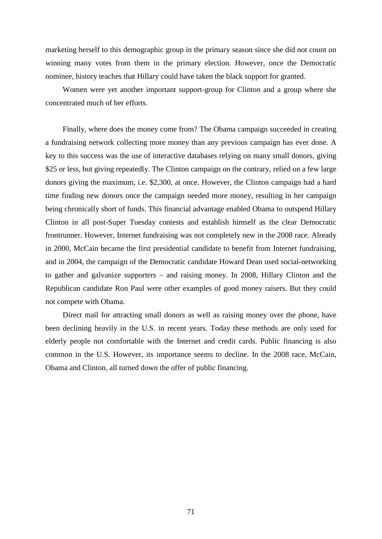marketing herself to this demographic group in the primary season since she did not count on winning many votes from them in the primary election. However, once the Democratic nominee, history teaches that Hillary could have taken the black support for granted.

Women were yet another important support-group for Clinton and a group where she concentrated much of her efforts.

Finally, where does the money come from? The Obama campaign succeeded in creating a fundraising network collecting more money than any previous campaign has ever done. A key to this success was the use of interactive databases relying on many small donors, giving \$25 or less, but giving repeatedly. The Clinton campaign on the contrary, relied on a few large donors giving the maximum, i.e. \$2,300, at once. However, the Clinton campaign had a hard time finding new donors once the campaign needed more money, resulting in her campaign being chronically short of funds. This financial advantage enabled Obama to outspend Hillary Clinton in all post-Super Tuesday contests and establish himself as the clear Democratic frontrunner. However, Internet fundraising was not completely new in the 2008 race. Already in 2000, McCain became the first presidential candidate to benefit from Internet fundraising, and in 2004, the campaign of the Democratic candidate Howard Dean used social-networking to gather and galvanize supporters – and raising money. In 2008, Hillary Clinton and the Republican candidate Ron Paul were other examples of good money raisers. But they could not compete with Obama.

Direct mail for attracting small donors as well as raising money over the phone, have been declining heavily in the U.S. in recent years. Today these methods are only used for elderly people not comfortable with the Internet and credit cards. Public financing is also common in the U.S. However, its importance seems to decline. In the 2008 race, McCain, Obama and Clinton, all turned down the offer of public financing.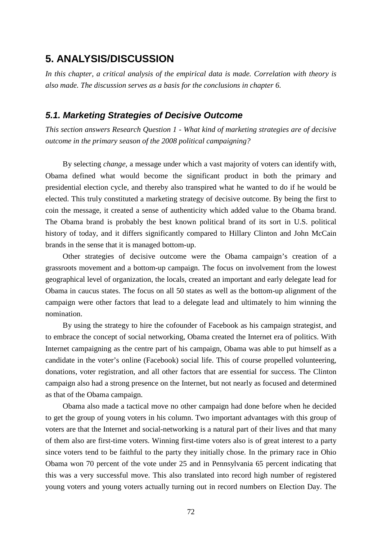# **5. ANALYSIS/DISCUSSION**

*In this chapter, a critical analysis of the empirical data is made. Correlation with theory is also made. The discussion serves as a basis for the conclusions in chapter 6.*

# *5.1. Marketing Strategies of Decisive Outcome*

*This section answers Research Question 1 - What kind of marketing strategies are of decisive outcome in the primary season of the 2008 political campaigning?*

By selecting *change*, a message under which a vast majority of voters can identify with, Obama defined what would become the significant product in both the primary and presidential election cycle, and thereby also transpired what he wanted to do if he would be elected. This truly constituted a marketing strategy of decisive outcome. By being the first to coin the message, it created a sense of authenticity which added value to the Obama brand. The Obama brand is probably the best known political brand of its sort in U.S. political history of today, and it differs significantly compared to Hillary Clinton and John McCain brands in the sense that it is managed bottom-up.

Other strategies of decisive outcome were the Obama campaign's creation of a grassroots movement and a bottom-up campaign. The focus on involvement from the lowest geographical level of organization, the locals, created an important and early delegate lead for Obama in caucus states. The focus on all 50 states as well as the bottom-up alignment of the campaign were other factors that lead to a delegate lead and ultimately to him winning the nomination.

By using the strategy to hire the cofounder of Facebook as his campaign strategist, and to embrace the concept of social networking, Obama created the Internet era of politics. With Internet campaigning as the centre part of his campaign, Obama was able to put himself as a candidate in the voter's online (Facebook) social life. This of course propelled volunteering, donations, voter registration, and all other factors that are essential for success. The Clinton campaign also had a strong presence on the Internet, but not nearly as focused and determined as that of the Obama campaign.

Obama also made a tactical move no other campaign had done before when he decided to get the group of young voters in his column. Two important advantages with this group of voters are that the Internet and social-networking is a natural part of their lives and that many of them also are first-time voters. Winning first-time voters also is of great interest to a party since voters tend to be faithful to the party they initially chose. In the primary race in Ohio Obama won 70 percent of the vote under 25 and in Pennsylvania 65 percent indicating that this was a very successful move. This also translated into record high number of registered young voters and young voters actually turning out in record numbers on Election Day. The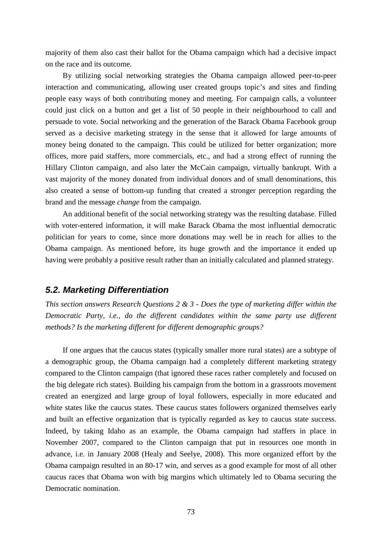majority of them also cast their ballot for the Obama campaign which had a decisive impact on the race and its outcome.

By utilizing social networking strategies the Obama campaign allowed peer-to-peer interaction and communicating, allowing user created groups topic's and sites and finding people easy ways of both contributing money and meeting. For campaign calls, a volunteer could just click on a button and get a list of 50 people in their neighbourhood to call and persuade to vote. Social networking and the generation of the Barack Obama Facebook group served as a decisive marketing strategy in the sense that it allowed for large amounts of money being donated to the campaign. This could be utilized for better organization; more offices, more paid staffers, more commercials, etc., and had a strong effect of running the Hillary Clinton campaign, and also later the McCain campaign, virtually bankrupt. With a vast majority of the money donated from individual donors and of small denominations, this also created a sense of bottom-up funding that created a stronger perception regarding the brand and the message *change* from the campaign.

An additional benefit of the social networking strategy was the resulting database. Filled with voter-entered information, it will make Barack Obama the most influential democratic politician for years to come, since more donations may well be in reach for allies to the Obama campaign. As mentioned before, its huge growth and the importance it ended up having were probably a positive result rather than an initially calculated and planned strategy.

#### *5.2. Marketing Differentiation*

*This section answers Research Questions 2 & 3 - Does the type of marketing differ within the Democratic Party, i.e., do the different candidates within the same party use different methods? Is the marketing different for different demographic groups?*

If one argues that the caucus states (typically smaller more rural states) are a subtype of a demographic group, the Obama campaign had a completely different marketing strategy compared to the Clinton campaign (that ignored these races rather completely and focused on the big delegate rich states). Building his campaign from the bottom in a grassroots movement created an energized and large group of loyal followers, especially in more educated and white states like the caucus states. These caucus states followers organized themselves early and built an effective organization that is typically regarded as key to caucus state success. Indeed, by taking Idaho as an example, the Obama campaign had staffers in place in November 2007, compared to the Clinton campaign that put in resources one month in advance, i.e. in January 2008 (Healy and Seelye, 2008). This more organized effort by the Obama campaign resulted in an 80-17 win, and serves as a good example for most of all other caucus races that Obama won with big margins which ultimately led to Obama securing the Democratic nomination.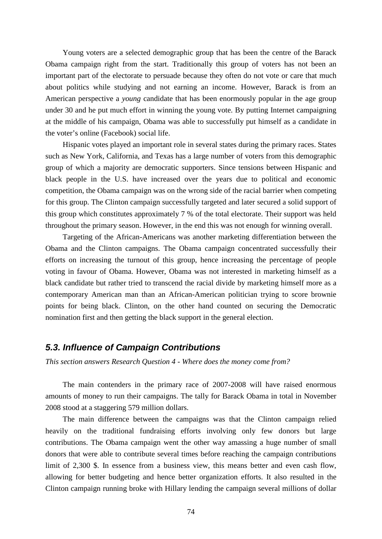Young voters are a selected demographic group that has been the centre of the Barack Obama campaign right from the start. Traditionally this group of voters has not been an important part of the electorate to persuade because they often do not vote or care that much about politics while studying and not earning an income. However, Barack is from an American perspective a *young* candidate that has been enormously popular in the age group under 30 and he put much effort in winning the young vote. By putting Internet campaigning at the middle of his campaign, Obama was able to successfully put himself as a candidate in the voter's online (Facebook) social life.

Hispanic votes played an important role in several states during the primary races. States such as New York, California, and Texas has a large number of voters from this demographic group of which a majority are democratic supporters. Since tensions between Hispanic and black people in the U.S. have increased over the years due to political and economic competition, the Obama campaign was on the wrong side of the racial barrier when competing for this group. The Clinton campaign successfully targeted and later secured a solid support of this group which constitutes approximately 7 % of the total electorate. Their support was held throughout the primary season. However, in the end this was not enough for winning overall.

Targeting of the African-Americans was another marketing differentiation between the Obama and the Clinton campaigns. The Obama campaign concentrated successfully their efforts on increasing the turnout of this group, hence increasing the percentage of people voting in favour of Obama. However, Obama was not interested in marketing himself as a black candidate but rather tried to transcend the racial divide by marketing himself more as a contemporary American man than an African-American politician trying to score brownie points for being black. Clinton, on the other hand counted on securing the Democratic nomination first and then getting the black support in the general election.

#### *5.3. Influence of Campaign Contributions*

*This section answers Research Question 4 - Where does the money come from?*

The main contenders in the primary race of 2007-2008 will have raised enormous amounts of money to run their campaigns. The tally for Barack Obama in total in November 2008 stood at a staggering 579 million dollars.

The main difference between the campaigns was that the Clinton campaign relied heavily on the traditional fundraising efforts involving only few donors but large contributions. The Obama campaign went the other way amassing a huge number of small donors that were able to contribute several times before reaching the campaign contributions limit of 2,300 \$. In essence from a business view, this means better and even cash flow, allowing for better budgeting and hence better organization efforts. It also resulted in the Clinton campaign running broke with Hillary lending the campaign several millions of dollar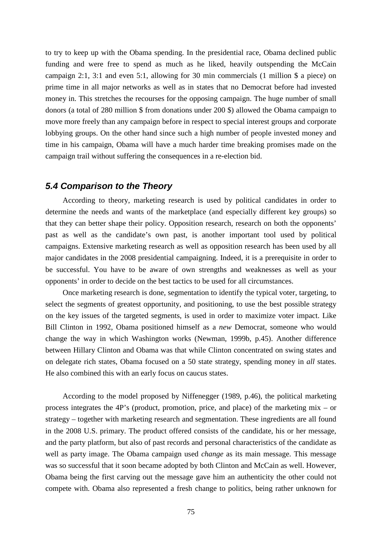to try to keep up with the Obama spending. In the presidential race, Obama declined public funding and were free to spend as much as he liked, heavily outspending the McCain campaign 2:1, 3:1 and even 5:1, allowing for 30 min commercials (1 million \$ a piece) on prime time in all major networks as well as in states that no Democrat before had invested money in. This stretches the recourses for the opposing campaign. The huge number of small donors (a total of 280 million \$ from donations under 200 \$) allowed the Obama campaign to move more freely than any campaign before in respect to special interest groups and corporate lobbying groups. On the other hand since such a high number of people invested money and time in his campaign, Obama will have a much harder time breaking promises made on the campaign trail without suffering the consequences in a re-election bid.

#### *5.4 Comparison to the Theory*

According to theory, marketing research is used by political candidates in order to determine the needs and wants of the marketplace (and especially different key groups) so that they can better shape their policy. Opposition research, research on both the opponents' past as well as the candidate's own past, is another important tool used by political campaigns. Extensive marketing research as well as opposition research has been used by all major candidates in the 2008 presidential campaigning. Indeed, it is a prerequisite in order to be successful. You have to be aware of own strengths and weaknesses as well as your opponents' in order to decide on the best tactics to be used for all circumstances.

Once marketing research is done, segmentation to identify the typical voter, targeting, to select the segments of greatest opportunity, and positioning, to use the best possible strategy on the key issues of the targeted segments, is used in order to maximize voter impact. Like Bill Clinton in 1992, Obama positioned himself as a *new* Democrat, someone who would change the way in which Washington works (Newman, 1999b, p.45). Another difference between Hillary Clinton and Obama was that while Clinton concentrated on swing states and on delegate rich states, Obama focused on a 50 state strategy, spending money in *all* states. He also combined this with an early focus on caucus states.

According to the model proposed by Niffenegger (1989, p.46), the political marketing process integrates the 4P's (product, promotion, price, and place) of the marketing mix – or strategy – together with marketing research and segmentation. These ingredients are all found in the 2008 U.S. primary. The product offered consists of the candidate, his or her message, and the party platform, but also of past records and personal characteristics of the candidate as well as party image. The Obama campaign used *change* as its main message. This message was so successful that it soon became adopted by both Clinton and McCain as well. However, Obama being the first carving out the message gave him an authenticity the other could not compete with. Obama also represented a fresh change to politics, being rather unknown for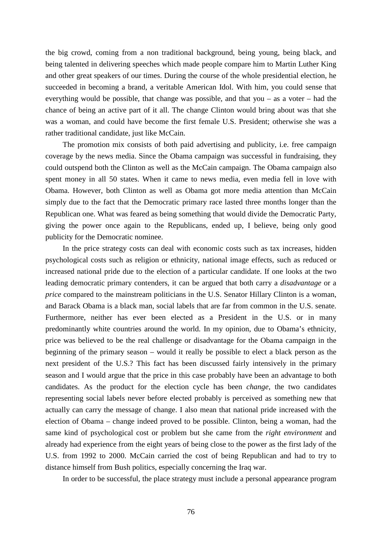the big crowd, coming from a non traditional background, being young, being black, and being talented in delivering speeches which made people compare him to Martin Luther King and other great speakers of our times. During the course of the whole presidential election, he succeeded in becoming a brand, a veritable American Idol. With him, you could sense that everything would be possible, that change was possible, and that you – as a voter – had the chance of being an active part of it all. The change Clinton would bring about was that she was a woman, and could have become the first female U.S. President; otherwise she was a rather traditional candidate, just like McCain.

The promotion mix consists of both paid advertising and publicity, i.e. free campaign coverage by the news media. Since the Obama campaign was successful in fundraising, they could outspend both the Clinton as well as the McCain campaign. The Obama campaign also spent money in all 50 states. When it came to news media, even media fell in love with Obama. However, both Clinton as well as Obama got more media attention than McCain simply due to the fact that the Democratic primary race lasted three months longer than the Republican one. What was feared as being something that would divide the Democratic Party, giving the power once again to the Republicans, ended up, I believe, being only good publicity for the Democratic nominee.

In the price strategy costs can deal with economic costs such as tax increases, hidden psychological costs such as religion or ethnicity, national image effects, such as reduced or increased national pride due to the election of a particular candidate. If one looks at the two leading democratic primary contenders, it can be argued that both carry a *disadvantage* or a *price* compared to the mainstream politicians in the U.S. Senator Hillary Clinton is a woman, and Barack Obama is a black man, social labels that are far from common in the U.S. senate. Furthermore, neither has ever been elected as a President in the U.S. or in many predominantly white countries around the world. In my opinion, due to Obama's ethnicity, price was believed to be the real challenge or disadvantage for the Obama campaign in the beginning of the primary season – would it really be possible to elect a black person as the next president of the U.S.? This fact has been discussed fairly intensively in the primary season and I would argue that the price in this case probably have been an advantage to both candidates. As the product for the election cycle has been *change*, the two candidates representing social labels never before elected probably is perceived as something new that actually can carry the message of change. I also mean that national pride increased with the election of Obama – change indeed proved to be possible. Clinton, being a woman, had the same kind of psychological cost or problem but she came from the *right environment* and already had experience from the eight years of being close to the power as the first lady of the U.S. from 1992 to 2000. McCain carried the cost of being Republican and had to try to distance himself from Bush politics, especially concerning the Iraq war.

In order to be successful, the place strategy must include a personal appearance program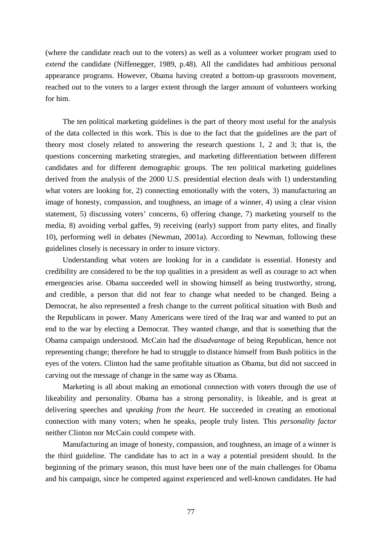(where the candidate reach out to the voters) as well as a volunteer worker program used to *extend* the candidate (Niffenegger, 1989, p.48). All the candidates had ambitious personal appearance programs. However, Obama having created a bottom-up grassroots movement, reached out to the voters to a larger extent through the larger amount of volunteers working for him.

The ten political marketing guidelines is the part of theory most useful for the analysis of the data collected in this work. This is due to the fact that the guidelines are the part of theory most closely related to answering the research questions 1, 2 and 3; that is, the questions concerning marketing strategies, and marketing differentiation between different candidates and for different demographic groups. The ten political marketing guidelines derived from the analysis of the 2000 U.S. presidential election deals with 1) understanding what voters are looking for, 2) connecting emotionally with the voters, 3) manufacturing an image of honesty, compassion, and toughness, an image of a winner, 4) using a clear vision statement, 5) discussing voters' concerns, 6) offering change, 7) marketing yourself to the media, 8) avoiding verbal gaffes, 9) receiving (early) support from party elites, and finally 10), performing well in debates (Newman, 2001a). According to Newman, following these guidelines closely is necessary in order to insure victory.

Understanding what voters are looking for in a candidate is essential. Honesty and credibility are considered to be the top qualities in a president as well as courage to act when emergencies arise. Obama succeeded well in showing himself as being trustworthy, strong, and credible, a person that did not fear to change what needed to be changed. Being a Democrat, he also represented a fresh change to the current political situation with Bush and the Republicans in power. Many Americans were tired of the Iraq war and wanted to put an end to the war by electing a Democrat. They wanted change, and that is something that the Obama campaign understood. McCain had the *disadvantage* of being Republican, hence not representing change; therefore he had to struggle to distance himself from Bush politics in the eyes of the voters. Clinton had the same profitable situation as Obama, but did not succeed in carving out the message of change in the same way as Obama.

Marketing is all about making an emotional connection with voters through the use of likeability and personality. Obama has a strong personality, is likeable, and is great at delivering speeches and *speaking from the heart*. He succeeded in creating an emotional connection with many voters; when he speaks, people truly listen. This *personality factor* neither Clinton nor McCain could compete with.

Manufacturing an image of honesty, compassion, and toughness, an image of a winner is the third guideline. The candidate has to act in a way a potential president should. In the beginning of the primary season, this must have been one of the main challenges for Obama and his campaign, since he competed against experienced and well-known candidates. He had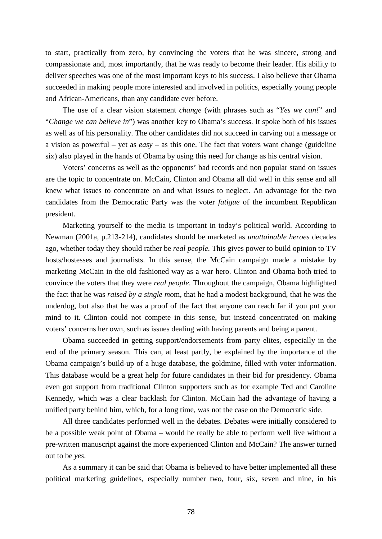to start, practically from zero, by convincing the voters that he was sincere, strong and compassionate and, most importantly, that he was ready to become their leader. His ability to deliver speeches was one of the most important keys to his success. I also believe that Obama succeeded in making people more interested and involved in politics, especially young people and African-Americans, than any candidate ever before.

The use of a clear vision statement *change* (with phrases such as "*Yes we can!*" and "*Change we can believe in*") was another key to Obama's success. It spoke both of his issues as well as of his personality. The other candidates did not succeed in carving out a message or a vision as powerful – yet as *easy* – as this one. The fact that voters want change (guideline six) also played in the hands of Obama by using this need for change as his central vision.

Voters' concerns as well as the opponents' bad records and non popular stand on issues are the topic to concentrate on. McCain, Clinton and Obama all did well in this sense and all knew what issues to concentrate on and what issues to neglect. An advantage for the two candidates from the Democratic Party was the voter *fatigue* of the incumbent Republican president.

Marketing yourself to the media is important in today's political world. According to Newman (2001a, p.213-214), candidates should be marketed as *unattainable heroes* decades ago, whether today they should rather be *real people*. This gives power to build opinion to TV hosts/hostesses and journalists. In this sense, the McCain campaign made a mistake by marketing McCain in the old fashioned way as a war hero. Clinton and Obama both tried to convince the voters that they were *real people*. Throughout the campaign, Obama highlighted the fact that he was *raised by a single mo*m, that he had a modest background, that he was the underdog, but also that he was a proof of the fact that anyone can reach far if you put your mind to it. Clinton could not compete in this sense, but instead concentrated on making voters' concerns her own, such as issues dealing with having parents and being a parent.

Obama succeeded in getting support/endorsements from party elites, especially in the end of the primary season. This can, at least partly, be explained by the importance of the Obama campaign's build-up of a huge database, the goldmine, filled with voter information. This database would be a great help for future candidates in their bid for presidency. Obama even got support from traditional Clinton supporters such as for example Ted and Caroline Kennedy, which was a clear backlash for Clinton. McCain had the advantage of having a unified party behind him, which, for a long time, was not the case on the Democratic side.

All three candidates performed well in the debates. Debates were initially considered to be a possible weak point of Obama – would he really be able to perform well live without a pre-written manuscript against the more experienced Clinton and McCain? The answer turned out to be *yes*.

As a summary it can be said that Obama is believed to have better implemented all these political marketing guidelines, especially number two, four, six, seven and nine, in his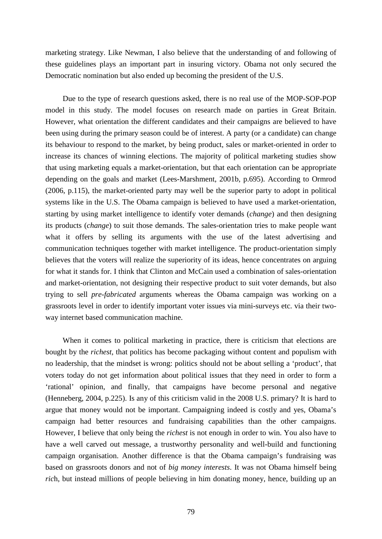marketing strategy. Like Newman, I also believe that the understanding of and following of these guidelines plays an important part in insuring victory. Obama not only secured the Democratic nomination but also ended up becoming the president of the U.S.

Due to the type of research questions asked, there is no real use of the MOP-SOP-POP model in this study. The model focuses on research made on parties in Great Britain. However, what orientation the different candidates and their campaigns are believed to have been using during the primary season could be of interest. A party (or a candidate) can change its behaviour to respond to the market, by being product, sales or market-oriented in order to increase its chances of winning elections. The majority of political marketing studies show that using marketing equals a market-orientation, but that each orientation can be appropriate depending on the goals and market (Lees-Marshment, 2001b, p.695). According to Ormrod (2006, p.115), the market-oriented party may well be the superior party to adopt in political systems like in the U.S. The Obama campaign is believed to have used a market-orientation, starting by using market intelligence to identify voter demands (*change*) and then designing its products (*change*) to suit those demands. The sales-orientation tries to make people want what it offers by selling its arguments with the use of the latest advertising and communication techniques together with market intelligence. The product-orientation simply believes that the voters will realize the superiority of its ideas, hence concentrates on arguing for what it stands for. I think that Clinton and McCain used a combination of sales-orientation and market-orientation, not designing their respective product to suit voter demands, but also trying to sell *pre-fabricated* arguments whereas the Obama campaign was working on a grassroots level in order to identify important voter issues via mini-surveys etc. via their twoway internet based communication machine.

When it comes to political marketing in practice, there is criticism that elections are bought by the *richest*, that politics has become packaging without content and populism with no leadership, that the mindset is wrong: politics should not be about selling a 'product', that voters today do not get information about political issues that they need in order to form a 'rational' opinion, and finally, that campaigns have become personal and negative (Henneberg, 2004, p.225). Is any of this criticism valid in the 2008 U.S. primary? It is hard to argue that money would not be important. Campaigning indeed is costly and yes, Obama's campaign had better resources and fundraising capabilities than the other campaigns. However, I believe that only being the *richest* is not enough in order to win. You also have to have a well carved out message, a trustworthy personality and well-build and functioning campaign organisation. Another difference is that the Obama campaign's fundraising was based on grassroots donors and not of *big money interests*. It was not Obama himself being *ric*h, but instead millions of people believing in him donating money, hence, building up an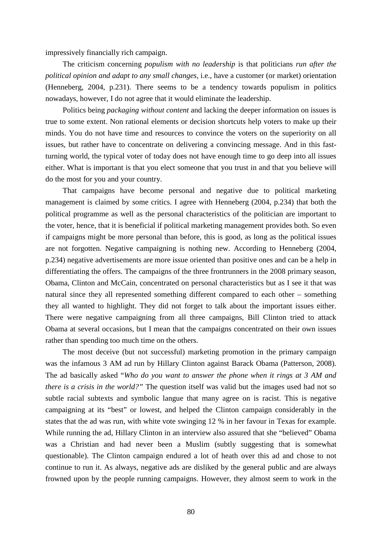impressively financially rich campaign.

The criticism concerning *populism with no leadership* is that politicians *run after the political opinion and adapt to any small changes*, i.e., have a customer (or market) orientation (Henneberg, 2004, p.231). There seems to be a tendency towards populism in politics nowadays, however, I do not agree that it would eliminate the leadership.

Politics being *packaging without content* and lacking the deeper information on issues is true to some extent. Non rational elements or decision shortcuts help voters to make up their minds. You do not have time and resources to convince the voters on the superiority on all issues, but rather have to concentrate on delivering a convincing message. And in this fastturning world, the typical voter of today does not have enough time to go deep into all issues either. What is important is that you elect someone that you trust in and that you believe will do the most for you and your country.

That campaigns have become personal and negative due to political marketing management is claimed by some critics. I agree with Henneberg (2004, p.234) that both the political programme as well as the personal characteristics of the politician are important to the voter, hence, that it is beneficial if political marketing management provides both. So even if campaigns might be more personal than before, this is good, as long as the political issues are not forgotten. Negative campaigning is nothing new. According to Henneberg (2004, p.234) negative advertisements are more issue oriented than positive ones and can be a help in differentiating the offers. The campaigns of the three frontrunners in the 2008 primary season, Obama, Clinton and McCain, concentrated on personal characteristics but as I see it that was natural since they all represented something different compared to each other – something they all wanted to highlight. They did not forget to talk about the important issues either. There were negative campaigning from all three campaigns, Bill Clinton tried to attack Obama at several occasions, but I mean that the campaigns concentrated on their own issues rather than spending too much time on the others.

The most deceive (but not successful) marketing promotion in the primary campaign was the infamous 3 AM ad run by Hillary Clinton against Barack Obama (Patterson, 2008). The ad basically asked "*Who do you want to answer the phone when it rings at 3 AM and there is a crisis in the world?"* The question itself was valid but the images used had not so subtle racial subtexts and symbolic langue that many agree on is racist. This is negative campaigning at its "best" or lowest, and helped the Clinton campaign considerably in the states that the ad was run, with white vote swinging 12 % in her favour in Texas for example. While running the ad, Hillary Clinton in an interview also assured that she "believed" Obama was a Christian and had never been a Muslim (subtly suggesting that is somewhat questionable). The Clinton campaign endured a lot of heath over this ad and chose to not continue to run it. As always, negative ads are disliked by the general public and are always frowned upon by the people running campaigns. However, they almost seem to work in the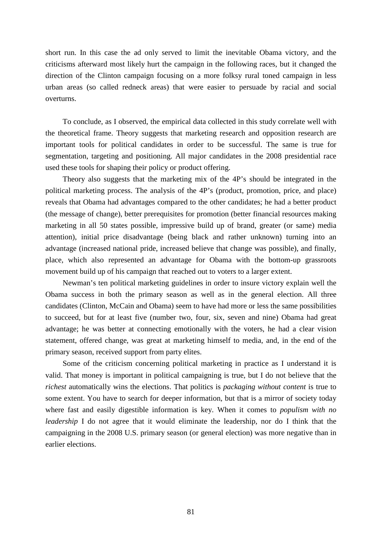short run. In this case the ad only served to limit the inevitable Obama victory, and the criticisms afterward most likely hurt the campaign in the following races, but it changed the direction of the Clinton campaign focusing on a more folksy rural toned campaign in less urban areas (so called redneck areas) that were easier to persuade by racial and social overturns.

To conclude, as I observed, the empirical data collected in this study correlate well with the theoretical frame. Theory suggests that marketing research and opposition research are important tools for political candidates in order to be successful. The same is true for segmentation, targeting and positioning. All major candidates in the 2008 presidential race used these tools for shaping their policy or product offering.

Theory also suggests that the marketing mix of the 4P's should be integrated in the political marketing process. The analysis of the 4P's (product, promotion, price, and place) reveals that Obama had advantages compared to the other candidates; he had a better product (the message of change), better prerequisites for promotion (better financial resources making marketing in all 50 states possible, impressive build up of brand, greater (or same) media attention), initial price disadvantage (being black and rather unknown) turning into an advantage (increased national pride, increased believe that change was possible), and finally, place, which also represented an advantage for Obama with the bottom-up grassroots movement build up of his campaign that reached out to voters to a larger extent.

Newman's ten political marketing guidelines in order to insure victory explain well the Obama success in both the primary season as well as in the general election. All three candidates (Clinton, McCain and Obama) seem to have had more or less the same possibilities to succeed, but for at least five (number two, four, six, seven and nine) Obama had great advantage; he was better at connecting emotionally with the voters, he had a clear vision statement, offered change, was great at marketing himself to media, and, in the end of the primary season, received support from party elites.

Some of the criticism concerning political marketing in practice as I understand it is valid. That money is important in political campaigning is true, but I do not believe that the *richest* automatically wins the elections. That politics is *packaging without content* is true to some extent. You have to search for deeper information, but that is a mirror of society today where fast and easily digestible information is key. When it comes to *populism with no leadership* I do not agree that it would eliminate the leadership, nor do I think that the campaigning in the 2008 U.S. primary season (or general election) was more negative than in earlier elections.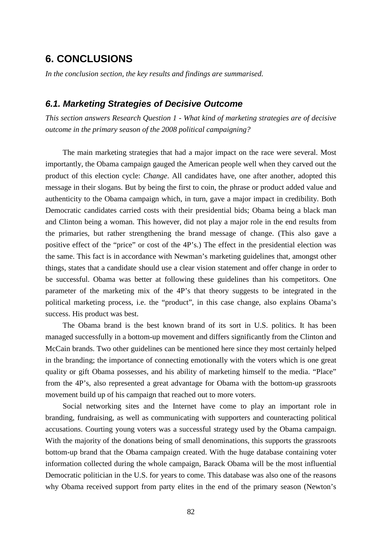# **6. CONCLUSIONS**

*In the conclusion section, the key results and findings are summarised.*

#### *6.1. Marketing Strategies of Decisive Outcome*

*This section answers Research Question 1 - What kind of marketing strategies are of decisive outcome in the primary season of the 2008 political campaigning?*

The main marketing strategies that had a major impact on the race were several. Most importantly, the Obama campaign gauged the American people well when they carved out the product of this election cycle: *Change*. All candidates have, one after another, adopted this message in their slogans. But by being the first to coin, the phrase or product added value and authenticity to the Obama campaign which, in turn, gave a major impact in credibility. Both Democratic candidates carried costs with their presidential bids; Obama being a black man and Clinton being a woman. This however, did not play a major role in the end results from the primaries, but rather strengthening the brand message of change. (This also gave a positive effect of the "price" or cost of the 4P's.) The effect in the presidential election was the same. This fact is in accordance with Newman's marketing guidelines that, amongst other things, states that a candidate should use a clear vision statement and offer change in order to be successful. Obama was better at following these guidelines than his competitors. One parameter of the marketing mix of the 4P's that theory suggests to be integrated in the political marketing process, i.e. the "product", in this case change, also explains Obama's success. His product was best.

The Obama brand is the best known brand of its sort in U.S. politics. It has been managed successfully in a bottom-up movement and differs significantly from the Clinton and McCain brands. Two other guidelines can be mentioned here since they most certainly helped in the branding; the importance of connecting emotionally with the voters which is one great quality or gift Obama possesses, and his ability of marketing himself to the media. "Place" from the 4P's, also represented a great advantage for Obama with the bottom-up grassroots movement build up of his campaign that reached out to more voters.

Social networking sites and the Internet have come to play an important role in branding, fundraising, as well as communicating with supporters and counteracting political accusations. Courting young voters was a successful strategy used by the Obama campaign. With the majority of the donations being of small denominations, this supports the grassroots bottom-up brand that the Obama campaign created. With the huge database containing voter information collected during the whole campaign, Barack Obama will be the most influential Democratic politician in the U.S. for years to come. This database was also one of the reasons why Obama received support from party elites in the end of the primary season (Newton's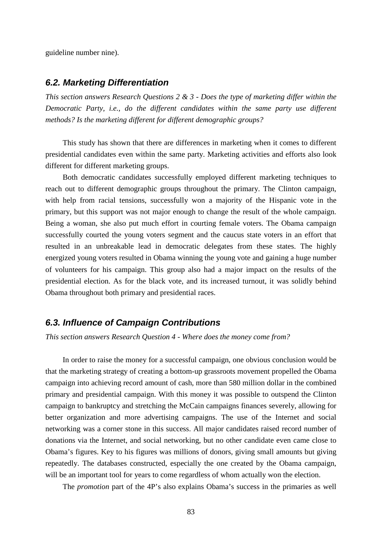guideline number nine).

#### *6.2. Marketing Differentiation*

*This section answers Research Questions 2 & 3 - Does the type of marketing differ within the Democratic Party, i.e., do the different candidates within the same party use different methods? Is the marketing different for different demographic groups?*

This study has shown that there are differences in marketing when it comes to different presidential candidates even within the same party. Marketing activities and efforts also look different for different marketing groups.

Both democratic candidates successfully employed different marketing techniques to reach out to different demographic groups throughout the primary. The Clinton campaign, with help from racial tensions, successfully won a majority of the Hispanic vote in the primary, but this support was not major enough to change the result of the whole campaign. Being a woman, she also put much effort in courting female voters. The Obama campaign successfully courted the young voters segment and the caucus state voters in an effort that resulted in an unbreakable lead in democratic delegates from these states. The highly energized young voters resulted in Obama winning the young vote and gaining a huge number of volunteers for his campaign. This group also had a major impact on the results of the presidential election. As for the black vote, and its increased turnout, it was solidly behind Obama throughout both primary and presidential races.

#### *6.3. Influence of Campaign Contributions*

*This section answers Research Question 4 - Where does the money come from?*

In order to raise the money for a successful campaign, one obvious conclusion would be that the marketing strategy of creating a bottom-up grassroots movement propelled the Obama campaign into achieving record amount of cash, more than 580 million dollar in the combined primary and presidential campaign. With this money it was possible to outspend the Clinton campaign to bankruptcy and stretching the McCain campaigns finances severely, allowing for better organization and more advertising campaigns. The use of the Internet and social networking was a corner stone in this success. All major candidates raised record number of donations via the Internet, and social networking, but no other candidate even came close to Obama's figures. Key to his figures was millions of donors, giving small amounts but giving repeatedly. The databases constructed, especially the one created by the Obama campaign, will be an important tool for years to come regardless of whom actually won the election.

The *promotion* part of the 4P's also explains Obama's success in the primaries as well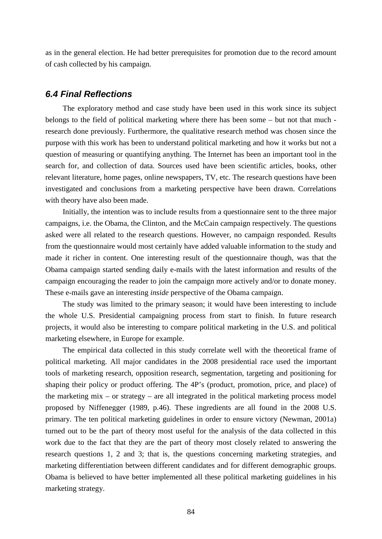as in the general election. He had better prerequisites for promotion due to the record amount of cash collected by his campaign.

#### *6.4 Final Reflections*

The exploratory method and case study have been used in this work since its subject belongs to the field of political marketing where there has been some – but not that much research done previously. Furthermore, the qualitative research method was chosen since the purpose with this work has been to understand political marketing and how it works but not a question of measuring or quantifying anything. The Internet has been an important tool in the search for, and collection of data. Sources used have been scientific articles, books, other relevant literature, home pages, online newspapers, TV, etc. The research questions have been investigated and conclusions from a marketing perspective have been drawn. Correlations with theory have also been made.

Initially, the intention was to include results from a questionnaire sent to the three major campaigns, i.e. the Obama, the Clinton, and the McCain campaign respectively. The questions asked were all related to the research questions. However, no campaign responded. Results from the questionnaire would most certainly have added valuable information to the study and made it richer in content. One interesting result of the questionnaire though, was that the Obama campaign started sending daily e-mails with the latest information and results of the campaign encouraging the reader to join the campaign more actively and/or to donate money. These e-mails gave an interesting *inside* perspective of the Obama campaign.

The study was limited to the primary season; it would have been interesting to include the whole U.S. Presidential campaigning process from start to finish. In future research projects, it would also be interesting to compare political marketing in the U.S. and political marketing elsewhere, in Europe for example.

The empirical data collected in this study correlate well with the theoretical frame of political marketing. All major candidates in the 2008 presidential race used the important tools of marketing research, opposition research, segmentation, targeting and positioning for shaping their policy or product offering. The 4P's (product, promotion, price, and place) of the marketing mix – or strategy – are all integrated in the political marketing process model proposed by Niffenegger (1989, p.46). These ingredients are all found in the 2008 U.S. primary. The ten political marketing guidelines in order to ensure victory (Newman, 2001a) turned out to be the part of theory most useful for the analysis of the data collected in this work due to the fact that they are the part of theory most closely related to answering the research questions 1, 2 and 3; that is, the questions concerning marketing strategies, and marketing differentiation between different candidates and for different demographic groups. Obama is believed to have better implemented all these political marketing guidelines in his marketing strategy.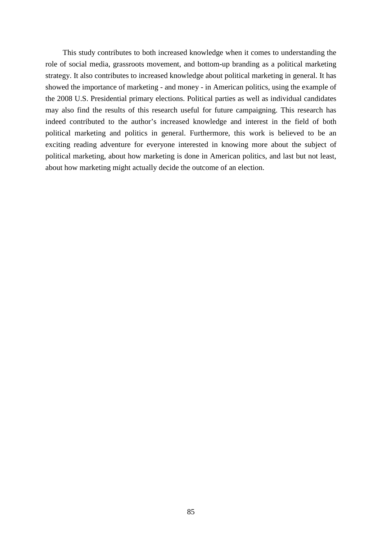This study contributes to both increased knowledge when it comes to understanding the role of social media, grassroots movement, and bottom-up branding as a political marketing strategy. It also contributes to increased knowledge about political marketing in general. It has showed the importance of marketing - and money - in American politics, using the example of the 2008 U.S. Presidential primary elections. Political parties as well as individual candidates may also find the results of this research useful for future campaigning. This research has indeed contributed to the author's increased knowledge and interest in the field of both political marketing and politics in general. Furthermore, this work is believed to be an exciting reading adventure for everyone interested in knowing more about the subject of political marketing, about how marketing is done in American politics, and last but not least, about how marketing might actually decide the outcome of an election.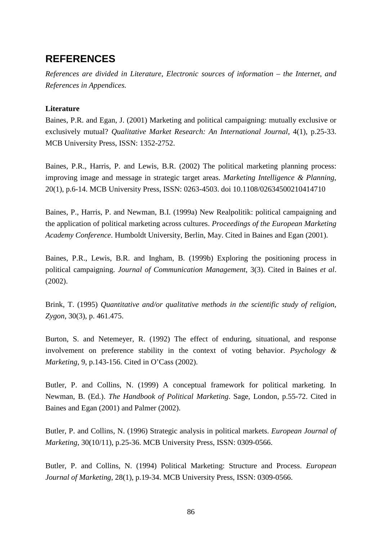# **REFERENCES**

*References are divided in Literature, Electronic sources of information – the Internet, and References in Appendices.*

#### **Literature**

Baines, P.R. and Egan, J. (2001) Marketing and political campaigning: mutually exclusive or exclusively mutual? *Qualitative Market Research: An International Journal*, 4(1), p.25-33. MCB University Press, ISSN: 1352-2752.

Baines, P.R., Harris, P. and Lewis, B.R. (2002) The political marketing planning process: improving image and message in strategic target areas. *Marketing Intelligence & Planning*, 20(1), p.6-14. MCB University Press, ISSN: 0263-4503. doi 10.1108/02634500210414710

Baines, P., Harris, P. and Newman, B.I. (1999a) New Realpolitik: political campaigning and the application of political marketing across cultures. *Proceedings of the European Marketing Academy Conference*. Humboldt University, Berlin, May. Cited in Baines and Egan (2001).

Baines, P.R., Lewis, B.R. and Ingham, B. (1999b) Exploring the positioning process in political campaigning. *Journal of Communication Management*, 3(3). Cited in Baines *et al*. (2002).

Brink, T. (1995) *Quantitative and/or qualitative methods in the scientific study of religion*, *Zygon*, 30(3), p. 461.475.

Burton, S. and Netemeyer, R. (1992) The effect of enduring, situational, and response involvement on preference stability in the context of voting behavior. *Psychology & Marketing*, 9, p.143-156. Cited in O'Cass (2002).

Butler, P. and Collins, N. (1999) A conceptual framework for political marketing. In Newman, B. (Ed.). *The Handbook of Political Marketing*. Sage, London, p.55-72. Cited in Baines and Egan (2001) and Palmer (2002).

Butler, P. and Collins, N. (1996) Strategic analysis in political markets. *European Journal of Marketing*, 30(10/11), p.25-36. MCB University Press, ISSN: 0309-0566.

Butler, P. and Collins, N. (1994) Political Marketing: Structure and Process. *European Journal of Marketing*, 28(1), p.19-34. MCB University Press, ISSN: 0309-0566.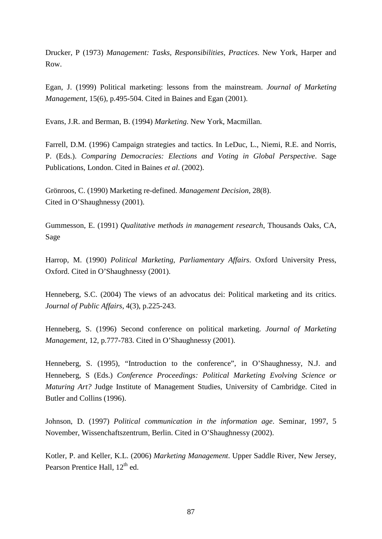Drucker, P (1973) *Management: Tasks, Responsibilities, Practices*. New York, Harper and Row.

Egan, J. (1999) Political marketing: lessons from the mainstream. *Journal of Marketing Management*, 15(6), p.495-504. Cited in Baines and Egan (2001).

Evans, J.R. and Berman, B. (1994) *Marketing*. New York, Macmillan.

Farrell, D.M. (1996) Campaign strategies and tactics. In LeDuc, L., Niemi, R.E. and Norris, P. (Eds.). *Comparing Democracies: Elections and Voting in Global Perspective*. Sage Publications, London. Cited in Baines *et al*. (2002).

Grönroos, C. (1990) Marketing re-defined. *Management Decision*, 28(8). Cited in O'Shaughnessy (2001).

Gummesson, E. (1991) *Qualitative methods in management research*, Thousands Oaks, CA, Sage

Harrop, M. (1990) *Political Marketing, Parliamentary Affairs*. Oxford University Press, Oxford. Cited in O'Shaughnessy (2001).

Henneberg, S.C. (2004) The views of an advocatus dei: Political marketing and its critics. *Journal of Public Affairs*, 4(3), p.225-243.

Henneberg, S. (1996) Second conference on political marketing. *Journal of Marketing Management*, 12, p.777-783. Cited in O'Shaughnessy (2001).

Henneberg, S. (1995), "Introduction to the conference", in O'Shaughnessy, N.J. and Henneberg, S (Eds.) *Conference Proceedings: Political Marketing Evolving Science or Maturing Art?* Judge Institute of Management Studies, University of Cambridge. Cited in Butler and Collins (1996).

Johnson, D. (1997) *Political communication in the information age*. Seminar, 1997, 5 November, Wissenchaftszentrum, Berlin. Cited in O'Shaughnessy (2002).

Kotler, P. and Keller, K.L. (2006) *Marketing Management*. Upper Saddle River, New Jersey, Pearson Prentice Hall, 12<sup>th</sup> ed.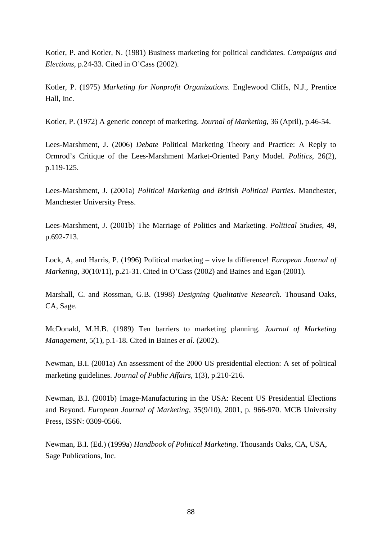Kotler, P. and Kotler, N. (1981) Business marketing for political candidates. *Campaigns and Elections*, p.24-33. Cited in O'Cass (2002).

Kotler, P. (1975) *Marketing for Nonprofit Organizations*. Englewood Cliffs, N.J., Prentice Hall, Inc.

Kotler, P. (1972) A generic concept of marketing. *Journal of Marketing*, 36 (April), p.46-54.

Lees-Marshment, J. (2006) *Debate* Political Marketing Theory and Practice: A Reply to Ormrod's Critique of the Lees-Marshment Market-Oriented Party Model. *Politics*, 26(2), p.119-125.

Lees-Marshment, J. (2001a) *Political Marketing and British Political Parties*. Manchester, Manchester University Press.

Lees-Marshment, J. (2001b) The Marriage of Politics and Marketing. *Political Studies*, 49, p.692-713.

Lock, A, and Harris, P. (1996) Political marketing – vive la difference! *European Journal of Marketing*, 30(10/11), p.21-31. Cited in O'Cass (2002) and Baines and Egan (2001).

Marshall, C. and Rossman, G.B. (1998) *Designing Qualitative Research*. Thousand Oaks, CA, Sage.

McDonald, M.H.B. (1989) Ten barriers to marketing planning. *Journal of Marketing Management*, 5(1), p.1-18. Cited in Baines *et al*. (2002).

Newman, B.I. (2001a) An assessment of the 2000 US presidential election: A set of political marketing guidelines. *Journal of Public Affairs*, 1(3), p.210-216.

Newman, B.I. (2001b) Image-Manufacturing in the USA: Recent US Presidential Elections and Beyond. *European Journal of Marketing*, 35(9/10), 2001, p. 966-970. MCB University Press, ISSN: 0309-0566.

Newman, B.I. (Ed.) (1999a) *Handbook of Political Marketing*. Thousands Oaks, CA, USA, Sage Publications, Inc.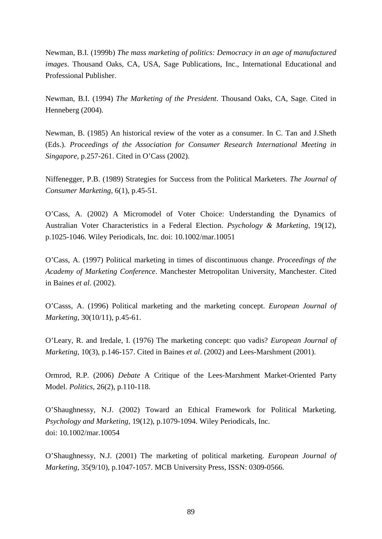Newman, B.I. (1999b) *The mass marketing of politics: Democracy in an age of manufactured images*. Thousand Oaks, CA, USA, Sage Publications, Inc., International Educational and Professional Publisher.

Newman, B.I. (1994) *The Marketing of the President*. Thousand Oaks, CA, Sage. Cited in Henneberg (2004).

Newman, B. (1985) An historical review of the voter as a consumer. In C. Tan and J.Sheth (Eds.). *Proceedings of the Association for Consumer Research International Meeting in Singapore*, p.257-261. Cited in O'Cass (2002).

Niffenegger, P.B. (1989) Strategies for Success from the Political Marketers. *The Journal of Consumer Marketing*, 6(1), p.45-51.

O'Cass, A. (2002) A Micromodel of Voter Choice: Understanding the Dynamics of Australian Voter Characteristics in a Federal Election. *Psychology & Marketing*, 19(12), p.1025-1046. Wiley Periodicals, Inc. doi: 10.1002/mar.10051

O'Cass, A. (1997) Political marketing in times of discontinuous change. *Proceedings of the Academy of Marketing Conference*. Manchester Metropolitan University, Manchester. Cited in Baines *et al*. (2002).

O'Casss, A. (1996) Political marketing and the marketing concept. *European Journal of Marketing*, 30(10/11), p.45-61.

O'Leary, R. and Iredale, I. (1976) The marketing concept: quo vadis? *European Journal of Marketing*, 10(3), p.146-157. Cited in Baines *et al*. (2002) and Lees-Marshment (2001).

Ormrod, R.P. (2006) *Debate* A Critique of the Lees-Marshment Market-Oriented Party Model. *Politics*, 26(2), p.110-118.

O'Shaughnessy, N.J. (2002) Toward an Ethical Framework for Political Marketing. *Psychology and Marketing*, 19(12), p.1079-1094. Wiley Periodicals, Inc. doi: 10.1002/mar.10054

O'Shaughnessy, N.J. (2001) The marketing of political marketing. *European Journal of Marketing*, 35(9/10), p.1047-1057. MCB University Press, ISSN: 0309-0566.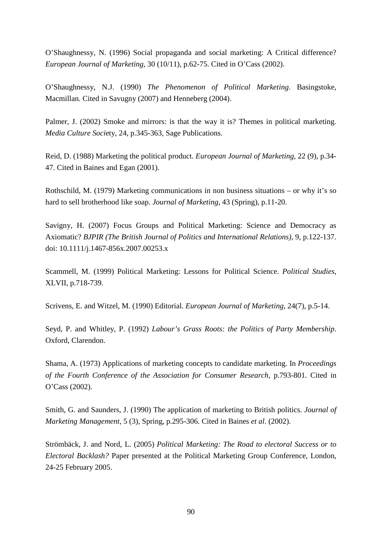O'Shaughnessy, N. (1996) Social propaganda and social marketing: A Critical difference? *European Journal of Marketing*, 30 (10/11), p.62-75. Cited in O'Cass (2002).

O'Shaughnessy, N.J. (1990) *The Phenomenon of Political Marketing*. Basingstoke, Macmillan. Cited in Savugny (2007) and Henneberg (2004).

Palmer, J. (2002) Smoke and mirrors: is that the way it is? Themes in political marketing. *Media Culture Soci*ety, 24, p.345-363, Sage Publications.

Reid, D. (1988) Marketing the political product. *European Journal of Marketing*, 22 (9), p.34- 47. Cited in Baines and Egan (2001).

Rothschild, M. (1979) Marketing communications in non business situations – or why it's so hard to sell brotherhood like soap. *Journal of Marketing*, 43 (Spring), p.11-20.

Savigny, H. (2007) Focus Groups and Political Marketing: Science and Democracy as Axiomatic? *BJPIR (The British Journal of Politics and International Relations)*, 9, p.122-137. doi: 10.1111/j.1467-856x.2007.00253.x

Scammell, M. (1999) Political Marketing: Lessons for Political Science. *Political Studies*, XLVII, p.718-739.

Scrivens, E. and Witzel, M. (1990) Editorial. *European Journal of Marketing*, 24(7), p.5-14.

Seyd, P. and Whitley, P. (1992) *Labour's Grass Roots: the Politics of Party Membership*. Oxford, Clarendon.

Shama, A. (1973) Applications of marketing concepts to candidate marketing. In *Proceedings of the Fourth Conference of the Association for Consumer Research*, p.793-801. Cited in O'Cass (2002).

Smith, G. and Saunders, J. (1990) The application of marketing to British politics. *Journal of Marketing Management*, 5 (3), Spring, p.295-306. Cited in Baines *et al*. (2002).

Strömbäck, J. and Nord, L. (2005) *Political Marketing: The Road to electoral Success or to Electoral Backlash?* Paper presented at the Political Marketing Group Conference, London, 24-25 February 2005.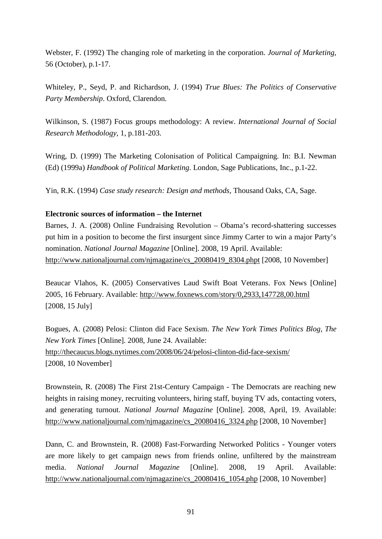Webster, F. (1992) The changing role of marketing in the corporation. *Journal of Marketing*, 56 (October), p.1-17.

Whiteley, P., Seyd, P. and Richardson, J. (1994) *True Blues: The Politics of Conservative Party Membership*. Oxford, Clarendon.

Wilkinson, S. (1987) Focus groups methodology: A review. *International Journal of Social Research Methodology*, 1, p.181-203.

Wring, D. (1999) The Marketing Colonisation of Political Campaigning. In: B.I. Newman (Ed) (1999a) *Handbook of Political Marketing*. London, Sage Publications, Inc., p.1-22.

Yin, R.K. (1994) *Case study research: Design and methods*, Thousand Oaks, CA, Sage.

#### **Electronic sources of information – the Internet**

Barnes, J. A. (2008) Online Fundraising Revolution – Obama's record-shattering successes put him in a position to become the first insurgent since Jimmy Carter to win a major Party's nomination. *National Journal Magazine* [Online]. 2008, 19 April. Available: [http://www.nationaljournal.com/njmagazine/cs\\_20080419\\_8304.phpt](http://www.nationaljournal.com/njmagazine/cs_20080419_8304.phpt) [2008, 10 November]

Beaucar Vlahos, K. (2005) Conservatives Laud Swift Boat Veterans. Fox News [Online] 2005, 16 February. Available:<http://www.foxnews.com/story/0,2933,147728,00.html> [2008, 15 July]

Bogues, A. (2008) Pelosi: Clinton did Face Sexism. *The New York Times Politics Blog, The New York Times* [Online]. 2008, June 24. Available: <http://thecaucus.blogs.nytimes.com/2008/06/24/pelosi-clinton-did-face-sexism/> [2008, 10 November]

Brownstein, R. (2008) The First 21st-Century Campaign - The Democrats are reaching new heights in raising money, recruiting volunteers, hiring staff, buying TV ads, contacting voters, and generating turnout. *National Journal Magazine* [Online]. 2008, April, 19. Available: [http://www.nationaljournal.com/njmagazine/cs\\_20080416\\_3324.php](http://www.nationaljournal.com/njmagazine/cs_20080416_3324.php) [2008, 10 November]

Dann, C. and Brownstein, R. (2008) Fast-Forwarding Networked Politics - Younger voters are more likely to get campaign news from friends online, unfiltered by the mainstream media. *National Journal Magazine* [Online]. 2008, 19 April. Available: [http://www.nationaljournal.com/njmagazine/cs\\_20080416\\_1054.php](http://www.nationaljournal.com/njmagazine/cs_20080416_1054.php) [2008, 10 November]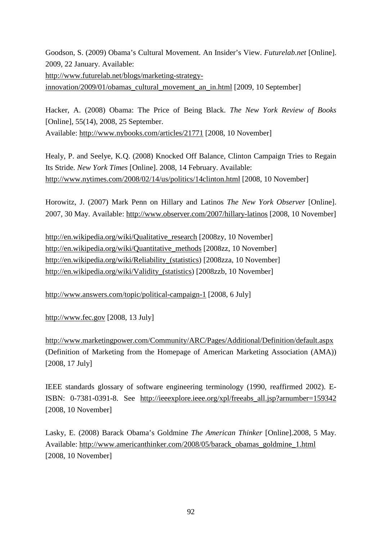Goodson, S. (2009) Obama's Cultural Movement. An Insider's View. *Futurelab.net* [Online]. 2009, 22 January. Available:

[http://www.futurelab.net/blogs/marketing-strategy-](http://www.futurelab.net/blogs/marketing-strategy-innovation/2009/01/obamas_cultural_movement_an_in.html)

[innovation/2009/01/obamas\\_cultural\\_movement\\_an\\_in.html](http://www.futurelab.net/blogs/marketing-strategy-innovation/2009/01/obamas_cultural_movement_an_in.html) [2009, 10 September]

Hacker, A. (2008) Obama: The Price of Being Black. *The New York Review of Books* [Online], 55(14), 2008, 25 September. Available:<http://www.nybooks.com/articles/21771> [2008, 10 November]

Healy, P. and Seelye, K.Q. (2008) Knocked Off Balance, Clinton Campaign Tries to Regain Its Stride. *New York Times* [Online]. 2008, 14 February. Available: http://www.nytimes.com/2008/02/14/us/politics/14clinton.html [2008, 10 November]

Horowitz, J. (2007) Mark Penn on Hillary and Latinos *The New York Observer* [Online]. 2007, 30 May. Available:<http://www.observer.com/2007/hillary-latinos> [2008, 10 November]

[http://en.wikipedia.org/wiki/Qualitative\\_research](http://en.wikipedia.org/wiki/Qualitative_research) [2008zy, 10 November] [http://en.wikipedia.org/wiki/Quantitative\\_methods](http://en.wikipedia.org/wiki/Quantitative_methods) [2008zz, 10 November] http://en.wikipedia.org/wiki/Reliability (statistics) [2008zza, 10 November] [http://en.wikipedia.org/wiki/Validity\\_\(statistics\)](http://en.wikipedia.org/wiki/Validity_(statistics) [2008zzb, 10 November]

<http://www.answers.com/topic/political-campaign-1> [2008, 6 July]

[http://www.fec.gov](http://www.fec.gov/) [2008, 13 July]

<http://www.marketingpower.com/Community/ARC/Pages/Additional/Definition/default.aspx> (Definition of Marketing from the Homepage of American Marketing Association (AMA)) [2008, 17 July]

IEEE standards glossary of software engineering terminology (1990, reaffirmed 2002). E-ISBN: 0-7381-0391-8. See [http://ieeexplore.ieee.org/xpl/freeabs\\_all.jsp?arnumber=159342](http://ieeexplore.ieee.org/xpl/freeabs_all.jsp?arnumber=159342) [2008, 10 November]

Lasky, E. (2008) Barack Obama's Goldmine *The American Thinker* [Online].2008, 5 May. Available: [http://www.americanthinker.com/2008/05/barack\\_obamas\\_goldmine\\_1.html](http://www.americanthinker.com/2008/05/barack_obamas_goldmine_1.html) [2008, 10 November]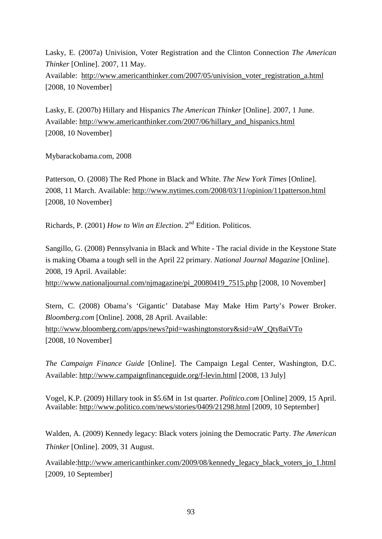Lasky, E. (2007a) Univision, Voter Registration and the Clinton Connection *The American Thinker* [Online]. 2007, 11 May. Available: [http://www.americanthinker.com/2007/05/univision\\_voter\\_registration\\_a.html](http://www.americanthinker.com/2008/05/barack_obamas_goldmine_1.html)  [2008, 10 November]

Lasky, E. (2007b) Hillary and Hispanics *The American Thinker* [Online]. 2007, 1 June. Available: [http://www.americanthinker.com/2007/06/hillary\\_and\\_hispanics.html](http://www.americanthinker.com/2007/06/hillary_and_hispanics.html) [2008, 10 November]

Mybarackobama.com, 2008

Patterson, O. (2008) The Red Phone in Black and White. *The New York Times* [Online]. 2008, 11 March. Available:<http://www.nytimes.com/2008/03/11/opinion/11patterson.html> [2008, 10 November]

Richards, P. (2001) *How to Win an Election*. 2nd Edition. Politicos.

Sangillo, G. (2008) Pennsylvania in Black and White - The racial divide in the Keystone State is making Obama a tough sell in the April 22 primary. *National Journal Magazine* [Online]. 2008, 19 April. Available:

[http://www.nationaljournal.com/njmagazine/pi\\_20080419\\_7515.php](http://www.nationaljournal.com/njmagazine/pi_20080419_7515.php) [2008, 10 November]

Stern, C. (2008) Obama's 'Gigantic' Database May Make Him Party's Power Broker. *Bloomberg.com* [Online]. 2008, 28 April. Available: [http://www.bloomberg.com/apps/news?pid=washingtonstory&sid=aW\\_Qty8aiVTo](http://www.bloomberg.com/apps/news?pid=washingtonstory&sid=aW_Qty8aiVTo) [2008, 10 November]

*The Campaign Finance Guide* [Online]. The Campaign Legal Center, Washington, D.C. Available:<http://www.campaignfinanceguide.org/f-levin.html> [2008, 13 July]

Vogel, K.P. (2009) Hillary took in \$5.6M in 1st quarter. *Politico.com* [Online] 2009, 15 April. Available:<http://www.politico.com/news/stories/0409/21298.html> [2009, 10 September]

Walden, A. (2009) Kennedy legacy: Black voters joining the Democratic Party. *The American Thinker* [Online]. 2009, 31 August.

Available[:http://www.americanthinker.com/2009/08/kennedy\\_legacy\\_black\\_voters\\_jo\\_1.html](http://www.americanthinker.com/2009/08/kennedy_legacy_black_voters_jo_1.html) [2009, 10 September]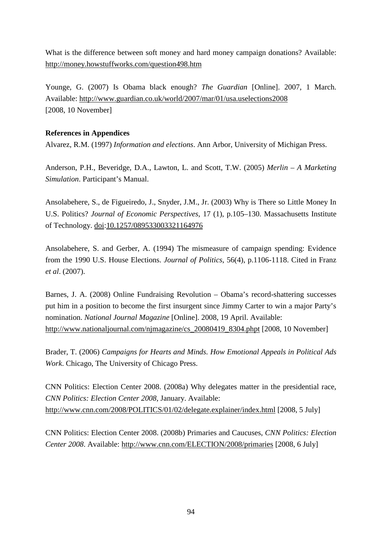What is the difference between soft money and hard money campaign donations? Available: <http://money.howstuffworks.com/question498.htm>

Younge, G. (2007) Is Obama black enough? *The Guardian* [Online]. 2007, 1 March. Available:<http://www.guardian.co.uk/world/2007/mar/01/usa.uselections2008> [2008, 10 November]

### **References in Appendices**

Alvarez, R.M. (1997) *Information and elections*. Ann Arbor, University of Michigan Press.

Anderson, P.H., Beveridge, D.A., Lawton, L. and Scott, T.W. (2005) *Merlin – A Marketing Simulation*. Participant's Manual.

Ansolabehere, S., de Figueiredo, J., Snyder, J.M., Jr. (2003) Why is There so Little Money In U.S. Politics? *Journal of Economic Perspectives,* 17 (1), p.105–130. Massachusetts Institute of Technology. [doi:](http://en.wikipedia.org/wiki/Digital_object_identifier)[10.1257/089533003321164976](http://dx.doi.org/10.1257%2F089533003321164976)

Ansolabehere, S. and Gerber, A. (1994) The mismeasure of campaign spending: Evidence from the 1990 U.S. House Elections. *Journal of Politics*, 56(4), p.1106-1118. Cited in Franz *et al*. (2007).

Barnes, J. A. (2008) Online Fundraising Revolution – Obama's record-shattering successes put him in a position to become the first insurgent since Jimmy Carter to win a major Party's nomination. *National Journal Magazine* [Online]. 2008, 19 April. Available: [http://www.nationaljournal.com/njmagazine/cs\\_20080419\\_8304.phpt](http://www.nationaljournal.com/njmagazine/cs_20080419_8304.phpt) [2008, 10 November]

Brader, T. (2006) *Campaigns for Hearts and Minds. How Emotional Appeals in Political Ads Work*. Chicago, The University of Chicago Press.

CNN Politics: Election Center 2008. (2008a) Why delegates matter in the presidential race, *CNN Politics: Election Center 2008*, January. Available: <http://www.cnn.com/2008/POLITICS/01/02/delegate.explainer/index.html> [2008, 5 July]

CNN Politics: Election Center 2008. (2008b) Primaries and Caucuses, *CNN Politics: Election Center 2008*. Available:<http://www.cnn.com/ELECTION/2008/primaries> [2008, 6 July]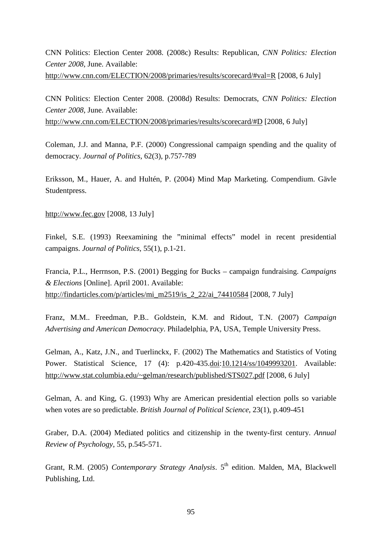CNN Politics: Election Center 2008. (2008c) Results: Republican, *CNN Politics: Election Center 2008*, June. Available: <http://www.cnn.com/ELECTION/2008/primaries/results/scorecard/#val=R> [2008, 6 July]

CNN Politics: Election Center 2008. (2008d) Results: Democrats, *CNN Politics: Election Center 2008*, June. Available: <http://www.cnn.com/ELECTION/2008/primaries/results/scorecard/#D> [2008, 6 July]

Coleman, J.J. and Manna, P.F. (2000) Congressional campaign spending and the quality of democracy. *Journal of Politics*, 62(3), p.757-789

Eriksson, M., Hauer, A. and Hultén, P. (2004) Mind Map Marketing. Compendium. Gävle Studentpress.

[http://www.fec.gov](http://www.fec.gov/) [2008, 13 July]

Finkel, S.E. (1993) Reexamining the "minimal effects" model in recent presidential campaigns. *Journal of Politics*, 55(1), p.1-21.

Francia, P.L., Herrnson, P.S. (2001) Begging for Bucks – campaign fundraising. *Campaigns & Elections* [Online]. April 2001. Available: [http://findarticles.com/p/articles/mi\\_m2519/is\\_2\\_22/ai\\_74410584](http://findarticles.com/p/articles/mi_m2519/is_2_22/ai_74410584) [2008, 7 July]

Franz, M.M.. Freedman, P.B.. Goldstein, K.M. and Ridout, T.N. (2007) *Campaign Advertising and American Democracy*. Philadelphia, PA, USA, Temple University Press.

Gelman, A., Katz, J.N., and Tuerlinckx, F. (2002) The Mathematics and Statistics of Voting Power. Statistical Science, 17 (4): p.420-435[.doi](http://en.wikipedia.org/wiki/Digital_object_identifier)[:10.1214/ss/1049993201.](http://dx.doi.org/10.1214%2Fss%2F1049993201) Available: <http://www.stat.columbia.edu/~gelman/research/published/STS027.pdf> [2008, 6 July]

Gelman, A. and King, G. (1993) Why are American presidential election polls so variable when votes are so predictable. *British Journal of Political Science*, 23(1), p.409-451

Graber, D.A. (2004) Mediated politics and citizenship in the twenty-first century. *Annual Review of Psychology*, 55, p.545-571.

Grant, R.M. (2005) *Contemporary Strategy Analysis*. 5<sup>th</sup> edition. Malden, MA, Blackwell Publishing, Ltd.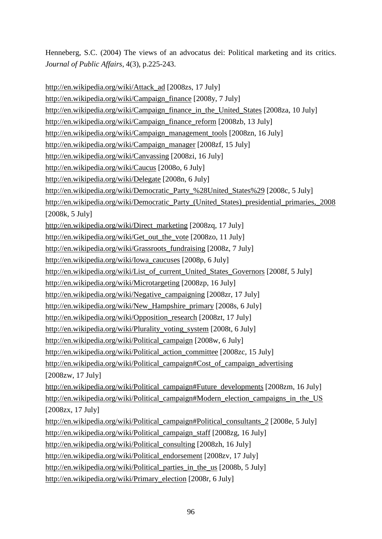Henneberg, S.C. (2004) The views of an advocatus dei: Political marketing and its critics. *Journal of Public Affairs*, 4(3), p.225-243.

[http://en.wikipedia.org/wiki/Attack\\_ad](http://en.wikipedia.org/wiki/Attack_ad) [2008zs, 17 July] [http://en.wikipedia.org/wiki/Campaign\\_finance](http://en.wikipedia.org/wiki/Campaign_finance) [2008y, 7 July] [http://en.wikipedia.org/wiki/Campaign\\_finance\\_in\\_the\\_United\\_States](http://en.wikipedia.org/wiki/Campaign_finance_in_the_United_States) [2008za, 10 July] [http://en.wikipedia.org/wiki/Campaign\\_finance\\_reform](http://en.wikipedia.org/wiki/Campaign_finance_reform) [2008zb, 13 July] [http://en.wikipedia.org/wiki/Campaign\\_management\\_tools](http://en.wikipedia.org/wiki/Campaign_management_tools) [2008zn, 16 July] [http://en.wikipedia.org/wiki/Campaign\\_manager](http://en.wikipedia.org/wiki/Campaign_manager) [2008zf, 15 July] <http://en.wikipedia.org/wiki/Canvassing> [2008zi, 16 July] <http://en.wikipedia.org/wiki/Caucus> [2008o, 6 July] <http://en.wikipedia.org/wiki/Delegate> [2008n, 6 July] [http://en.wikipedia.org/wiki/Democratic\\_Party\\_%28United\\_States%29](http://en.wikipedia.org/wiki/Democratic_Party_%28United_States%29) [2008c, 5 July] [http://en.wikipedia.org/wiki/Democratic\\_Party\\_\(United\\_States\)\\_presidential\\_primaries,\\_2008](http://en.wikipedia.org/wiki/Democratic_Party_(United_States)_presidential_primaries,_2008) [2008k, 5 July] [http://en.wikipedia.org/wiki/Direct\\_marketing](http://en.wikipedia.org/wiki/Direct_marketing) [2008zq, 17 July] [http://en.wikipedia.org/wiki/Get\\_out\\_the\\_vote](http://en.wikipedia.org/wiki/Get_out_the_vote) [2008zo, 11 July] [http://en.wikipedia.org/wiki/Grassroots\\_fundraising](http://en.wikipedia.org/wiki/Grassroots_fundraising) [2008z, 7 July] [http://en.wikipedia.org/wiki/Iowa\\_caucuses](http://en.wikipedia.org/wiki/Iowa_caucuses) [2008p, 6 July] [http://en.wikipedia.org/wiki/List\\_of\\_current\\_United\\_States\\_Governors](http://en.wikipedia.org/wiki/List_of_current_United_States_Governors) [2008f, 5 July] <http://en.wikipedia.org/wiki/Microtargeting> [2008zp, 16 July] [http://en.wikipedia.org/wiki/Negative\\_campaigning](http://en.wikipedia.org/wiki/Negative_campaigning) [2008zr, 17 July] [http://en.wikipedia.org/wiki/New\\_Hampshire\\_primary](http://en.wikipedia.org/wiki/New_Hampshire_primary) [2008s, 6 July] [http://en.wikipedia.org/wiki/Opposition\\_research](http://en.wikipedia.org/wiki/Opposition_research) [2008zt, 17 July] [http://en.wikipedia.org/wiki/Plurality\\_voting\\_system](http://en.wikipedia.org/wiki/Plurality_voting_system) [2008t, 6 July] [http://en.wikipedia.org/wiki/Political\\_campaign](http://en.wikipedia.org/wiki/Political_campaign) [2008w, 6 July] [http://en.wikipedia.org/wiki/Political\\_action\\_committee](http://en.wikipedia.org/wiki/Political_action_committee) [2008zc, 15 July] [http://en.wikipedia.org/wiki/Political\\_campaign#Cost\\_of\\_campaign\\_advertising](http://en.wikipedia.org/wiki/Political_campaign#Cost_of_campaign_advertising) [2008zw, 17 July] [http://en.wikipedia.org/wiki/Political\\_campaign#Future\\_developments](http://en.wikipedia.org/wiki/Political_campaign#Future_developments) [2008zm, 16 July] [http://en.wikipedia.org/wiki/Political\\_campaign#Modern\\_election\\_campaigns\\_in\\_the\\_US](http://en.wikipedia.org/wiki/Political_campaign#Modern_election_campaigns_in_the_US) [2008zx, 17 July] [http://en.wikipedia.org/wiki/Political\\_campaign#Political\\_consultants\\_2](http://en.wikipedia.org/wiki/Political_campaign#Political_consultants_2) [2008e, 5 July] [http://en.wikipedia.org/wiki/Political\\_campaign\\_staff](http://en.wikipedia.org/wiki/Political_campaign_staff) [2008zg, 16 July] [http://en.wikipedia.org/wiki/Political\\_consulting](http://en.wikipedia.org/wiki/Political_consulting) [2008zh, 16 July] [http://en.wikipedia.org/wiki/Political\\_endorsement](http://en.wikipedia.org/wiki/Political_endorsement) [2008zv, 17 July] [http://en.wikipedia.org/wiki/Political\\_parties\\_in\\_the\\_us](http://en.wikipedia.org/wiki/Political_parties_in_the_us) [2008b, 5 July] [http://en.wikipedia.org/wiki/Primary\\_election](http://en.wikipedia.org/wiki/Primary_election) [2008r, 6 July]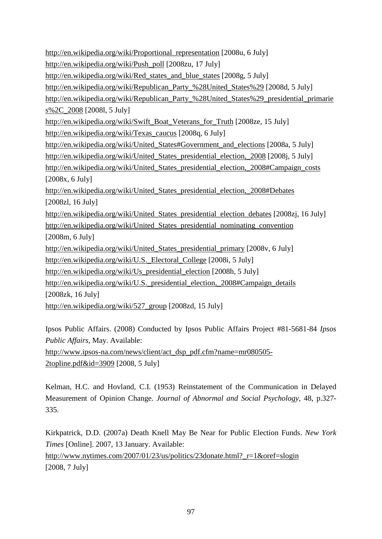[http://en.wikipedia.org/wiki/Proportional\\_representation](http://en.wikipedia.org/wiki/Proportional_representation) [2008u, 6 July] [http://en.wikipedia.org/wiki/Push\\_poll](http://en.wikipedia.org/wiki/Push_poll) [2008zu, 17 July] [http://en.wikipedia.org/wiki/Red\\_states\\_and\\_blue\\_states](http://en.wikipedia.org/wiki/Red_states_and_blue_states) [2008g, 5 July] [http://en.wikipedia.org/wiki/Republican\\_Party\\_%28United\\_States%29](http://en.wikipedia.org/wiki/Republican_Party_%28United_States%29) [2008d, 5 July] [http://en.wikipedia.org/wiki/Republican\\_Party\\_%28United\\_States%29\\_presidential\\_primarie](http://en.wikipedia.org/wiki/Republican_Party_%28United_States%29_presidential_primaries%2C_2008) [s%2C\\_2008](http://en.wikipedia.org/wiki/Republican_Party_%28United_States%29_presidential_primaries%2C_2008) [2008l, 5 July] [http://en.wikipedia.org/wiki/Swift\\_Boat\\_Veterans\\_for\\_Truth](http://en.wikipedia.org/wiki/Swift_Boat_Veterans_for_Truth) [2008ze, 15 July] [http://en.wikipedia.org/wiki/Texas\\_caucus](http://en.wikipedia.org/wiki/Texas_caucus) [2008q, 6 July] http://en.wikipedia.org/wiki/United States#Government and elections [2008a, 5 July] [http://en.wikipedia.org/wiki/United\\_States\\_presidential\\_election,\\_2008](http://en.wikipedia.org/wiki/United_States_presidential_election,_2008) [2008j, 5 July] [http://en.wikipedia.org/wiki/United\\_States\\_presidential\\_election,\\_2008#Campaign\\_costs](http://en.wikipedia.org/wiki/United_States_presidential_election,_2008#Campaign_costs) [2008x, 6 July] [http://en.wikipedia.org/wiki/United\\_States\\_presidential\\_election,\\_2008#Debates](http://en.wikipedia.org/wiki/United_States_presidential_election,_2008#Debates) [2008zl, 16 July] http://en.wikipedia.org/wiki/United States presidential election debates [2008zj, 16 July] [http://en.wikipedia.org/wiki/United\\_States\\_presidential\\_nominating\\_convention](http://en.wikipedia.org/wiki/United_States_presidential_nominating_convention) [2008m, 6 July] [http://en.wikipedia.org/wiki/United\\_States\\_presidential\\_primary](http://en.wikipedia.org/wiki/United_States_presidential_primary) [2008v, 6 July] [http://en.wikipedia.org/wiki/U.S.\\_Electoral\\_College](http://en.wikipedia.org/wiki/U.S._Electoral_College) [2008i, 5 July] [http://en.wikipedia.org/wiki/Us\\_presidential\\_election](http://en.wikipedia.org/wiki/Us_presidential_election) [2008h, 5 July] [http://en.wikipedia.org/wiki/U.S.\\_presidential\\_election,\\_2008#Campaign\\_details](http://en.wikipedia.org/wiki/U.S._presidential_election,_2008#Campaign_details) [2008zk, 16 July] [http://en.wikipedia.org/wiki/527\\_group](http://en.wikipedia.org/wiki/527_group) [2008zd, 15 July]

Ipsos Public Affairs. (2008) Conducted by Ipsos Public Affairs Project #81-5681-84 *Ipsos Public Affairs*, May. Available:

[http://www.ipsos-na.com/news/client/act\\_dsp\\_pdf.cfm?name=mr080505-](http://www.ipsos-na.com/news/client/act_dsp_pdf.cfm?name=mr080505-2topline.pdf&id=3909) [2topline.pdf&id=3909](http://www.ipsos-na.com/news/client/act_dsp_pdf.cfm?name=mr080505-2topline.pdf&id=3909) [2008, 5 July]

Kelman, H.C. and Hovland, C.I. (1953) Reinstatement of the Communication in Delayed Measurement of Opinion Change. *Journal of Abnormal and Social Psychology*, 48, p.327- 335.

Kirkpatrick, D.D. (2007a) Death Knell May Be Near for Public Election Funds. *New York Times* [Online]. 2007, 13 January. Available: [http://www.nytimes.com/2007/01/23/us/politics/23donate.html?\\_r=1&oref=slogin](http://www.nytimes.com/2007/01/23/us/politics/23donate.html?_r=1&oref=slogin) [2008, 7 July]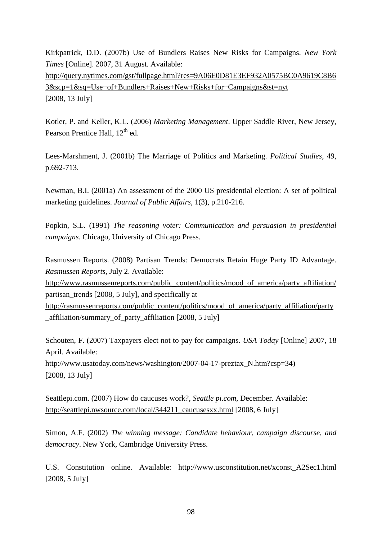Kirkpatrick, D.D. (2007b) Use of Bundlers Raises New Risks for Campaigns. *New York Times* [Online]. 2007, 31 August. Available: [http://query.nytimes.com/gst/fullpage.html?res=9A06E0D81E3EF932A0575BC0A9619C8B6](http://query.nytimes.com/gst/fullpage.html?res=9A06E0D81E3EF932A0575BC0A9619C8B63&scp=1&sq=Use+of+Bundlers+Raises+New+Risks+for+Campaigns&st=nyt) [3&scp=1&sq=Use+of+Bundlers+Raises+New+Risks+for+Campaigns&st=nyt](http://query.nytimes.com/gst/fullpage.html?res=9A06E0D81E3EF932A0575BC0A9619C8B63&scp=1&sq=Use+of+Bundlers+Raises+New+Risks+for+Campaigns&st=nyt)  [2008, 13 July]

Kotler, P. and Keller, K.L. (2006) *Marketing Management*. Upper Saddle River, New Jersey, Pearson Prentice Hall, 12<sup>th</sup> ed.

Lees-Marshment, J. (2001b) The Marriage of Politics and Marketing. *Political Studies*, 49, p.692-713.

Newman, B.I. (2001a) An assessment of the 2000 US presidential election: A set of political marketing guidelines. *Journal of Public Affairs*, 1(3), p.210-216.

Popkin, S.L. (1991) *The reasoning voter: Communication and persuasion in presidential campaigns*. Chicago, University of Chicago Press.

Rasmussen Reports. (2008) Partisan Trends: Democrats Retain Huge Party ID Advantage. *Rasmussen Reports*, July 2. Available:

[http://www.rasmussenreports.com/public\\_content/politics/mood\\_of\\_america/party\\_affiliation/](http://www.rasmussenreports.com/public_content/politics/mood_of_america/party_affiliation/partisan_trends) [partisan\\_trends](http://www.rasmussenreports.com/public_content/politics/mood_of_america/party_affiliation/partisan_trends) [2008, 5 July], and specifically at

[http://rasmussenreports.com/public\\_content/politics/mood\\_of\\_america/party\\_affiliation/party](http://rasmussenreports.com/public_content/politics/mood_of_america/party_affiliation/party_affiliation/summary_of_party_affiliation) [\\_affiliation/summary\\_of\\_party\\_affiliation](http://rasmussenreports.com/public_content/politics/mood_of_america/party_affiliation/party_affiliation/summary_of_party_affiliation) [2008, 5 July]

Schouten, F. (2007) Taxpayers elect not to pay for campaigns. *USA Today* [Online] 2007, 18 April. Available:

[http://www.usatoday.com/news/washington/2007-04-17-preztax\\_N.htm?csp=34\)](http://www.usatoday.com/news/washington/2007-04-17-preztax_N.htm?csp=34) [2008, 13 July]

Seattlepi.com. (2007) How do caucuses work?, *Seattle pi.com*, December. Available: [http://seattlepi.nwsource.com/local/344211\\_caucusesxx.html](http://seattlepi.nwsource.com/local/344211_caucusesxx.html) [2008, 6 July]

Simon, A.F. (2002) *The winning message: Candidate behaviour, campaign discourse, and democracy*. New York, Cambridge University Press.

U.S. Constitution online. Available: [http://www.usconstitution.net/xconst\\_A2Sec1.html](http://www.usconstitution.net/xconst_A2Sec1.html) [2008, 5 July]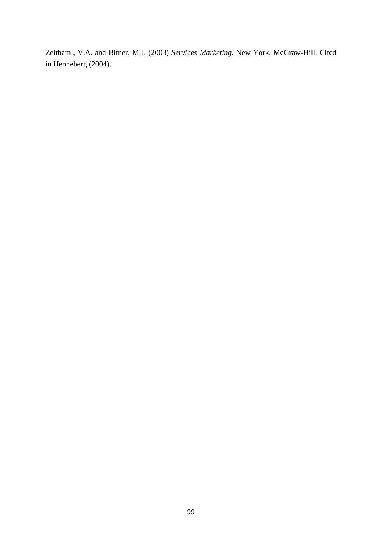Zeithaml, V.A. and Bitner, M.J. (2003) *Services Marketing*. New York, McGraw-Hill. Cited in Henneberg (2004).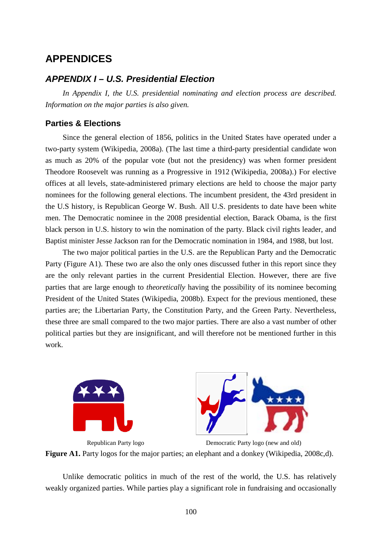## **APPENDICES**

## *APPENDIX I – U.S. Presidential Election*

*In Appendix I, the U.S. presidential nominating and election process are described. Information on the major parties is also given.*

### **Parties & Elections**

Since the general election of 1856, politics in the United States have operated under a two-party system (Wikipedia, 2008a). (The last time a third-party presidential candidate won as much as 20% of the popular vote (but not the presidency) was when former president Theodore Roosevelt was running as a Progressive in 1912 (Wikipedia, 2008a).) For elective offices at all levels, state-administered primary elections are held to choose the major party nominees for the following general elections. The incumbent president, the 43rd president in the U.S history, is Republican George W. Bush. All U.S. presidents to date have been white men. The Democratic nominee in the 2008 presidential election, Barack Obama, is the first black person in U.S. history to win the nomination of the party. Black civil rights leader, and Baptist minister Jesse Jackson ran for the Democratic nomination in 1984, and 1988, but lost.

The two major political parties in the U.S. are the Republican Party and the Democratic Party (Figure A1). These two are also the only ones discussed futher in this report since they are the only relevant parties in the current Presidential Election. However, there are five parties that are large enough to *theoretically* having the possibility of its nominee becoming President of the United States (Wikipedia, 2008b). Expect for the previous mentioned, these parties are; the Libertarian Party, the Constitution Party, and the Green Party. Nevertheless, these three are small compared to the two major parties. There are also a vast number of other political parties but they are insignificant, and will therefore not be mentioned further in this work.





Republican Party logo Democratic Party logo (new and old) **Figure A1.** Party logos for the major parties; an elephant and a donkey (Wikipedia, 2008c,d).

Unlike democratic politics in much of the rest of the world, the U.S. has relatively weakly organized parties. While parties play a significant role in fundraising and occasionally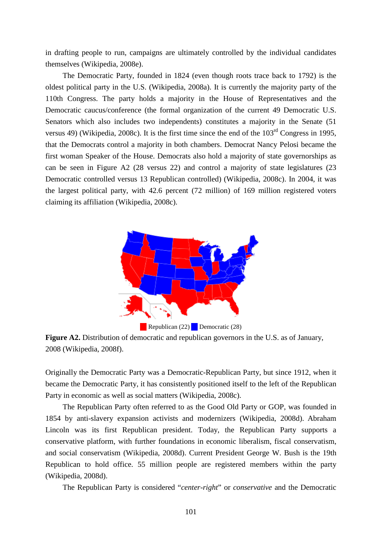in drafting people to run, campaigns are ultimately controlled by the individual candidates themselves (Wikipedia, 2008e).

The Democratic Party, founded in 1824 (even though roots trace back to 1792) is the oldest political party in the U.S. (Wikipedia, 2008a). It is currently the majority party of the 110th Congress. The party holds a majority in the House of Representatives and the Democratic caucus/conference (the formal organization of the current 49 Democratic U.S. Senators which also includes two independents) constitutes a majority in the Senate (51 versus 49) (Wikipedia, 2008c). It is the first time since the end of the  $103<sup>rd</sup>$  Congress in 1995, that the Democrats control a majority in both chambers. Democrat Nancy Pelosi became the first woman Speaker of the House. Democrats also hold a majority of state governorships as can be seen in Figure A2 (28 versus 22) and control a majority of state legislatures (23 Democratic controlled versus 13 Republican controlled) (Wikipedia, 2008c). In 2004, it was the largest political party, with 42.6 percent (72 million) of 169 million registered voters claiming its affiliation (Wikipedia, 2008c).



**Figure A2.** Distribution of democratic and republican governors in the U.S. as of January, 2008 (Wikipedia, 2008f).

Originally the Democratic Party was a Democratic-Republican Party, but since 1912, when it became the Democratic Party, it has consistently positioned itself to the left of the Republican Party in economic as well as social matters (Wikipedia, 2008c).

The Republican Party often referred to as the Good Old Party or GOP, was founded in 1854 by anti-slavery expansion activists and modernizers (Wikipedia, 2008d). Abraham Lincoln was its first Republican president. Today, the Republican Party supports a conservative platform, with further foundations in economic liberalism, fiscal conservatism, and social conservatism (Wikipedia, 2008d). Current President George W. Bush is the 19th Republican to hold office. 55 million people are registered members within the party (Wikipedia, 2008d).

The Republican Party is considered "*center-right*" or *conservative* and the Democratic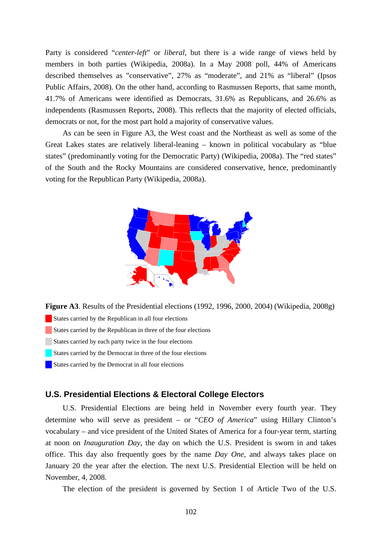Party is considered "*center-left*" or *liberal*, but there is a wide range of views held by members in both parties (Wikipedia, 2008a). In a May 2008 poll, 44% of Americans described themselves as "conservative", 27% as "moderate", and 21% as "liberal" (Ipsos Public Affairs, 2008). On the other hand, according to Rasmussen Reports, that same month, 41.7% of Americans were identified as Democrats, 31.6% as Republicans, and 26.6% as independents (Rasmussen Reports, 2008). This reflects that the majority of elected officials, democrats or not, for the most part hold a majority of conservative values.

As can be seen in Figure A3, the West coast and the Northeast as well as some of the Great Lakes states are relatively liberal-leaning – known in political vocabulary as "blue states" (predominantly voting for the Democratic Party) (Wikipedia, 2008a). The "red states" of the South and the Rocky Mountains are considered conservative, hence, predominantly voting for the Republican Party (Wikipedia, 2008a).



**Figure A3**. Results of the Presidential elections (1992, 1996, 2000, 2004) (Wikipedia, 2008g) States carried by the Republican in all four elections States carried by the Republican in three of the four elections States carried by each party twice in the four elections States carried by the Democrat in three of the four elections States carried by the Democrat in all four elections

#### **U.S. Presidential Elections & Electoral College Electors**

U.S. Presidential Elections are being held in November every fourth year. They determine who will serve as president – or "*CEO of America*" using Hillary Clinton's vocabulary – and vice president of the United States of America for a four-year term, starting at noon on *Inauguration Day*, the day on which the U.S. President is sworn in and takes office. This day also frequently goes by the name *Day One*, and always takes place on January 20 the year after the election. The next U.S. Presidential Election will be held on November, 4, 2008.

The election of the president is governed by Section 1 of Article Two of the U.S.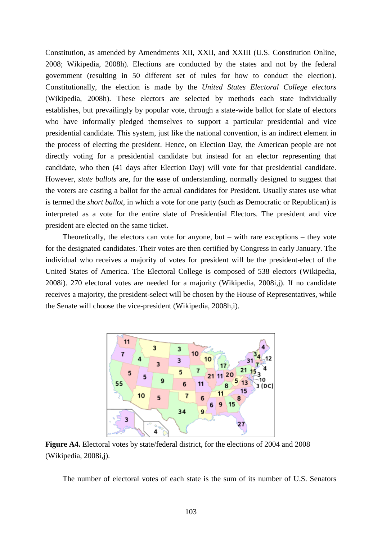Constitution, as amended by Amendments XII, XXII, and XXIII (U.S. Constitution Online, 2008; Wikipedia, 2008h). Elections are conducted by the states and not by the federal government (resulting in 50 different set of rules for how to conduct the election). Constitutionally, the election is made by the *United States Electoral College electors* (Wikipedia, 2008h). These electors are selected by methods each state individually establishes, but prevailingly by popular vote, through a state-wide ballot for slate of electors who have informally pledged themselves to support a particular presidential and vice presidential candidate. This system, just like the national convention, is an indirect element in the process of electing the president. Hence, on Election Day, the American people are not directly voting for a presidential candidate but instead for an elector representing that candidate, who then (41 days after Election Day) will vote for that presidential candidate. However, *state ballots* are, for the ease of understanding, normally designed to suggest that the voters are casting a ballot for the actual candidates for President. Usually states use what is termed the *short ballot*, in which a vote for one party (such as Democratic or Republican) is interpreted as a vote for the entire slate of Presidential Electors. The president and vice president are elected on the same ticket.

Theoretically, the electors can vote for anyone, but – with rare exceptions – they vote for the designated candidates. Their votes are then certified by Congress in early January. The individual who receives a majority of votes for president will be the president-elect of the United States of America. The Electoral College is composed of 538 electors (Wikipedia, 2008i). 270 electoral votes are needed for a majority (Wikipedia, 2008i,j). If no candidate receives a majority, the president-select will be chosen by the House of Representatives, while the Senate will choose the vice-president (Wikipedia, 2008h,i).



**Figure A4.** Electoral votes by state/federal district, for the elections of 2004 and 2008 (Wikipedia, 2008i,j).

The number of electoral votes of each state is the sum of its number of U.S. Senators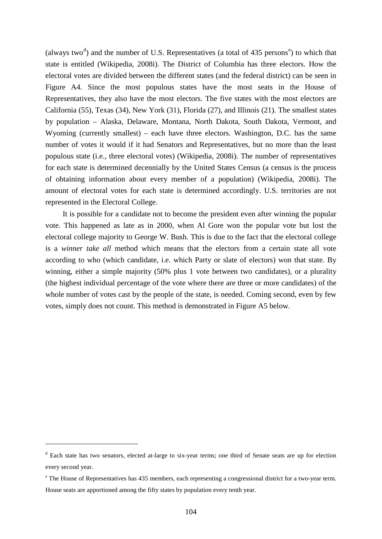(always two<sup>[d](#page-103-0)</sup>) and th[e](#page-103-1) number of U.S. Representatives (a total of 435 persons<sup>e</sup>) to which that state is entitled (Wikipedia, 2008i). The District of Columbia has three electors. How the electoral votes are divided between the different states (and the federal district) can be seen in Figure A4. Since the most populous states have the most seats in the House of Representatives, they also have the most electors. The five states with the most electors are California (55), Texas (34), New York (31), Florida (27), and Illinois (21). The smallest states by population – Alaska, Delaware, Montana, North Dakota, South Dakota, Vermont, and Wyoming (currently smallest) – each have three electors. Washington, D.C. has the same number of votes it would if it had Senators and Representatives, but no more than the least populous state (i.e., three electoral votes) (Wikipedia, 2008i). The number of representatives for each state is determined decennially by the United States Census (a census is the process of obtaining information about every member of a population) (Wikipedia, 2008i). The amount of electoral votes for each state is determined accordingly. U.S. territories are not represented in the Electoral College.

It is possible for a candidate not to become the president even after winning the popular vote. This happened as late as in 2000, when Al Gore won the popular vote but lost the electoral college majority to George W. Bush. This is due to the fact that the electoral college is a *winner take all* method which means that the electors from a certain state all vote according to who (which candidate, i.e. which Party or slate of electors) won that state. By winning, either a simple majority (50% plus 1 vote between two candidates), or a plurality (the highest individual percentage of the vote where there are three or more candidates) of the whole number of votes cast by the people of the state, is needed. Coming second, even by few votes, simply does not count. This method is demonstrated in Figure A5 below.

 $\overline{a}$ 

<span id="page-103-0"></span><sup>&</sup>lt;sup>d</sup> Each state has two senators, elected at-large to six-year terms; one third of Senate seats are up for election every second year.

<span id="page-103-1"></span><sup>&</sup>lt;sup>e</sup> The House of Representatives has 435 members, each representing a congressional district for a two-year term. House seats are apportioned among the fifty states by population every tenth year.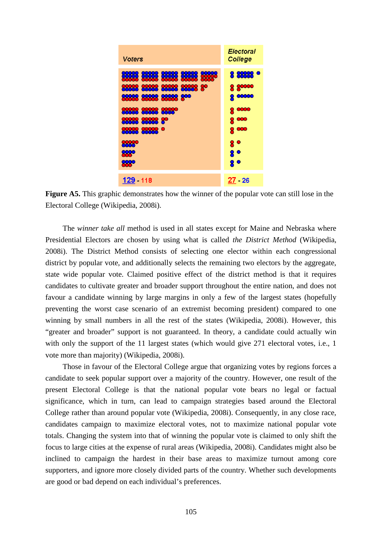

**Figure A5.** This graphic demonstrates how the winner of the popular vote can still lose in the Electoral College (Wikipedia, 2008i).

The *winner take all* method is used in all states except for Maine and Nebraska where Presidential Electors are chosen by using what is called *the District Method* (Wikipedia, 2008i). The District Method consists of selecting one elector within each congressional district by popular vote, and additionally selects the remaining two electors by the aggregate, state wide popular vote. Claimed positive effect of the district method is that it requires candidates to cultivate greater and broader support throughout the entire nation, and does not favour a candidate winning by large margins in only a few of the largest states (hopefully preventing the worst case scenario of an extremist becoming president) compared to one winning by small numbers in all the rest of the states (Wikipedia, 2008i). However, this "greater and broader" support is not guaranteed. In theory, a candidate could actually win with only the support of the 11 largest states (which would give 271 electoral votes, i.e., 1 vote more than majority) (Wikipedia, 2008i).

Those in favour of the Electoral College argue that organizing votes by regions forces a candidate to seek popular support over a majority of the country. However, one result of the present Electoral College is that the national popular vote bears no legal or factual significance, which in turn, can lead to campaign strategies based around the Electoral College rather than around popular vote (Wikipedia, 2008i). Consequently, in any close race, candidates campaign to maximize electoral votes, not to maximize national popular vote totals. Changing the system into that of winning the popular vote is claimed to only shift the focus to large cities at the expense of rural areas (Wikipedia, 2008i). Candidates might also be inclined to campaign the hardest in their base areas to maximize turnout among core supporters, and ignore more closely divided parts of the country. Whether such developments are good or bad depend on each individual's preferences.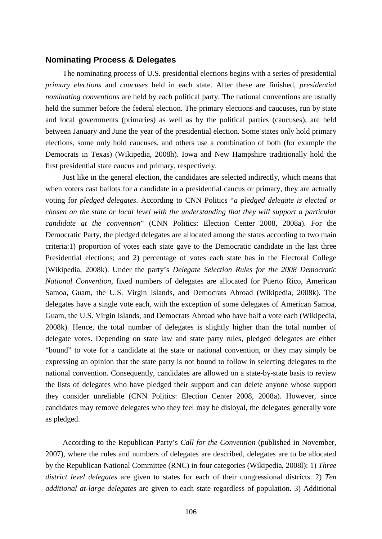#### **Nominating Process & Delegates**

The nominating process of U.S. presidential elections begins with a series of presidential *primary elections* and *caucuses* held in each state. After these are finished, *presidential nominating conventions* are held by each political party. The national conventions are usually held the summer before the federal election. The primary elections and caucuses, run by state and local governments (primaries) as well as by the political parties (caucuses), are held between January and June the year of the presidential election. Some states only hold primary elections, some only hold caucuses, and others use a combination of both (for example the Democrats in Texas) (Wikipedia, 2008h). Iowa and New Hampshire traditionally hold the first presidential state caucus and primary, respectively.

Just like in the general election, the candidates are selected indirectly, which means that when voters cast ballots for a candidate in a presidential caucus or primary, they are actually voting for *pledged delegates*. According to CNN Politics "*a pledged delegate is elected or chosen on the state or local level with the understanding that they will support a particular candidate at the convention*" (CNN Politics: Election Center 2008, 2008a). For the Democratic Party, the pledged delegates are allocated among the states according to two main criteria:1) proportion of votes each state gave to the Democratic candidate in the last three Presidential elections; and 2) percentage of votes each state has in the Electoral College (Wikipedia, 2008k). Under the party's *Delegate Selection Rules for the 2008 Democratic National Convention*, fixed numbers of delegates are allocated for Puerto Rico, American Samoa, Guam, the U.S. Virgin Islands, and Democrats Abroad (Wikipedia, 2008k). The delegates have a single vote each, with the exception of some delegates of American Samoa, Guam, the U.S. Virgin Islands, and Democrats Abroad who have half a vote each (Wikipedia, 2008k). Hence, the total number of delegates is slightly higher than the total number of delegate votes. Depending on state law and state party rules, pledged delegates are either "bound" to vote for a candidate at the state or national convention, or they may simply be expressing an opinion that the state party is not bound to follow in selecting delegates to the national convention. Consequently, candidates are allowed on a state-by-state basis to review the lists of delegates who have pledged their support and can delete anyone whose support they consider unreliable (CNN Politics: Election Center 2008, 2008a). However, since candidates may remove delegates who they feel may be disloyal, the delegates generally vote as pledged.

According to the Republican Party's *Call for the Convention* (published in November, 2007), where the rules and numbers of delegates are described, delegates are to be allocated by the Republican National Committee (RNC) in four categories (Wikipedia, 2008l): 1) *Three district level delegates* are given to states for each of their congressional districts. 2) *Ten additional at-large delegates* are given to each state regardless of population. 3) Additional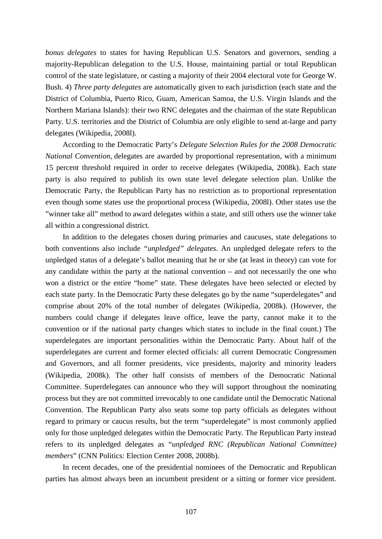*bonus delegates* to states for having Republican U.S. Senators and governors, sending a majority-Republican delegation to the U.S. House, maintaining partial or total Republican control of the state legislature, or casting a majority of their 2004 electoral vote for George W. Bush. 4) *Three party delegates* are automatically given to each jurisdiction (each state and the District of Columbia, Puerto Rico, Guam, American Samoa, the U.S. Virgin Islands and the Northern Mariana Islands): their two RNC delegates and the chairman of the state Republican Party. U.S. territories and the District of Columbia are only eligible to send at-large and party delegates (Wikipedia, 2008l).

According to the Democratic Party's *Delegate Selection Rules for the 2008 Democratic National Convention*, delegates are awarded by proportional representation, with a minimum 15 percent threshold required in order to receive delegates (Wikipedia, 2008k). Each state party is also required to publish its own state level delegate selection plan. Unlike the Democratic Party, the Republican Party has no restriction as to proportional representation even though some states use the proportional process (Wikipedia, 2008l). Other states use the "winner take all" method to award delegates within a state, and still others use the winner take all within a congressional district.

In addition to the delegates chosen during primaries and caucuses, state delegations to both conventions also include *"unpledged" delegates.* An unpledged delegate refers to the unpledged status of a delegate's ballot meaning that he or she (at least in theory) can vote for any candidate within the party at the national convention – and not necessarily the one who won a district or the entire "home" state. These delegates have been selected or elected by each state party. In the Democratic Party these delegates go by the name "superdelegates" and comprise about 20% of the total number of delegates (Wikipedia, 2008k). (However, the numbers could change if delegates leave office, leave the party, cannot make it to the convention or if the national party changes which states to include in the final count.) The superdelegates are important personalities within the Democratic Party. About half of the superdelegates are current and former elected officials: all current Democratic Congressmen and Governors, and all former presidents, vice presidents, majority and minority leaders (Wikipedia, 2008k). The other half consists of members of the Democratic National Committee. Superdelegates can announce who they will support throughout the nominating process but they are not committed irrevocably to one candidate until the Democratic National Convention. The Republican Party also seats some top party officials as delegates without regard to primary or caucus results, but the term "superdelegate" is most commonly applied only for those unpledged delegates within the Democratic Party. The Republican Party instead refers to its unpledged delegates as "*unpledged RNC (Republican National Committee) members*" (CNN Politics: Election Center 2008, 2008b).

In recent decades, one of the presidential nominees of the Democratic and Republican parties has almost always been an incumbent president or a sitting or former vice president.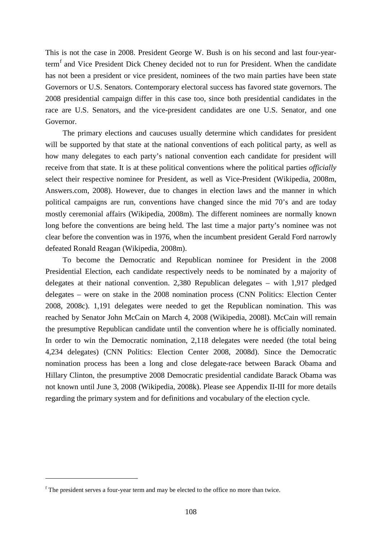This is not the case in 2008. President George W. Bush is on his second and last four-yearterm<sup>[f](#page-107-0)</sup> and Vice President Dick Cheney decided not to run for President. When the candidate has not been a president or vice president, nominees of the two main parties have been state Governors or U.S. Senators. Contemporary electoral success has favored state governors. The 2008 presidential campaign differ in this case too, since both presidential candidates in the race are U.S. Senators, and the vice-president candidates are one U.S. Senator, and one Governor.

The primary elections and caucuses usually determine which candidates for president will be supported by that state at the national conventions of each political party, as well as how many delegates to each party's national convention each candidate for president will receive from that state. It is at these political conventions where the political parties *officially* select their respective nominee for President, as well as Vice-President (Wikipedia, 2008m, Answers.com, 2008). However, due to changes in election laws and the manner in which political campaigns are run, conventions have changed since the mid 70's and are today mostly ceremonial affairs (Wikipedia, 2008m). The different nominees are normally known long before the conventions are being held. The last time a major party's nominee was not clear before the convention was in 1976, when the incumbent president Gerald Ford narrowly defeated Ronald Reagan (Wikipedia, 2008m).

To become the Democratic and Republican nominee for President in the 2008 Presidential Election, each candidate respectively needs to be nominated by a majority of delegates at their national convention. 2,380 Republican delegates – with 1,917 pledged delegates – were on stake in the 2008 nomination process (CNN Politics: Election Center 2008, 2008c). 1,191 delegates were needed to get the Republican nomination. This was reached by Senator John McCain on March 4, 2008 (Wikipedia, 2008l). McCain will remain the presumptive Republican candidate until the convention where he is officially nominated. In order to win the Democratic nomination, 2,118 delegates were needed (the total being 4,234 delegates) (CNN Politics: Election Center 2008, 2008d). Since the Democratic nomination process has been a long and close delegate-race between Barack Obama and Hillary Clinton, the presumptive 2008 Democratic presidential candidate Barack Obama was not known until June 3, 2008 (Wikipedia, 2008k). Please see Appendix II-III for more details regarding the primary system and for definitions and vocabulary of the election cycle.

 $\overline{a}$ 

<span id="page-107-0"></span><sup>f</sup> The president serves a four-year term and may be elected to the office no more than twice.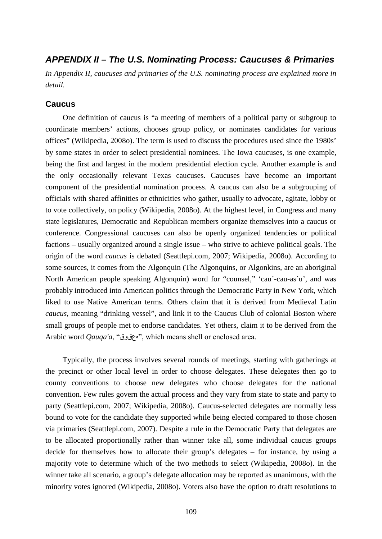# *APPENDIX II – The U.S. Nominating Process: Caucuses & Primaries*

*In Appendix II, caucuses and primaries of the U.S. nominating process are explained more in detail.*

# **Caucus**

One definition of caucus is "a meeting of members of a political party or subgroup to coordinate members' actions, chooses group policy, or nominates candidates for various offices" (Wikipedia, 2008o). The term is used to discuss the procedures used since the 1980s' by some states in order to select presidential nominees. The Iowa caucuses, is one example, being the first and largest in the modern presidential election cycle. Another example is and the only occasionally relevant Texas caucuses. Caucuses have become an important component of the presidential nomination process. A caucus can also be a subgrouping of officials with shared affinities or ethnicities who gather, usually to advocate, agitate, lobby or to vote collectively, on policy (Wikipedia, 2008o). At the highest level, in Congress and many state legislatures, Democratic and Republican members organize themselves into a caucus or conference. Congressional caucuses can also be openly organized tendencies or political factions – usually organized around a single issue – who strive to achieve political goals. The origin of the word *caucus* is debated (Seattlepi.com, 2007; Wikipedia, 2008o). According to some sources, it comes from the Algonquin (The Algonquins, or Algonkins, are an aboriginal North American people speaking Algonquin) word for "counsel," 'cau´-cau-as´u', and was probably introduced into American politics through the Democratic Party in New York, which liked to use Native American terms. Others claim that it is derived from Medieval Latin *caucus*, meaning "drinking vessel", and link it to the Caucus Club of colonial Boston where small groups of people met to endorse candidates. Yet others, claim it to be derived from the Arabic word *Qauqa'a*, "هعقوق", which means shell or enclosed area.

Typically, the process involves several rounds of meetings, starting with gatherings at the precinct or other local level in order to choose delegates. These delegates then go to county conventions to choose new delegates who choose delegates for the national convention. Few rules govern the actual process and they vary from state to state and party to party (Seattlepi.com, 2007; Wikipedia, 2008o). Caucus-selected delegates are normally less bound to vote for the candidate they supported while being elected compared to those chosen via primaries (Seattlepi.com, 2007). Despite a rule in the Democratic Party that delegates are to be allocated proportionally rather than winner take all, some individual caucus groups decide for themselves how to allocate their group's delegates – for instance, by using a majority vote to determine which of the two methods to select (Wikipedia, 2008o). In the winner take all scenario, a group's delegate allocation may be reported as unanimous, with the minority votes ignored (Wikipedia, 2008o). Voters also have the option to draft resolutions to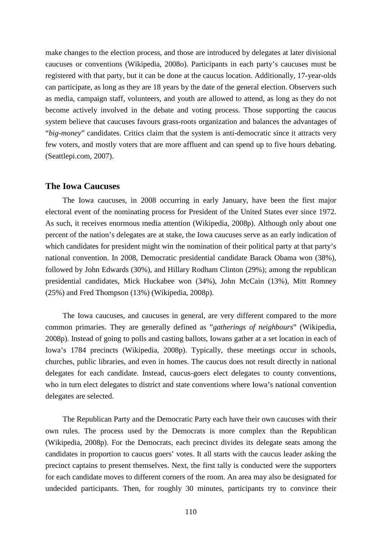make changes to the election process, and those are introduced by delegates at later divisional caucuses or conventions (Wikipedia, 2008o). Participants in each party's caucuses must be registered with that party, but it can be done at the caucus location. Additionally, 17-year-olds can participate, as long as they are 18 years by the date of the general election. Observers such as media, campaign staff, volunteers, and youth are allowed to attend, as long as they do not become actively involved in the debate and voting process. Those supporting the caucus system believe that caucuses favours grass-roots organization and balances the advantages of "*big-money*" candidates. Critics claim that the system is anti-democratic since it attracts very few voters, and mostly voters that are more affluent and can spend up to five hours debating. (Seattlepi.com, 2007).

#### **The Iowa Caucuses**

The Iowa caucuses, in 2008 occurring in early January, have been the first major electoral event of the nominating process for President of the United States ever since 1972. As such, it receives enormous media attention (Wikipedia, 2008p). Although only about one percent of the nation's delegates are at stake, the Iowa caucuses serve as an early indication of which candidates for president might win the nomination of their political party at that party's national convention. In 2008, Democratic presidential candidate Barack Obama won (38%), followed by John Edwards (30%), and Hillary Rodham Clinton (29%); among the republican presidential candidates, Mick Huckabee won (34%), John McCain (13%), Mitt Romney (25%) and Fred Thompson (13%) (Wikipedia, 2008p).

The Iowa caucuses, and caucuses in general, are very different compared to the more common primaries. They are generally defined as "*gatherings of neighbours*" (Wikipedia, 2008p). Instead of going to polls and casting ballots, Iowans gather at a set location in each of Iowa's 1784 precincts (Wikipedia, 2008p). Typically, these meetings occur in schools, churches, public libraries, and even in homes. The caucus does not result directly in national delegates for each candidate. Instead, caucus-goers elect delegates to county conventions, who in turn elect delegates to district and state conventions where Iowa's national convention delegates are selected.

The Republican Party and the Democratic Party each have their own caucuses with their own rules. The process used by the Democrats is more complex than the Republican (Wikipedia, 2008p). For the Democrats, each precinct divides its delegate seats among the candidates in proportion to caucus goers' votes. It all starts with the caucus leader asking the precinct captains to present themselves. Next, the first tally is conducted were the supporters for each candidate moves to different corners of the room. An area may also be designated for undecided participants. Then, for roughly 30 minutes, participants try to convince their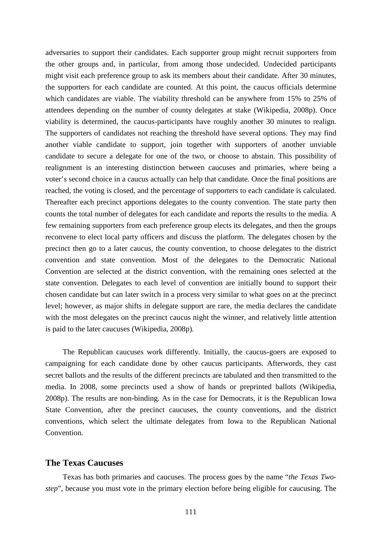adversaries to support their candidates. Each supporter group might recruit supporters from the other groups and, in particular, from among those undecided. Undecided participants might visit each preference group to ask its members about their candidate. After 30 minutes, the supporters for each candidate are counted. At this point, the caucus officials determine which candidates are viable. The viability threshold can be anywhere from 15% to 25% of attendees depending on the number of county delegates at stake (Wikipedia, 2008p). Once viability is determined, the caucus-participants have roughly another 30 minutes to realign. The supporters of candidates not reaching the threshold have several options. They may find another viable candidate to support, join together with supporters of another unviable candidate to secure a delegate for one of the two, or choose to abstain. This possibility of realignment is an interesting distinction between caucuses and primaries, where being a voter's second choice in a caucus actually can help that candidate. Once the final positions are reached, the voting is closed, and the percentage of supporters to each candidate is calculated. Thereafter each precinct apportions delegates to the county convention. The state party then counts the total number of delegates for each candidate and reports the results to the media. A few remaining supporters from each preference group elects its delegates, and then the groups reconvene to elect local party officers and discuss the platform. The delegates chosen by the precinct then go to a later caucus, the county convention, to choose delegates to the district convention and state convention. Most of the delegates to the Democratic National Convention are selected at the district convention, with the remaining ones selected at the state convention. Delegates to each level of convention are initially bound to support their chosen candidate but can later switch in a process very similar to what goes on at the precinct level; however, as major shifts in delegate support are rare, the media declares the candidate with the most delegates on the precinct caucus night the winner, and relatively little attention is paid to the later caucuses (Wikipedia, 2008p).

The Republican caucuses work differently. Initially, the caucus-goers are exposed to campaigning for each candidate done by other caucus participants. Afterwords, they cast secret ballots and the results of the different precincts are tabulated and then transmitted to the media. In 2008, some precincts used a show of hands or preprinted ballots (Wikipedia, 2008p). The results are non-binding. As in the case for Democrats, it is the Republican Iowa State Convention, after the precinct caucuses, the county conventions, and the district conventions, which select the ultimate delegates from Iowa to the Republican National Convention.

# **The Texas Caucuses**

Texas has both primaries and caucuses. The process goes by the name "*the Texas Twostep*", because you must vote in the primary election before being eligible for caucusing. The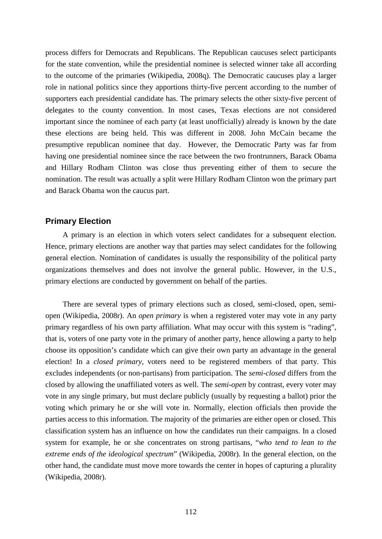process differs for Democrats and Republicans. The Republican caucuses select participants for the state convention, while the presidential nominee is selected winner take all according to the outcome of the primaries (Wikipedia, 2008q). The Democratic caucuses play a larger role in national politics since they apportions thirty-five percent according to the number of supporters each presidential candidate has. The primary selects the other sixty-five percent of delegates to the county convention. In most cases, Texas elections are not considered important since the nominee of each party (at least unofficially) already is known by the date these elections are being held. This was different in 2008. John McCain became the presumptive republican nominee that day. However, the Democratic Party was far from having one presidential nominee since the race between the two frontrunners, Barack Obama and Hillary Rodham Clinton was close thus preventing either of them to secure the nomination. The result was actually a split were Hillary Rodham Clinton won the primary part and Barack Obama won the caucus part.

## **Primary Election**

A primary is an election in which voters select candidates for a subsequent election. Hence, primary elections are another way that parties may select candidates for the following general election. Nomination of candidates is usually the responsibility of the political party organizations themselves and does not involve the general public. However, in the U.S., primary elections are conducted by government on behalf of the parties.

There are several types of primary elections such as closed, semi-closed, open, semiopen (Wikipedia, 2008r). An *open primary* is when a registered voter may vote in any party primary regardless of his own party affiliation. What may occur with this system is "rading", that is, voters of one party vote in the primary of another party, hence allowing a party to help choose its opposition's candidate which can give their own party an advantage in the general election! In a *closed primary*, voters need to be registered members of that party. This excludes independents (or non-partisans) from participation. The *semi-closed* differs from the closed by allowing the unaffiliated voters as well. The *semi-open* by contrast, every voter may vote in any single primary, but must declare publicly (usually by requesting a ballot) prior the voting which primary he or she will vote in. Normally, election officials then provide the parties access to this information. The majority of the primaries are either open or closed. This classification system has an influence on how the candidates run their campaigns. In a closed system for example, he or she concentrates on strong partisans, "*who tend to lean to the extreme ends of the ideological spectrum*" (Wikipedia, 2008r). In the general election, on the other hand, the candidate must move more towards the center in hopes of capturing a plurality (Wikipedia, 2008r).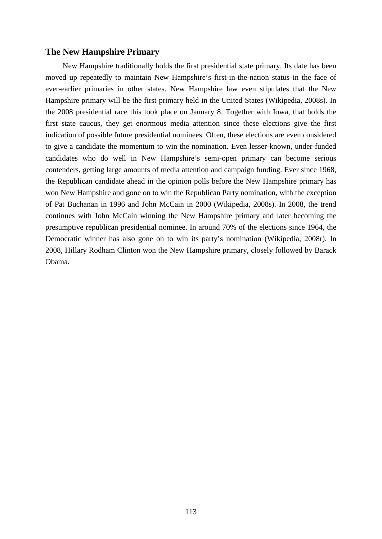# **The New Hampshire Primary**

New Hampshire traditionally holds the first presidential state primary. Its date has been moved up repeatedly to maintain New Hampshire's first-in-the-nation status in the face of ever-earlier primaries in other states. New Hampshire law even stipulates that the New Hampshire primary will be the first primary held in the United States (Wikipedia, 2008s). In the 2008 presidential race this took place on January 8. Together with Iowa, that holds the first state caucus, they get enormous media attention since these elections give the first indication of possible future presidential nominees. Often, these elections are even considered to give a candidate the momentum to win the nomination. Even lesser-known, under-funded candidates who do well in New Hampshire's semi-open primary can become serious contenders, getting large amounts of media attention and campaign funding. Ever since 1968, the Republican candidate ahead in the opinion polls before the New Hampshire primary has won New Hampshire and gone on to win the Republican Party nomination, with the exception of Pat Buchanan in 1996 and John McCain in 2000 (Wikipedia, 2008s). In 2008, the trend continues with John McCain winning the New Hampshire primary and later becoming the presumptive republican presidential nominee. In around 70% of the elections since 1964, the Democratic winner has also gone on to win its party's nomination (Wikipedia, 2008r). In 2008, Hillary Rodham Clinton won the New Hampshire primary, closely followed by Barack Obama.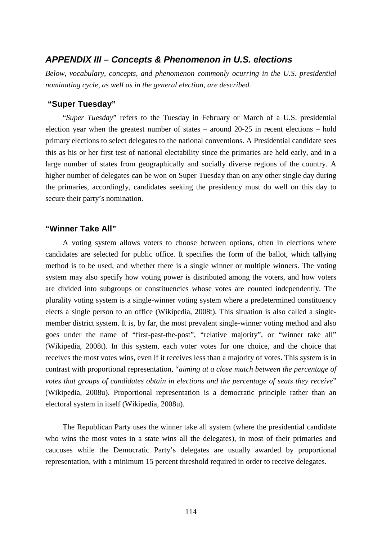# *APPENDIX III – Concepts & Phenomenon in U.S. elections*

*Below, vocabulary, concepts, and phenomenon commonly ocurring in the U.S. presidential nominating cycle, as well as in the general election, are described.*

# **"Super Tuesday"**

"*Super Tuesday*" refers to the Tuesday in February or March of a U.S. presidential election year when the greatest number of states – around 20-25 in recent elections – hold primary elections to select delegates to the national conventions. A Presidential candidate sees this as his or her first test of national electability since the primaries are held early, and in a large number of states from geographically and socially diverse regions of the country. A higher number of delegates can be won on Super Tuesday than on any other single day during the primaries, accordingly, candidates seeking the presidency must do well on this day to secure their party's nomination.

## **"Winner Take All"**

A voting system allows voters to choose between options, often in elections where candidates are selected for public office. It specifies the form of the ballot, which tallying method is to be used, and whether there is a single winner or multiple winners. The voting system may also specify how voting power is distributed among the voters, and how voters are divided into subgroups or constituencies whose votes are counted independently. The plurality voting system is a single-winner voting system where a predetermined constituency elects a single person to an office (Wikipedia, 2008t). This situation is also called a singlemember district system. It is, by far, the most prevalent single-winner voting method and also goes under the name of "first-past-the-post", "relative majority", or "winner take all" (Wikipedia, 2008t). In this system, each voter votes for one choice, and the choice that receives the most votes wins, even if it receives less than a majority of votes. This system is in contrast with proportional representation, "*aiming at a close match between the percentage of votes that groups of candidates obtain in elections and the percentage of seats they receive*" (Wikipedia, 2008u). Proportional representation is a democratic principle rather than an electoral system in itself (Wikipedia, 2008u).

The Republican Party uses the winner take all system (where the presidential candidate who wins the most votes in a state wins all the delegates), in most of their primaries and caucuses while the Democratic Party's delegates are usually awarded by proportional representation, with a minimum 15 percent threshold required in order to receive delegates.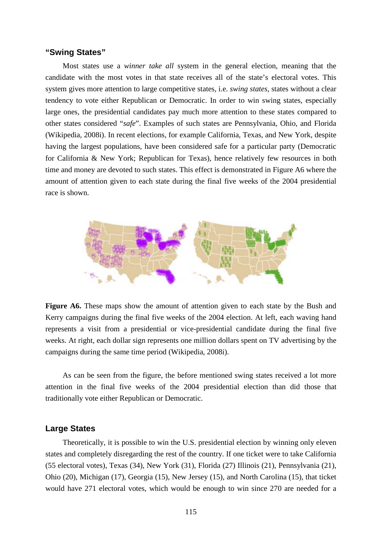#### **"Swing States"**

Most states use a *winner take all* system in the general election, meaning that the candidate with the most votes in that state receives all of the state's electoral votes. This system gives more attention to large competitive states, i.e. *swing states*, states without a clear tendency to vote either Republican or Democratic. In order to win swing states, especially large ones, the presidential candidates pay much more attention to these states compared to other states considered "*safe*". Examples of such states are Pennsylvania, Ohio, and Florida (Wikipedia, 2008i). In recent elections, for example California, Texas, and New York, despite having the largest populations, have been considered safe for a particular party (Democratic for California & New York; Republican for Texas), hence relatively few resources in both time and money are devoted to such states. This effect is demonstrated in Figure A6 where the amount of attention given to each state during the final five weeks of the 2004 presidential race is shown.



Figure A6. These maps show the amount of attention given to each state by the Bush and Kerry campaigns during the final five weeks of the 2004 election. At left, each waving hand represents a visit from a presidential or vice-presidential candidate during the final five weeks. At right, each dollar sign represents one million dollars spent on TV advertising by the campaigns during the same time period (Wikipedia, 2008i).

As can be seen from the figure, the before mentioned swing states received a lot more attention in the final five weeks of the 2004 presidential election than did those that traditionally vote either Republican or Democratic.

#### **Large States**

Theoretically, it is possible to win the U.S. presidential election by winning only eleven states and completely disregarding the rest of the country. If one ticket were to take California (55 electoral votes), Texas (34), New York (31), Florida (27) Illinois (21), Pennsylvania (21), Ohio (20), Michigan (17), Georgia (15), New Jersey (15), and North Carolina (15), that ticket would have 271 electoral votes, which would be enough to win since 270 are needed for a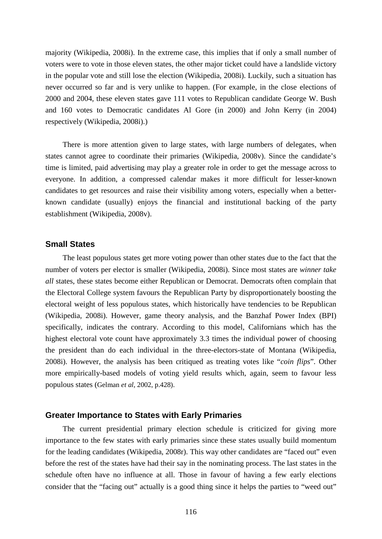majority (Wikipedia, 2008i). In the extreme case, this implies that if only a small number of voters were to vote in those eleven states, the other major ticket could have a landslide victory in the popular vote and still lose the election (Wikipedia, 2008i). Luckily, such a situation has never occurred so far and is very unlike to happen. (For example, in the close elections of 2000 and 2004, these eleven states gave 111 votes to Republican candidate George W. Bush and 160 votes to Democratic candidates Al Gore (in 2000) and John Kerry (in 2004) respectively (Wikipedia, 2008i).)

There is more attention given to large states, with large numbers of delegates, when states cannot agree to coordinate their primaries (Wikipedia, 2008v). Since the candidate's time is limited, paid advertising may play a greater role in order to get the message across to everyone. In addition, a compressed calendar makes it more difficult for lesser-known candidates to get resources and raise their visibility among voters, especially when a betterknown candidate (usually) enjoys the financial and institutional backing of the party establishment (Wikipedia, 2008v).

#### **Small States**

The least populous states get more voting power than other states due to the fact that the number of voters per elector is smaller (Wikipedia, 2008i). Since most states are *winner take all* states, these states become either Republican or Democrat. Democrats often complain that the Electoral College system favours the Republican Party by disproportionately boosting the electoral weight of less populous states, which historically have tendencies to be Republican (Wikipedia, 2008i). However, game theory analysis, and the Banzhaf Power Index (BPI) specifically, indicates the contrary. According to this model, Californians which has the highest electoral vote count have approximately 3.3 times the individual power of choosing the president than do each individual in the three-electors-state of Montana (Wikipedia, 2008i). However, the analysis has been critiqued as treating votes like "*coin flips*". Other more empirically-based models of voting yield results which, again, seem to favour less populous states (Gelman *et al*, 2002, p.428).

#### **Greater Importance to States with Early Primaries**

The current presidential primary election schedule is criticized for giving more importance to the few states with early primaries since these states usually build momentum for the leading candidates (Wikipedia, 2008r). This way other candidates are "faced out" even before the rest of the states have had their say in the nominating process. The last states in the schedule often have no influence at all. Those in favour of having a few early elections consider that the "facing out" actually is a good thing since it helps the parties to "weed out"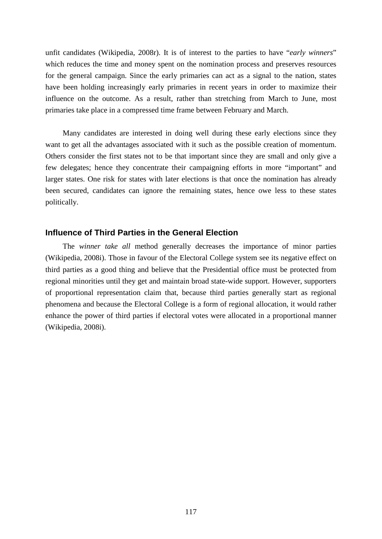unfit candidates (Wikipedia, 2008r). It is of interest to the parties to have "*early winners*" which reduces the time and money spent on the nomination process and preserves resources for the general campaign. Since the early primaries can act as a signal to the nation, states have been holding increasingly early primaries in recent years in order to maximize their influence on the outcome. As a result, rather than stretching from March to June, most primaries take place in a compressed time frame between February and March.

Many candidates are interested in doing well during these early elections since they want to get all the advantages associated with it such as the possible creation of momentum. Others consider the first states not to be that important since they are small and only give a few delegates; hence they concentrate their campaigning efforts in more "important" and larger states. One risk for states with later elections is that once the nomination has already been secured, candidates can ignore the remaining states, hence owe less to these states politically.

# **Influence of Third Parties in the General Election**

The *winner take all* method generally decreases the importance of minor parties (Wikipedia, 2008i). Those in favour of the Electoral College system see its negative effect on third parties as a good thing and believe that the Presidential office must be protected from regional minorities until they get and maintain broad state-wide support. However, supporters of proportional representation claim that, because third parties generally start as regional phenomena and because the Electoral College is a form of regional allocation, it would rather enhance the power of third parties if electoral votes were allocated in a proportional manner (Wikipedia, 2008i).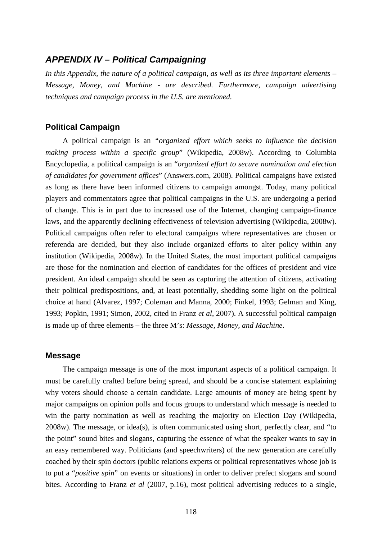# *APPENDIX IV – Political Campaigning*

*In this Appendix, the nature of a political campaign, as well as its three important elements – Message, Money, and Machine - are described. Furthermore, campaign advertising techniques and campaign process in the U.S. are mentioned.*

# **Political Campaign**

A political campaign is an *"organized effort which seeks to influence the decision making process within a specific group*" (Wikipedia, 2008w). According to Columbia Encyclopedia, a political campaign is an "*organized effort to secure nomination and election of candidates for government offices*" (Answers.com, 2008). Political campaigns have existed as long as there have been informed citizens to campaign amongst. Today, many political players and commentators agree that political campaigns in the U.S. are undergoing a period of change. This is in part due to increased use of the Internet, changing campaign-finance laws, and the apparently declining effectiveness of television advertising (Wikipedia, 2008w). Political campaigns often refer to electoral campaigns where representatives are chosen or referenda are decided, but they also include organized efforts to alter policy within any institution (Wikipedia, 2008w). In the United States, the most important political campaigns are those for the nomination and election of candidates for the offices of president and vice president. An ideal campaign should be seen as capturing the attention of citizens, activating their political predispositions, and, at least potentially, shedding some light on the political choice at hand (Alvarez, 1997; Coleman and Manna, 2000; Finkel, 1993; Gelman and King, 1993; Popkin, 1991; Simon, 2002, cited in Franz *et al*, 2007). A successful political campaign is made up of three elements – the three M's: *Message, Money, and Machine*.

#### **Message**

The campaign message is one of the most important aspects of a political campaign. It must be carefully crafted before being spread, and should be a concise statement explaining why voters should choose a certain candidate. Large amounts of money are being spent by major campaigns on opinion polls and focus groups to understand which message is needed to win the party nomination as well as reaching the majority on Election Day (Wikipedia, 2008w). The message, or idea(s), is often communicated using short, perfectly clear, and "to the point" sound bites and slogans, capturing the essence of what the speaker wants to say in an easy remembered way. Politicians (and speechwriters) of the new generation are carefully coached by their spin doctors (public relations experts or political representatives whose job is to put a "*positive spin*" on events or situations) in order to deliver prefect slogans and sound bites. According to Franz *et al* (2007, p.16), most political advertising reduces to a single,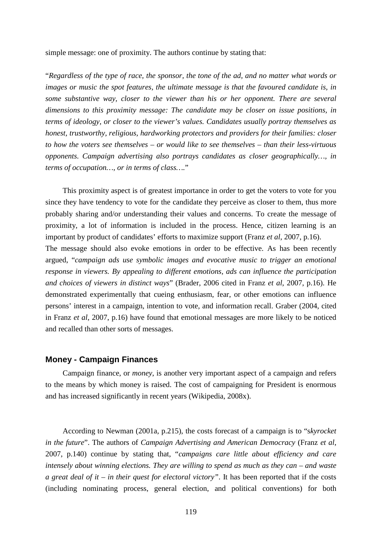simple message: one of proximity. The authors continue by stating that:

"*Regardless of the type of race, the sponsor, the tone of the ad, and no matter what words or images or music the spot features, the ultimate message is that the favoured candidate is, in some substantive way, closer to the viewer than his or her opponent. There are several dimensions to this proximity message: The candidate may be closer on issue positions, in terms of ideology, or closer to the viewer's values. Candidates usually portray themselves as honest, trustworthy, religious, hardworking protectors and providers for their families: closer to how the voters see themselves – or would like to see themselves – than their less-virtuous opponents. Campaign advertising also portrays candidates as closer geographically…, in terms of occupation…, or in terms of class….*"

This proximity aspect is of greatest importance in order to get the voters to vote for you since they have tendency to vote for the candidate they perceive as closer to them, thus more probably sharing and/or understanding their values and concerns. To create the message of proximity, a lot of information is included in the process. Hence, citizen learning is an important by product of candidates' efforts to maximize support (Franz *et al*, 2007, p.16).

The message should also evoke emotions in order to be effective. As has been recently argued, "*campaign ads use symbolic images and evocative music to trigger an emotional response in viewers. By appealing to different emotions, ads can influence the participation and choices of viewers in distinct ways*" (Brader, 2006 cited in Franz *et al*, 2007, p.16). He demonstrated experimentally that cueing enthusiasm, fear, or other emotions can influence persons' interest in a campaign, intention to vote, and information recall. Graber (2004, cited in Franz *et al*, 2007, p.16) have found that emotional messages are more likely to be noticed and recalled than other sorts of messages.

#### **Money - Campaign Finances**

Campaign finance, or *money*, is another very important aspect of a campaign and refers to the means by which money is raised. The cost of campaigning for President is enormous and has increased significantly in recent years (Wikipedia, 2008x).

According to Newman (2001a, p.215), the costs forecast of a campaign is to "s*kyrocket in the future*". The authors of *Campaign Advertising and American Democracy* (Franz *et al*, 2007, p.140) continue by stating that, "*campaigns care little about efficiency and care intensely about winning elections. They are willing to spend as much as they can – and waste a great deal of it – in their quest for electoral victory"*. It has been reported that if the costs (including nominating process, general election, and political conventions) for both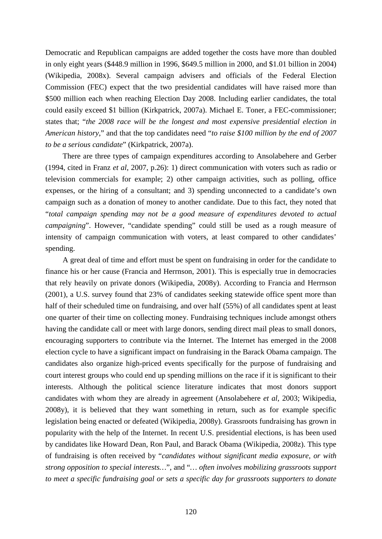Democratic and Republican campaigns are added together the costs have more than doubled in only eight years (\$448.9 million in 1996, \$649.5 million in 2000, and \$1.01 billion in 2004) (Wikipedia, 2008x). Several campaign advisers and officials of the Federal Election Commission (FEC) expect that the two presidential candidates will have raised more than \$500 million each when reaching Election Day 2008. Including earlier candidates, the total could easily exceed \$1 billion (Kirkpatrick, 2007a). Michael E. Toner, a FEC-commissioner; states that; "*the 2008 race will be the longest and most expensive presidential election in American history*," and that the top candidates need "*to raise \$100 million by the end of 2007 to be a serious candidate*" (Kirkpatrick, 2007a).

There are three types of campaign expenditures according to Ansolabehere and Gerber (1994, cited in Franz *et al*, 2007, p.26): 1) direct communication with voters such as radio or television commercials for example; 2) other campaign activities, such as polling, office expenses, or the hiring of a consultant; and 3) spending unconnected to a candidate's own campaign such as a donation of money to another candidate. Due to this fact, they noted that "*total campaign spending may not be a good measure of expenditures devoted to actual campaigning*". However, "candidate spending" could still be used as a rough measure of intensity of campaign communication with voters, at least compared to other candidates' spending.

A great deal of time and effort must be spent on fundraising in order for the candidate to finance his or her cause (Francia and Herrnson, 2001). This is especially true in democracies that rely heavily on private donors (Wikipedia, 2008y). According to Francia and Herrnson (2001), a U.S. survey found that 23% of candidates seeking statewide office spent more than half of their scheduled time on fundraising, and over half (55%) of all candidates spent at least one quarter of their time on collecting money. Fundraising techniques include amongst others having the candidate call or meet with large donors, sending direct mail pleas to small donors, encouraging supporters to contribute via the Internet. The Internet has emerged in the 2008 election cycle to have a significant impact on fundraising in the Barack Obama campaign. The candidates also organize high-priced events specifically for the purpose of fundraising and court interest groups who could end up spending millions on the race if it is significant to their interests. Although the political science literature indicates that most donors support candidates with whom they are already in agreement (Ansolabehere *et al*, 2003; Wikipedia, 2008y), it is believed that they want something in return, such as for example specific legislation being enacted or defeated (Wikipedia, 2008y). Grassroots fundraising has grown in popularity with the help of the Internet. In recent U.S. presidential elections, is has been used by candidates like Howard Dean, Ron Paul, and Barack Obama (Wikipedia, 2008z). This type of fundraising is often received by "*candidates without significant media exposure, or with strong opposition to special interests…*", and "*… often involves mobilizing grassroots support to meet a specific fundraising goal or sets a specific day for grassroots supporters to donate*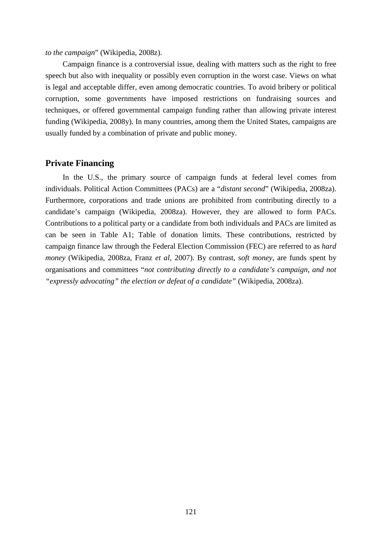*to the campaign*" (Wikipedia, 2008z).

Campaign finance is a controversial issue, dealing with matters such as the right to free speech but also with inequality or possibly even corruption in the worst case. Views on what is legal and acceptable differ, even among democratic countries. To avoid bribery or political corruption, some governments have imposed restrictions on fundraising sources and techniques, or offered governmental campaign funding rather than allowing private interest funding (Wikipedia, 2008y). In many countries, among them the United States, campaigns are usually funded by a combination of private and public money.

## **Private Financing**

In the U.S., the primary source of campaign funds at federal level comes from individuals. Political Action Committees (PACs) are a "*distant second*" (Wikipedia, 2008za). Furthermore, corporations and trade unions are prohibited from contributing directly to a candidate's campaign (Wikipedia, 2008za). However, they are allowed to form PACs. Contributions to a political party or a candidate from both individuals and PACs are limited as can be seen in Table A1; Table of donation limits. These contributions, restricted by campaign finance law through the Federal Election Commission (FEC) are referred to as *hard money* (Wikipedia, 2008za, Franz *et al*, 2007). By contrast, s*oft money*, are funds spent by organisations and committees "*not contributing directly to a candidate's campaign, and not "expressly advocating" the election or defeat of a candidate"* (Wikipedia, 2008za).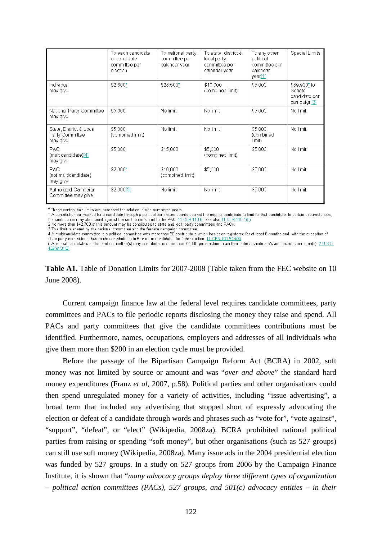|                                                        | To each candidate<br>or candidate<br>committee per<br>election | To national party<br>committee per<br>calendar year | To state, district &<br>local party<br>committee per<br>calendar year | To any other<br>political<br>committee per<br>calendar<br>year[1] | <b>Special Limits</b>                                  |
|--------------------------------------------------------|----------------------------------------------------------------|-----------------------------------------------------|-----------------------------------------------------------------------|-------------------------------------------------------------------|--------------------------------------------------------|
| Individual<br>may give                                 | $$2.300*$                                                      | \$28,500*                                           | \$10,000<br>(combined limit)                                          | \$5,000                                                           | \$39,900* to<br>Senate<br>candidate per<br>campaign[3] |
| National Party Committee<br>may give                   | \$5,000                                                        | No limit                                            | No limit                                                              | \$5,000                                                           | No limit                                               |
| State, District & Local<br>Party Committee<br>may give | \$5,000<br>(combined limit)                                    | No limit                                            | No limit                                                              | \$5,000<br>(combined<br>limit)                                    | No limit                                               |
| PAC.<br>(multicandidate)[4]<br>may give                | \$5,000                                                        | \$15,000                                            | \$5,000<br>(combined limit)                                           | \$5,000                                                           | No limit                                               |
| <b>PAC</b><br>(not multicandidate)<br>may give         | $$2,300*$                                                      | \$10,000<br>(combined limit)                        | \$5,000                                                               | \$5,000                                                           | No limit                                               |
| Authorized Campaign<br>Committee may give              | \$2,000[5]                                                     | No limit                                            | No limit                                                              | \$5,000                                                           | No limit                                               |

\* These contribution limits are increased for inflation in odd-numbered years

1 A contribution earmarked for a candidate through a political committee counts against the original contributor's limit for that candidate. In certain circumstances, the contribution may also count against the contributor's limit to the PAC. 11 CFR 110.6. See also 11 CFR 110.1(h).

2 No more than \$42,700 of this amount may be contributed to state and local party committees and PACs.<br>3 This limit is shared by the national committee and the Senate campaign committee.

4 A multicandidate committee is a political committee with more than 50 contributors which has been registered for at least 6 months and, with the exception of

**Table A1.** Table of Donation Limits for 2007-2008 (Table taken from the FEC website on 10 June 2008).

Current campaign finance law at the federal level requires candidate committees, party committees and PACs to file periodic reports disclosing the money they raise and spend. All PACs and party committees that give the candidate committees contributions must be identified. Furthermore, names, occupations, employers and addresses of all individuals who give them more than \$200 in an election cycle must be provided.

Before the passage of the Bipartisan Campaign Reform Act (BCRA) in 2002, soft money was not limited by source or amount and was "*over and above*" the standard hard money expenditures (Franz *et al*, 2007, p.58). Political parties and other organisations could then spend unregulated money for a variety of activities, including "issue advertising", a broad term that included any advertising that stopped short of expressly advocating the election or defeat of a candidate through words and phrases such as "vote for", "vote against", "support", "defeat", or "elect" (Wikipedia, 2008za). BCRA prohibited national political parties from raising or spending "soft money", but other organisations (such as 527 groups) can still use soft money (Wikipedia, 2008za). Many issue ads in the 2004 presidential election was funded by 527 groups. In a study on 527 groups from 2006 by the Campaign Finance Institute, it is shown that "*many advocacy groups deploy three different types of organization – political action committees (PACs), 527 groups, and 501(c) advocacy entities – in their* 

state party committees, has made contributions to 5 or more candidates for federal office. 11 CFR 100.5(e)(3) 5 A federal candidate's authorized committee(s) may contribute no more than \$2,000 per election to another federal candidate's authorized committee(s). 2 U.S.C. 432(e)(3)(B)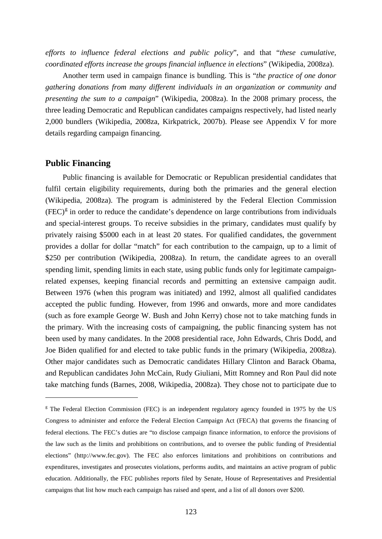*efforts to influence federal elections and public policy*", and that "*these cumulative, coordinated efforts increase the groups financial influence in elections*" (Wikipedia, 2008za).

Another term used in campaign finance is bundling. This is "*the practice of one donor gathering donations from many different individuals in an organization or community and presenting the sum to a campaign*" (Wikipedia, 2008za). In the 2008 primary process, the three leading Democratic and Republican candidates campaigns respectively, had listed nearly 2,000 bundlers (Wikipedia, 2008za, Kirkpatrick, 2007b). Please see Appendix V for more details regarding campaign financing.

#### **Public Financing**

 $\overline{a}$ 

Public financing is available for Democratic or Republican presidential candidates that fulfil certain eligibility requirements, during both the primaries and the general election (Wikipedia, 2008za). The program is administered by the Federal Election Commission  $(FEC)<sup>g</sup>$  $(FEC)<sup>g</sup>$  $(FEC)<sup>g</sup>$  in order to reduce the candidate's dependence on large contributions from individuals and special-interest groups. To receive subsidies in the primary, candidates must qualify by privately raising \$5000 each in at least 20 states. For qualified candidates, the government provides a dollar for dollar "match" for each contribution to the campaign, up to a limit of \$250 per contribution (Wikipedia, 2008za). In return, the candidate agrees to an overall spending limit, spending limits in each state, using public funds only for legitimate campaignrelated expenses, keeping financial records and permitting an extensive campaign audit. Between 1976 (when this program was initiated) and 1992, almost all qualified candidates accepted the public funding. However, from 1996 and onwards, more and more candidates (such as fore example George W. Bush and John Kerry) chose not to take matching funds in the primary. With the increasing costs of campaigning, the public financing system has not been used by many candidates. In the 2008 presidential race, John Edwards, Chris Dodd, and Joe Biden qualified for and elected to take public funds in the primary (Wikipedia, 2008za). Other major candidates such as Democratic candidates Hillary Clinton and Barack Obama, and Republican candidates John McCain, Rudy Giuliani, Mitt Romney and Ron Paul did note take matching funds (Barnes, 2008, Wikipedia, 2008za). They chose not to participate due to

<span id="page-122-0"></span><sup>&</sup>lt;sup>g</sup> The Federal Election Commission (FEC) is an independent regulatory agency founded in 1975 by the US Congress to administer and enforce the Federal Election Campaign Act (FECA) that governs the financing of federal elections. The FEC's duties are "to disclose campaign finance information, to enforce the provisions of the law such as the limits and prohibitions on contributions, and to oversee the public funding of Presidential elections" (http://www.fec.gov). The FEC also enforces limitations and prohibitions on contributions and expenditures, investigates and prosecutes violations, performs audits, and maintains an active program of public education. Additionally, the FEC publishes reports filed by Senate, House of Representatives and Presidential campaigns that list how much each campaign has raised and spent, and a list of all donors over \$200.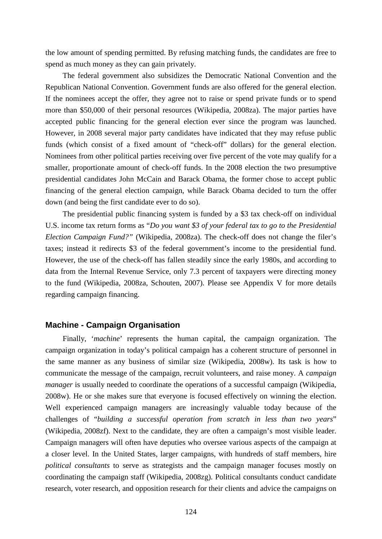the low amount of spending permitted. By refusing matching funds, the candidates are free to spend as much money as they can gain privately.

The federal government also subsidizes the Democratic National Convention and the Republican National Convention. Government funds are also offered for the general election. If the nominees accept the offer, they agree not to raise or spend private funds or to spend more than \$50,000 of their personal resources (Wikipedia, 2008za). The major parties have accepted public financing for the general election ever since the program was launched. However, in 2008 several major party candidates have indicated that they may refuse public funds (which consist of a fixed amount of "check-off" dollars) for the general election. Nominees from other political parties receiving over five percent of the vote may qualify for a smaller, proportionate amount of check-off funds. In the 2008 election the two presumptive presidential candidates John McCain and Barack Obama, the former chose to accept public financing of the general election campaign, while Barack Obama decided to turn the offer down (and being the first candidate ever to do so).

The presidential public financing system is funded by a \$3 tax check-off on individual U.S. income tax return forms as "*Do you want \$3 of your federal tax to go to the Presidential Election Campaign Fund?"* (Wikipedia, 2008za). The check-off does not change the filer's taxes; instead it redirects \$3 of the federal government's income to the presidential fund. However, the use of the check-off has fallen steadily since the early 1980s, and according to data from the Internal Revenue Service, only 7.3 percent of taxpayers were directing money to the fund (Wikipedia, 2008za, Schouten, 2007). Please see Appendix V for more details regarding campaign financing.

## **Machine - Campaign Organisation**

Finally, '*machine*' represents the human capital, the campaign organization. The campaign organization in today's political campaign has a coherent structure of personnel in the same manner as any business of similar size (Wikipedia, 2008w). Its task is how to communicate the message of the campaign, recruit volunteers, and raise money. A *campaign manager* is usually needed to coordinate the operations of a successful campaign (Wikipedia, 2008w). He or she makes sure that everyone is focused effectively on winning the election. Well experienced campaign managers are increasingly valuable today because of the challenges of "*building a successful operation from scratch in less than two years*" (Wikipedia, 2008zf). Next to the candidate, they are often a campaign's most visible leader. Campaign managers will often have deputies who oversee various aspects of the campaign at a closer level. In the United States, larger campaigns, with hundreds of staff members, hire *political consultants* to serve as strategists and the campaign manager focuses mostly on coordinating the campaign staff (Wikipedia, 2008zg). Political consultants conduct candidate research, voter research, and opposition research for their clients and advice the campaigns on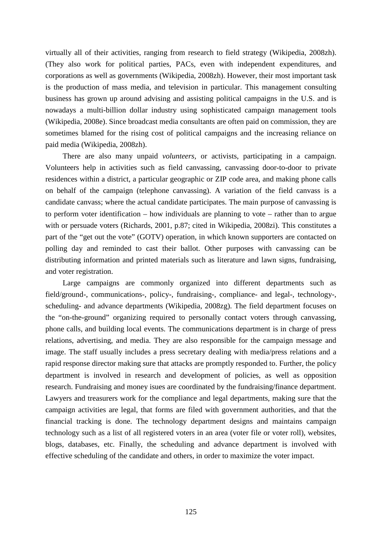virtually all of their activities, ranging from research to field strategy (Wikipedia, 2008zh). (They also work for political parties, PACs, even with independent expenditures, and corporations as well as governments (Wikipedia, 2008zh). However, their most important task is the production of mass media, and television in particular. This management consulting business has grown up around advising and assisting political campaigns in the U.S. and is nowadays a multi-billion dollar industry using sophisticated campaign management tools (Wikipedia, 2008e). Since broadcast media consultants are often paid on commission, they are sometimes blamed for the rising cost of political campaigns and the increasing reliance on paid media (Wikipedia, 2008zh).

There are also many unpaid *volunteers,* or activists, participating in a campaign. Volunteers help in activities such as field canvassing, canvassing door-to-door to private residences within a district, a particular geographic or ZIP code area, and making phone calls on behalf of the campaign (telephone canvassing). A variation of the field canvass is a candidate canvass; where the actual candidate participates. The main purpose of canvassing is to perform voter identification – how individuals are planning to vote – rather than to argue with or persuade voters (Richards, 2001, p.87; cited in Wikipedia, 2008zi). This constitutes a part of the "get out the vote" (GOTV) operation, in which known supporters are contacted on polling day and reminded to cast their ballot. Other purposes with canvassing can be distributing information and printed materials such as literature and lawn signs, fundraising, and voter registration.

Large campaigns are commonly organized into different departments such as field/ground-, communications-, policy-, fundraising-, compliance- and legal-, technology-, scheduling- and advance departments (Wikipedia, 2008zg). The field department focuses on the "on-the-ground" organizing required to personally contact voters through canvassing, phone calls, and building local events. The communications department is in charge of press relations, advertising, and media. They are also responsible for the campaign message and image. The staff usually includes a press secretary dealing with media/press relations and a rapid response director making sure that attacks are promptly responded to. Further, the policy department is involved in research and development of policies, as well as opposition research. Fundraising and money isues are coordinated by the fundraising/finance department. Lawyers and treasurers work for the compliance and legal departments, making sure that the campaign activities are legal, that forms are filed with government authorities, and that the financial tracking is done. The technology department designs and maintains campaign technology such as a list of all registered voters in an area (voter file or voter roll), websites, blogs, databases, etc. Finally, the scheduling and advance department is involved with effective scheduling of the candidate and others, in order to maximize the voter impact.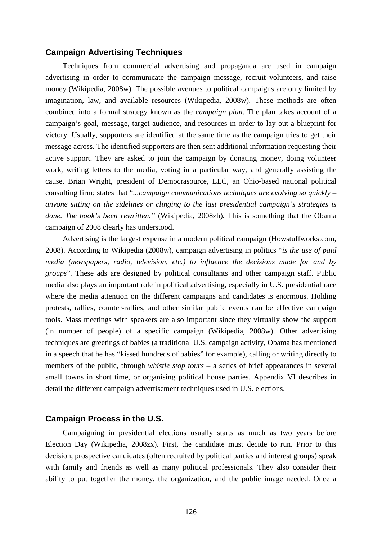# **Campaign Advertising Techniques**

Techniques from commercial advertising and propaganda are used in campaign advertising in order to communicate the campaign message, recruit volunteers, and raise money (Wikipedia, 2008w). The possible avenues to political campaigns are only limited by imagination, law, and available resources (Wikipedia, 2008w). These methods are often combined into a formal strategy known as the *campaign plan*. The plan takes account of a campaign's goal, message, target audience, and resources in order to lay out a blueprint for victory. Usually, supporters are identified at the same time as the campaign tries to get their message across. The identified supporters are then sent additional information requesting their active support. They are asked to join the campaign by donating money, doing volunteer work, writing letters to the media, voting in a particular way, and generally assisting the cause. Brian Wright, president of Democrasource, LLC, an Ohio-based national political consulting firm; states that "*...campaign communications techniques are evolving so quickly – anyone sitting on the sidelines or clinging to the last presidential campaign's strategies is done. The book's been rewritten."* (Wikipedia, 2008zh)*.* This is something that the Obama campaign of 2008 clearly has understood.

Advertising is the largest expense in a modern political campaign (Howstuffworks.com, 2008). According to Wikipedia (2008w), campaign advertising in politics "*is the use of paid media (newspapers, radio, television, etc.) to influence the decisions made for and by groups*". These ads are designed by political consultants and other campaign staff. Public media also plays an important role in political advertising, especially in U.S. presidential race where the media attention on the different campaigns and candidates is enormous. Holding protests, rallies, counter-rallies, and other similar public events can be effective campaign tools. Mass meetings with speakers are also important since they virtually show the support (in number of people) of a specific campaign (Wikipedia, 2008w). Other advertising techniques are greetings of babies (a traditional U.S. campaign activity, Obama has mentioned in a speech that he has "kissed hundreds of babies" for example), calling or writing directly to members of the public, through *whistle stop tours* – a series of brief appearances in several small towns in short time, or organising political house parties. Appendix VI describes in detail the different campaign advertisement techniques used in U.S. elections.

#### **Campaign Process in the U.S.**

Campaigning in presidential elections usually starts as much as two years before Election Day (Wikipedia, 2008zx). First, the candidate must decide to run. Prior to this decision, prospective candidates (often recruited by political parties and interest groups) speak with family and friends as well as many political professionals. They also consider their ability to put together the money, the organization, and the public image needed. Once a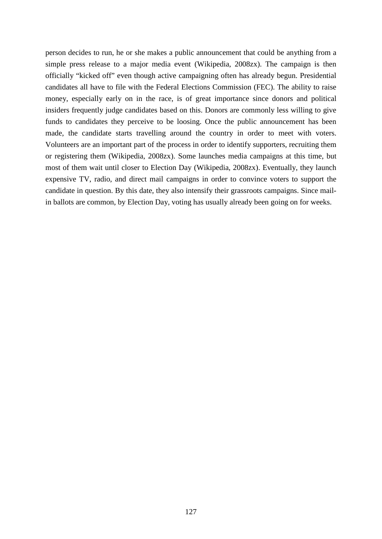person decides to run, he or she makes a public announcement that could be anything from a simple press release to a major media event (Wikipedia, 2008zx). The campaign is then officially "kicked off" even though active campaigning often has already begun. Presidential candidates all have to file with the Federal Elections Commission (FEC). The ability to raise money, especially early on in the race, is of great importance since donors and political insiders frequently judge candidates based on this. Donors are commonly less willing to give funds to candidates they perceive to be loosing. Once the public announcement has been made, the candidate starts travelling around the country in order to meet with voters. Volunteers are an important part of the process in order to identify supporters, recruiting them or registering them (Wikipedia, 2008zx). Some launches media campaigns at this time, but most of them wait until closer to Election Day (Wikipedia, 2008zx). Eventually, they launch expensive TV, radio, and direct mail campaigns in order to convince voters to support the candidate in question. By this date, they also intensify their grassroots campaigns. Since mailin ballots are common, by Election Day, voting has usually already been going on for weeks.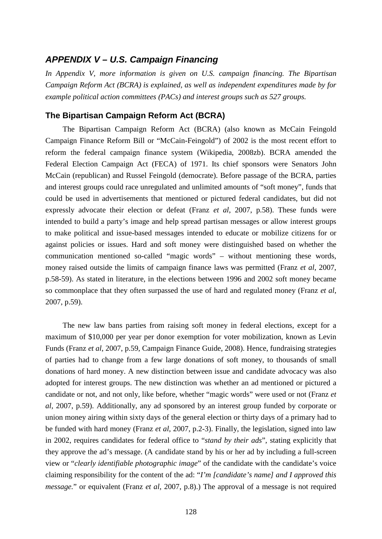# *APPENDIX V – U.S. Campaign Financing*

*In Appendix V, more information is given on U.S. campaign financing. The Bipartisan Campaign Reform Act (BCRA) is explained, as well as independent expenditures made by for example political action committees (PACs) and interest groups such as 527 groups.*

# **The Bipartisan Campaign Reform Act (BCRA)**

The Bipartisan Campaign Reform Act (BCRA) (also known as McCain Feingold Campaign Finance Reform Bill or "McCain-Feingold") of 2002 is the most recent effort to reform the federal campaign finance system (Wikipedia, 2008zb). BCRA amended the Federal Election Campaign Act (FECA) of 1971. Its chief sponsors were Senators John McCain (republican) and Russel Feingold (democrate). Before passage of the BCRA, parties and interest groups could race unregulated and unlimited amounts of "soft money", funds that could be used in advertisements that mentioned or pictured federal candidates, but did not expressly advocate their election or defeat (Franz *et al*, 2007, p.58). These funds were intended to build a party's image and help spread partisan messages or allow interest groups to make political and issue-based messages intended to educate or mobilize citizens for or against policies or issues. Hard and soft money were distinguished based on whether the communication mentioned so-called "magic words" – without mentioning these words, money raised outside the limits of campaign finance laws was permitted (Franz *et al*, 2007, p.58-59). As stated in literature, in the elections between 1996 and 2002 soft money became so commonplace that they often surpassed the use of hard and regulated money (Franz *et al*, 2007, p.59).

The new law bans parties from raising soft money in federal elections, except for a maximum of \$10,000 per year per donor exemption for voter mobilization, known as Levin Funds (Franz *et al*, 2007, p.59, Campaign Finance Guide, 2008). Hence, fundraising strategies of parties had to change from a few large donations of soft money, to thousands of small donations of hard money. A new distinction between issue and candidate advocacy was also adopted for interest groups. The new distinction was whether an ad mentioned or pictured a candidate or not, and not only, like before, whether "magic words" were used or not (Franz *et al*, 2007, p.59). Additionally, any ad sponsored by an interest group funded by corporate or union money airing within sixty days of the general election or thirty days of a primary had to be funded with hard money (Franz *et al*, 2007, p.2-3). Finally, the legislation, signed into law in 2002, requires candidates for federal office to "*stand by their ads*", stating explicitly that they approve the ad's message. (A candidate stand by his or her ad by including a full-screen view or "*clearly identifiable photographic image*" of the candidate with the candidate's voice claiming responsibility for the content of the ad: "*I'm [candidate's name] and I approved this message.*" or equivalent (Franz *et al*, 2007, p.8).) The approval of a message is not required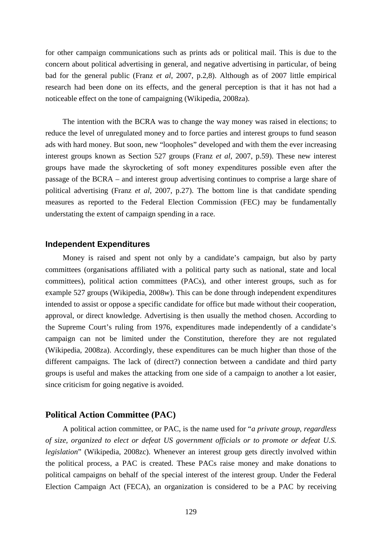for other campaign communications such as prints ads or political mail. This is due to the concern about political advertising in general, and negative advertising in particular, of being bad for the general public (Franz *et al*, 2007, p.2,8). Although as of 2007 little empirical research had been done on its effects, and the general perception is that it has not had a noticeable effect on the tone of campaigning (Wikipedia, 2008za).

The intention with the BCRA was to change the way money was raised in elections; to reduce the level of unregulated money and to force parties and interest groups to fund season ads with hard money. But soon, new "loopholes" developed and with them the ever increasing interest groups known as Section 527 groups (Franz *et al*, 2007, p.59). These new interest groups have made the skyrocketing of soft money expenditures possible even after the passage of the BCRA – and interest group advertising continues to comprise a large share of political advertising (Franz *et al*, 2007, p.27). The bottom line is that candidate spending measures as reported to the Federal Election Commission (FEC) may be fundamentally understating the extent of campaign spending in a race.

#### **Independent Expenditures**

Money is raised and spent not only by a candidate's campaign, but also by party committees (organisations affiliated with a political party such as national, state and local committees), political action committees (PACs), and other interest groups, such as for example 527 groups (Wikipedia, 2008w). This can be done through independent expenditures intended to assist or oppose a specific candidate for office but made without their cooperation, approval, or direct knowledge. Advertising is then usually the method chosen. According to the Supreme Court's ruling from 1976, expenditures made independently of a candidate's campaign can not be limited under the Constitution, therefore they are not regulated (Wikipedia, 2008za). Accordingly, these expenditures can be much higher than those of the different campaigns. The lack of (direct?) connection between a candidate and third party groups is useful and makes the attacking from one side of a campaign to another a lot easier, since criticism for going negative is avoided.

## **Political Action Committee (PAC)**

A political action committee, or PAC, is the name used for "*a private group, regardless of size, organized to elect or defeat US government officials or to promote or defeat U.S. legislation*" (Wikipedia, 2008zc). Whenever an interest group gets directly involved within the political process, a PAC is created. These PACs raise money and make donations to political campaigns on behalf of the special interest of the interest group. Under the Federal Election Campaign Act (FECA), an organization is considered to be a PAC by receiving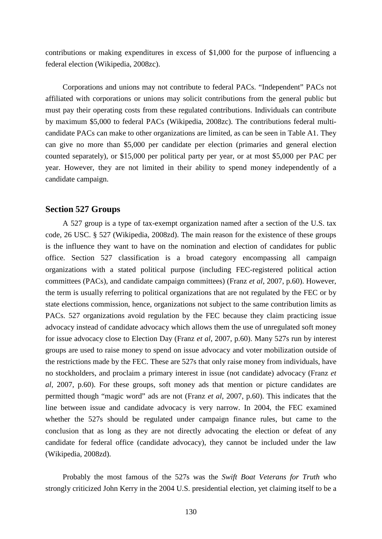contributions or making expenditures in excess of \$1,000 for the purpose of influencing a federal election (Wikipedia, 2008zc).

Corporations and unions may not contribute to federal PACs. "Independent" PACs not affiliated with corporations or unions may solicit contributions from the general public but must pay their operating costs from these regulated contributions. Individuals can contribute by maximum \$5,000 to federal PACs (Wikipedia, 2008zc). The contributions federal multicandidate PACs can make to other organizations are limited, as can be seen in Table A1. They can give no more than \$5,000 per candidate per election (primaries and general election counted separately), or \$15,000 per political party per year, or at most \$5,000 per PAC per year. However, they are not limited in their ability to spend money independently of a candidate campaign.

#### **Section 527 Groups**

A 527 group is a type of tax-exempt organization named after a section of the U.S. tax code, 26 USC. § 527 (Wikipedia, 2008zd). The main reason for the existence of these groups is the influence they want to have on the nomination and election of candidates for public office. Section 527 classification is a broad category encompassing all campaign organizations with a stated political purpose (including FEC-registered political action committees (PACs), and candidate campaign committees) (Franz *et al*, 2007, p.60). However, the term is usually referring to political organizations that are not regulated by the FEC or by state elections commission, hence, organizations not subject to the same contribution limits as PACs. 527 organizations avoid regulation by the FEC because they claim practicing issue advocacy instead of candidate advocacy which allows them the use of unregulated soft money for issue advocacy close to Election Day (Franz *et al*, 2007, p.60). Many 527s run by interest groups are used to raise money to spend on issue advocacy and voter mobilization outside of the restrictions made by the FEC. These are 527s that only raise money from individuals, have no stockholders, and proclaim a primary interest in issue (not candidate) advocacy (Franz *et al*, 2007, p.60). For these groups, soft money ads that mention or picture candidates are permitted though "magic word" ads are not (Franz *et al*, 2007, p.60). This indicates that the line between issue and candidate advocacy is very narrow. In 2004, the FEC examined whether the 527s should be regulated under campaign finance rules, but came to the conclusion that as long as they are not directly advocating the election or defeat of any candidate for federal office (candidate advocacy), they cannot be included under the law (Wikipedia, 2008zd).

Probably the most famous of the 527s was the *Swift Boat Veterans for Truth* who strongly criticized John Kerry in the 2004 U.S. presidential election, yet claiming itself to be a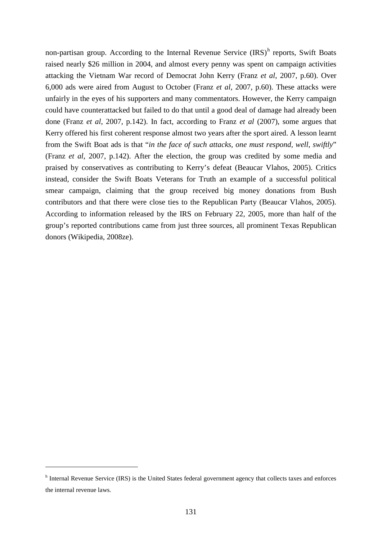non-partisan group. According to t[h](#page-130-0)e Internal Revenue Service  $(IRS)^h$  reports, Swift Boats raised nearly \$26 million in 2004, and almost every penny was spent on campaign activities attacking the Vietnam War record of Democrat John Kerry (Franz *et al*, 2007, p.60). Over 6,000 ads were aired from August to October (Franz *et al*, 2007, p.60). These attacks were unfairly in the eyes of his supporters and many commentators. However, the Kerry campaign could have counterattacked but failed to do that until a good deal of damage had already been done (Franz *et al*, 2007, p.142). In fact, according to Franz *et al* (2007), some argues that Kerry offered his first coherent response almost two years after the sport aired. A lesson learnt from the Swift Boat ads is that "*in the face of such attacks, one must respond, well, swiftly*" (Franz *et al*, 2007, p.142). After the election, the group was credited by some media and praised by conservatives as contributing to Kerry's defeat (Beaucar Vlahos, 2005). Critics instead, consider the Swift Boats Veterans for Truth an example of a successful political smear campaign, claiming that the group received big money donations from Bush contributors and that there were close ties to the Republican Party (Beaucar Vlahos, 2005). According to information released by the IRS on February 22, 2005, more than half of the group's reported contributions came from just three sources, all prominent Texas Republican donors (Wikipedia, 2008ze).

 $\overline{a}$ 

<span id="page-130-0"></span>h Internal Revenue Service (IRS) is the United States federal government agency that collects taxes and enforces the internal revenue laws.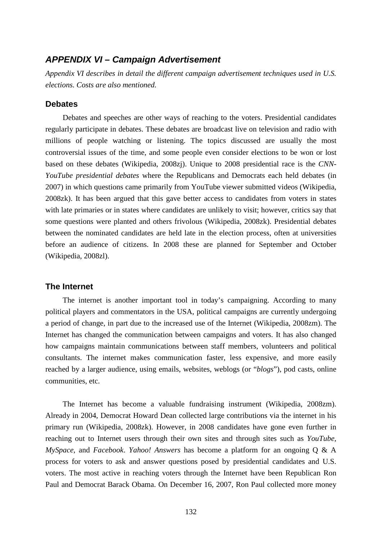# *APPENDIX VI – Campaign Advertisement*

*Appendix VI describes in detail the different campaign advertisement techniques used in U.S. elections. Costs are also mentioned.*

# **Debates**

Debates and speeches are other ways of reaching to the voters. Presidential candidates regularly participate in debates. These debates are broadcast live on television and radio with millions of people watching or listening. The topics discussed are usually the most controversial issues of the time, and some people even consider elections to be won or lost based on these debates (Wikipedia, 2008zj). Unique to 2008 presidential race is the *CNN-YouTube presidential debates* where the Republicans and Democrats each held debates (in 2007) in which questions came primarily from YouTube viewer submitted videos (Wikipedia, 2008zk). It has been argued that this gave better access to candidates from voters in states with late primaries or in states where candidates are unlikely to visit; however, critics say that some questions were planted and others frivolous (Wikipedia, 2008zk). Presidential debates between the nominated candidates are held late in the election process, often at universities before an audience of citizens. In 2008 these are planned for September and October (Wikipedia, 2008zl).

## **The Internet**

The internet is another important tool in today's campaigning. According to many political players and commentators in the USA, political campaigns are currently undergoing a period of change, in part due to the increased use of the Internet (Wikipedia, 2008zm). The Internet has changed the communication between campaigns and voters. It has also changed how campaigns maintain communications between staff members, volunteers and political consultants. The internet makes communication faster, less expensive, and more easily reached by a larger audience, using emails, websites, weblogs (or "*blogs*"), pod casts, online communities, etc.

The Internet has become a valuable fundraising instrument (Wikipedia, 2008zm). Already in 2004, Democrat Howard Dean collected large contributions via the internet in his primary run (Wikipedia, 2008zk). However, in 2008 candidates have gone even further in reaching out to Internet users through their own sites and through sites such as *YouTube, MySpace*, and *Facebook*. *Yahoo! Answers* has become a platform for an ongoing Q & A process for voters to ask and answer questions posed by presidential candidates and U.S. voters. The most active in reaching voters through the Internet have been Republican Ron Paul and Democrat Barack Obama. On December 16, 2007, Ron Paul collected more money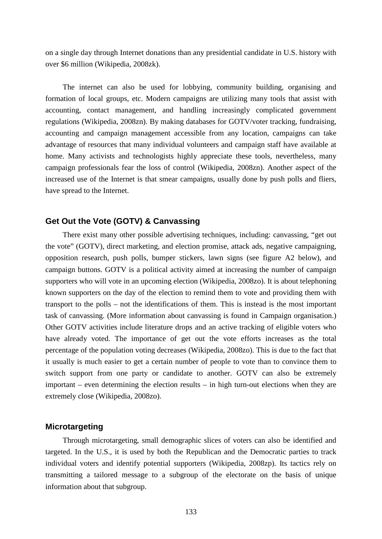on a single day through Internet donations than any presidential candidate in U.S. history with over \$6 million (Wikipedia, 2008zk).

The internet can also be used for lobbying, community building, organising and formation of local groups, etc. Modern campaigns are utilizing many tools that assist with accounting, contact management, and handling increasingly complicated government regulations (Wikipedia, 2008zn). By making databases for GOTV/voter tracking, fundraising, accounting and campaign management accessible from any location, campaigns can take advantage of resources that many individual volunteers and campaign staff have available at home. Many activists and technologists highly appreciate these tools, nevertheless, many campaign professionals fear the loss of control (Wikipedia, 2008zn). Another aspect of the increased use of the Internet is that smear campaigns, usually done by push polls and fliers, have spread to the Internet.

# **Get Out the Vote (GOTV) & Canvassing**

There exist many other possible advertising techniques, including: canvassing, "get out the vote" (GOTV), direct marketing, and election promise, attack ads, negative campaigning, opposition research, push polls, bumper stickers, lawn signs (see figure A2 below), and campaign buttons. GOTV is a political activity aimed at increasing the number of campaign supporters who will vote in an upcoming election (Wikipedia, 2008zo). It is about telephoning known supporters on the day of the election to remind them to vote and providing them with transport to the polls – not the identifications of them. This is instead is the most important task of canvassing. (More information about canvassing is found in Campaign organisation.) Other GOTV activities include literature drops and an active tracking of eligible voters who have already voted. The importance of get out the vote efforts increases as the total percentage of the population voting decreases (Wikipedia, 2008zo). This is due to the fact that it usually is much easier to get a certain number of people to vote than to convince them to switch support from one party or candidate to another. GOTV can also be extremely important – even determining the election results – in high turn-out elections when they are extremely close (Wikipedia, 2008zo).

# **Microtargeting**

Through microtargeting, small demographic slices of voters can also be identified and targeted. In the U.S., it is used by both the Republican and the Democratic parties to track individual voters and identify potential supporters (Wikipedia, 2008zp). Its tactics rely on transmitting a tailored message to a subgroup of the electorate on the basis of unique information about that subgroup.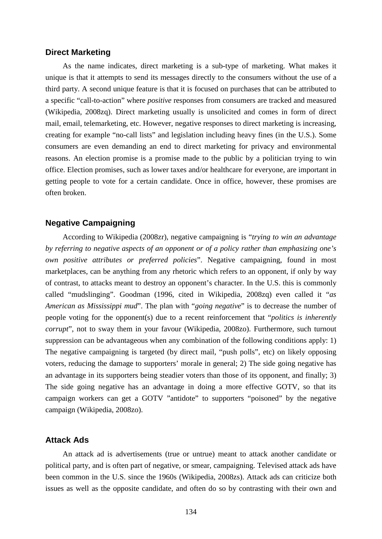#### **Direct Marketing**

As the name indicates, direct marketing is a sub-type of marketing. What makes it unique is that it attempts to send its messages directly to the consumers without the use of a third party. A second unique feature is that it is focused on purchases that can be attributed to a specific "call-to-action" where *positive* responses from consumers are tracked and measured (Wikipedia, 2008zq). Direct marketing usually is unsolicited and comes in form of direct mail, email, telemarketing, etc. However, negative responses to direct marketing is increasing, creating for example "no-call lists" and legislation including heavy fines (in the U.S.). Some consumers are even demanding an end to direct marketing for privacy and environmental reasons. An election promise is a promise made to the public by a politician trying to win office. Election promises, such as lower taxes and/or healthcare for everyone, are important in getting people to vote for a certain candidate. Once in office, however, these promises are often broken.

# **Negative Campaigning**

According to Wikipedia (2008zr), negative campaigning is "*trying to win an advantage by referring to negative aspects of an opponent or of a policy rather than emphasizing one's own positive attributes or preferred policies*". Negative campaigning, found in most marketplaces, can be anything from any rhetoric which refers to an opponent, if only by way of contrast, to attacks meant to destroy an opponent's character. In the U.S. this is commonly called "mudslinging". Goodman (1996, cited in Wikipedia, 2008zq) even called it "*as American as Mississippi mud*". The plan with "*going negative*" is to decrease the number of people voting for the opponent(s) due to a recent reinforcement that "*politics is inherently corrupt*", not to sway them in your favour (Wikipedia, 2008zo). Furthermore, such turnout suppression can be advantageous when any combination of the following conditions apply: 1) The negative campaigning is targeted (by direct mail, "push polls", etc) on likely opposing voters, reducing the damage to supporters' morale in general; 2) The side going negative has an advantage in its supporters being steadier voters than those of its opponent, and finally; 3) The side going negative has an advantage in doing a more effective GOTV, so that its campaign workers can get a GOTV "antidote" to supporters "poisoned" by the negative campaign (Wikipedia, 2008zo).

# **Attack Ads**

An attack ad is advertisements (true or untrue) meant to attack another candidate or political party, and is often part of negative, or smear, campaigning. Televised attack ads have been common in the U.S. since the 1960s (Wikipedia, 2008zs). Attack ads can criticize both issues as well as the opposite candidate, and often do so by contrasting with their own and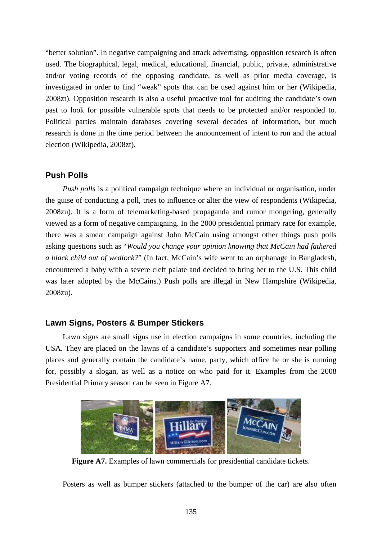"better solution". In negative campaigning and attack advertising, opposition research is often used. The biographical, legal, medical, educational, financial, public, private, administrative and/or voting records of the opposing candidate, as well as prior media coverage, is investigated in order to find "weak" spots that can be used against him or her (Wikipedia, 2008zt). Opposition research is also a useful proactive tool for auditing the candidate's own past to look for possible vulnerable spots that needs to be protected and/or responded to. Political parties maintain databases covering several decades of information, but much research is done in the time period between the announcement of intent to run and the actual election (Wikipedia, 2008zt).

# **Push Polls**

*Push polls* is a political campaign technique where an individual or organisation, under the guise of conducting a poll, tries to influence or alter the view of respondents (Wikipedia, 2008zu). It is a form of telemarketing-based propaganda and rumor mongering, generally viewed as a form of negative campaigning. In the 2000 presidential primary race for example, there was a smear campaign against John McCain using amongst other things push polls asking questions such as "*Would you change your opinion knowing that McCain had fathered a black child out of wedlock?*" (In fact, McCain's wife went to an orphanage in Bangladesh, encountered a baby with a severe cleft palate and decided to bring her to the U.S. This child was later adopted by the McCains.) Push polls are illegal in New Hampshire (Wikipedia, 2008zu).

# **Lawn Signs, Posters & Bumper Stickers**

Lawn signs are small signs use in election campaigns in some countries, including the USA. They are placed on the lawns of a candidate's supporters and sometimes near polling places and generally contain the candidate's name, party, which office he or she is running for, possibly a slogan, as well as a notice on who paid for it. Examples from the 2008 Presidential Primary season can be seen in Figure A7.



**Figure A7.** Examples of lawn commercials for presidential candidate tickets.

Posters as well as bumper stickers (attached to the bumper of the car) are also often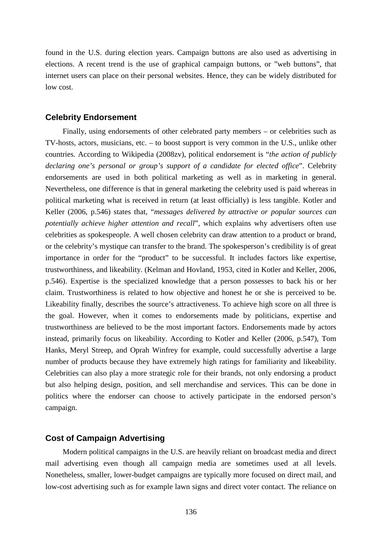found in the U.S. during election years. Campaign buttons are also used as advertising in elections. A recent trend is the use of graphical campaign buttons, or "web buttons", that internet users can place on their personal websites. Hence, they can be widely distributed for low cost.

#### **Celebrity Endorsement**

Finally, using endorsements of other celebrated party members – or celebrities such as TV-hosts, actors, musicians, etc. – to boost support is very common in the U.S., unlike other countries. According to Wikipedia (2008zv), political endorsement is "*the action of publicly declaring one's personal or group's support of a candidate for elected office*". Celebrity endorsements are used in both political marketing as well as in marketing in general. Nevertheless, one difference is that in general marketing the celebrity used is paid whereas in political marketing what is received in return (at least officially) is less tangible. Kotler and Keller (2006, p.546) states that, "*messages delivered by attractive or popular sources can potentially achieve higher attention and recall*", which explains why advertisers often use celebrities as spokespeople. A well chosen celebrity can draw attention to a product or brand, or the celebrity's mystique can transfer to the brand. The spokesperson's credibility is of great importance in order for the "product" to be successful. It includes factors like expertise, trustworthiness, and likeability. (Kelman and Hovland, 1953, cited in Kotler and Keller, 2006, p.546). Expertise is the specialized knowledge that a person possesses to back his or her claim. Trustworthiness is related to how objective and honest he or she is perceived to be. Likeability finally, describes the source's attractiveness. To achieve high score on all three is the goal. However, when it comes to endorsements made by politicians, expertise and trustworthiness are believed to be the most important factors. Endorsements made by actors instead, primarily focus on likeability. According to Kotler and Keller (2006, p.547), Tom Hanks, Meryl Streep, and Oprah Winfrey for example, could successfully advertise a large number of products because they have extremely high ratings for familiarity and likeability. Celebrities can also play a more strategic role for their brands, not only endorsing a product but also helping design, position, and sell merchandise and services. This can be done in politics where the endorser can choose to actively participate in the endorsed person's campaign.

# **Cost of Campaign Advertising**

Modern political campaigns in the U.S. are heavily reliant on broadcast media and direct mail advertising even though all campaign media are sometimes used at all levels. Nonetheless, smaller, lower-budget campaigns are typically more focused on direct mail, and low-cost advertising such as for example lawn signs and direct voter contact. The reliance on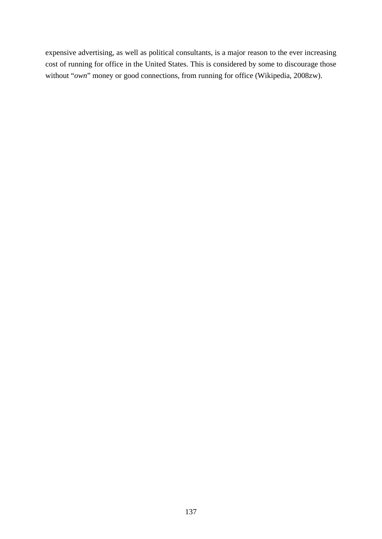expensive advertising, as well as political consultants, is a major reason to the ever increasing cost of running for office in the United States. This is considered by some to discourage those without "*own*" money or good connections, from running for office (Wikipedia, 2008zw).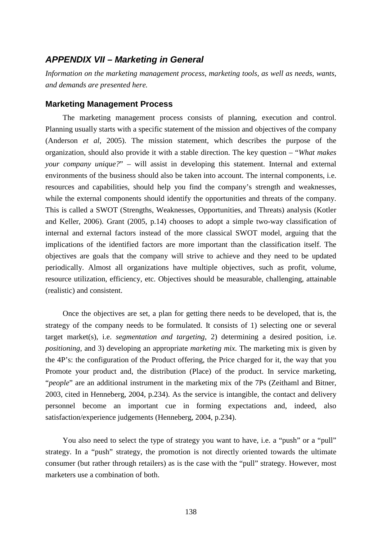# *APPENDIX VII – Marketing in General*

*Information on the marketing management process, marketing tools, as well as needs, wants, and demands are presented here.*

#### **Marketing Management Process**

The marketing management process consists of planning, execution and control. Planning usually starts with a specific statement of the mission and objectives of the company (Anderson *et al*, 2005). The mission statement, which describes the purpose of the organization, should also provide it with a stable direction. The key question – "*What makes your company unique?*" – will assist in developing this statement. Internal and external environments of the business should also be taken into account. The internal components, i.e. resources and capabilities, should help you find the company's strength and weaknesses, while the external components should identify the opportunities and threats of the company. This is called a SWOT (Strengths, Weaknesses, Opportunities, and Threats) analysis (Kotler and Keller, 2006). Grant (2005, p.14) chooses to adopt a simple two-way classification of internal and external factors instead of the more classical SWOT model, arguing that the implications of the identified factors are more important than the classification itself. The objectives are goals that the company will strive to achieve and they need to be updated periodically. Almost all organizations have multiple objectives, such as profit, volume, resource utilization, efficiency, etc. Objectives should be measurable, challenging, attainable (realistic) and consistent.

Once the objectives are set, a plan for getting there needs to be developed, that is, the strategy of the company needs to be formulated. It consists of 1) selecting one or several target market(s), i.e. *segmentation and targeting*, 2) determining a desired position, i.e. *positioning*, and 3) developing an appropriate *marketing mix*. The marketing mix is given by the 4P's: the configuration of the Product offering, the Price charged for it, the way that you Promote your product and, the distribution (Place) of the product. In service marketing, "*people*" are an additional instrument in the marketing mix of the 7Ps (Zeithaml and Bitner, 2003, cited in Henneberg, 2004, p.234). As the service is intangible, the contact and delivery personnel become an important cue in forming expectations and, indeed, also satisfaction/experience judgements (Henneberg, 2004, p.234).

You also need to select the type of strategy you want to have, i.e. a "push" or a "pull" strategy. In a "push" strategy, the promotion is not directly oriented towards the ultimate consumer (but rather through retailers) as is the case with the "pull" strategy. However, most marketers use a combination of both.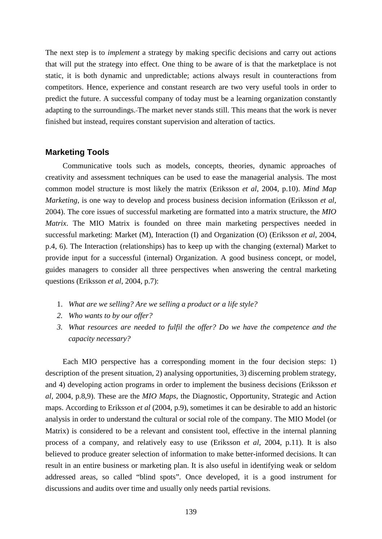The next step is to *implement* a strategy by making specific decisions and carry out actions that will put the strategy into effect. One thing to be aware of is that the marketplace is not static, it is both dynamic and unpredictable; actions always result in counteractions from competitors. Hence, experience and constant research are two very useful tools in order to predict the future. A successful company of today must be a learning organization constantly adapting to the surroundings. The market never stands still. This means that the work is never finished but instead, requires constant supervision and alteration of tactics.

# **Marketing Tools**

Communicative tools such as models, concepts, theories, dynamic approaches of creativity and assessment techniques can be used to ease the managerial analysis. The most common model structure is most likely the matrix (Eriksson *et al*, 2004, p.10). *Mind Map Marketing,* is one way to develop and process business decision information (Eriksson *et al*, 2004). The core issues of successful marketing are formatted into a matrix structure, the *MIO Matrix*. The MIO Matrix is founded on three main marketing perspectives needed in successful marketing: Market (M), Interaction (I) and Organization (O) (Eriksson *et al*, 2004, p.4, 6). The Interaction (relationships) has to keep up with the changing (external) Market to provide input for a successful (internal) Organization. A good business concept, or model, guides managers to consider all three perspectives when answering the central marketing questions (Eriksson *et al*, 2004, p.7):

- 1. *What are we selling? Are we selling a product or a life style?*
- *2. Who wants to by our offer?*
- *3. What resources are needed to fulfil the offer? Do we have the competence and the capacity necessary?*

Each MIO perspective has a corresponding moment in the four decision steps: 1) description of the present situation, 2) analysing opportunities, 3) discerning problem strategy, and 4) developing action programs in order to implement the business decisions (Eriksson *et al*, 2004, p.8,9). These are the *MIO Maps*, the Diagnostic, Opportunity, Strategic and Action maps. According to Eriksson *et al* (2004, p.9), sometimes it can be desirable to add an historic analysis in order to understand the cultural or social role of the company. The MIO Model (or Matrix) is considered to be a relevant and consistent tool, effective in the internal planning process of a company, and relatively easy to use (Eriksson *et al*, 2004, p.11). It is also believed to produce greater selection of information to make better-informed decisions. It can result in an entire business or marketing plan. It is also useful in identifying weak or seldom addressed areas, so called "blind spots". Once developed, it is a good instrument for discussions and audits over time and usually only needs partial revisions.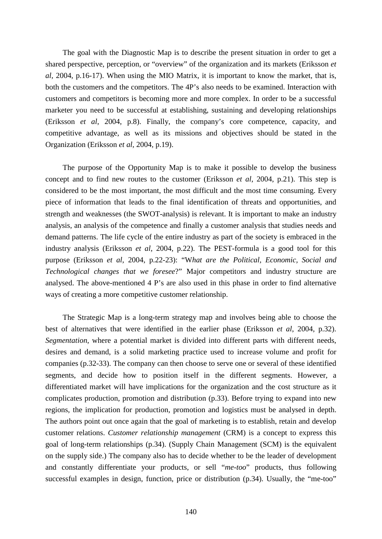The goal with the Diagnostic Map is to describe the present situation in order to get a shared perspective, perception, or "overview" of the organization and its markets (Eriksson *et al*, 2004, p.16-17). When using the MIO Matrix, it is important to know the market, that is, both the customers and the competitors. The 4P's also needs to be examined. Interaction with customers and competitors is becoming more and more complex. In order to be a successful marketer you need to be successful at establishing, sustaining and developing relationships (Eriksson *et al*, 2004, p.8). Finally, the company's core competence, capacity, and competitive advantage, as well as its missions and objectives should be stated in the Organization (Eriksson *et al*, 2004, p.19).

The purpose of the Opportunity Map is to make it possible to develop the business concept and to find new routes to the customer (Eriksson *et al*, 2004, p.21). This step is considered to be the most important, the most difficult and the most time consuming. Every piece of information that leads to the final identification of threats and opportunities, and strength and weaknesses (the SWOT-analysis) is relevant. It is important to make an industry analysis, an analysis of the competence and finally a customer analysis that studies needs and demand patterns. The life cycle of the entire industry as part of the society is embraced in the industry analysis (Eriksson *et al*, 2004, p.22). The PEST-formula is a good tool for this purpose (Eriksson *et al*, 2004, p.22-23): "W*hat are the Political, Economic, Social and Technological changes that we foresee*?" Major competitors and industry structure are analysed. The above-mentioned 4 P's are also used in this phase in order to find alternative ways of creating a more competitive customer relationship.

The Strategic Map is a long-term strategy map and involves being able to choose the best of alternatives that were identified in the earlier phase (Eriksson *et al*, 2004, p.32). *Segmentation*, where a potential market is divided into different parts with different needs, desires and demand, is a solid marketing practice used to increase volume and profit for companies (p.32-33). The company can then choose to serve one or several of these identified segments, and decide how to position itself in the different segments. However, a differentiated market will have implications for the organization and the cost structure as it complicates production, promotion and distribution (p.33). Before trying to expand into new regions, the implication for production, promotion and logistics must be analysed in depth. The authors point out once again that the goal of marketing is to establish, retain and develop customer relations. *Customer relationship management* (CRM) is a concept to express this goal of long-term relationships (p.34). (Supply Chain Management (SCM) is the equivalent on the supply side.) The company also has to decide whether to be the leader of development and constantly differentiate your products, or sell "*me-too*" products, thus following successful examples in design, function, price or distribution (p.34). Usually, the "me-too"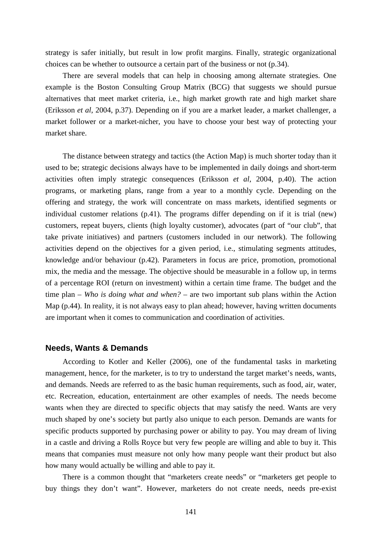strategy is safer initially, but result in low profit margins. Finally, strategic organizational choices can be whether to outsource a certain part of the business or not (p.34).

There are several models that can help in choosing among alternate strategies. One example is the Boston Consulting Group Matrix (BCG) that suggests we should pursue alternatives that meet market criteria, i.e., high market growth rate and high market share (Eriksson *et al*, 2004, p.37). Depending on if you are a market leader, a market challenger, a market follower or a market-nicher, you have to choose your best way of protecting your market share.

The distance between strategy and tactics (the Action Map) is much shorter today than it used to be; strategic decisions always have to be implemented in daily doings and short-term activities often imply strategic consequences (Eriksson *et al*, 2004, p.40). The action programs, or marketing plans, range from a year to a monthly cycle. Depending on the offering and strategy, the work will concentrate on mass markets, identified segments or individual customer relations (p.41). The programs differ depending on if it is trial (new) customers, repeat buyers, clients (high loyalty customer), advocates (part of "our club", that take private initiatives) and partners (customers included in our network). The following activities depend on the objectives for a given period, i.e., stimulating segments attitudes, knowledge and/or behaviour (p.42). Parameters in focus are price, promotion, promotional mix, the media and the message. The objective should be measurable in a follow up, in terms of a percentage ROI (return on investment) within a certain time frame. The budget and the time plan – *Who is doing what and when?* – are two important sub plans within the Action Map (p.44). In reality, it is not always easy to plan ahead; however, having written documents are important when it comes to communication and coordination of activities.

#### **Needs, Wants & Demands**

According to Kotler and Keller (2006), one of the fundamental tasks in marketing management, hence, for the marketer, is to try to understand the target market's needs, wants, and demands. Needs are referred to as the basic human requirements, such as food, air, water, etc. Recreation, education, entertainment are other examples of needs. The needs become wants when they are directed to specific objects that may satisfy the need. Wants are very much shaped by one's society but partly also unique to each person. Demands are wants for specific products supported by purchasing power or ability to pay. You may dream of living in a castle and driving a Rolls Royce but very few people are willing and able to buy it. This means that companies must measure not only how many people want their product but also how many would actually be willing and able to pay it.

There is a common thought that "marketers create needs" or "marketers get people to buy things they don't want". However, marketers do not create needs, needs pre-exist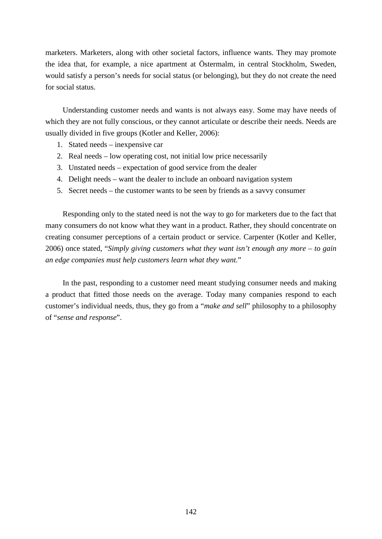marketers. Marketers, along with other societal factors, influence wants. They may promote the idea that, for example, a nice apartment at Östermalm, in central Stockholm, Sweden, would satisfy a person's needs for social status (or belonging), but they do not create the need for social status.

Understanding customer needs and wants is not always easy. Some may have needs of which they are not fully conscious, or they cannot articulate or describe their needs. Needs are usually divided in five groups (Kotler and Keller, 2006):

- 1. Stated needs inexpensive car
- 2. Real needs low operating cost, not initial low price necessarily
- 3. Unstated needs expectation of good service from the dealer
- 4. Delight needs want the dealer to include an onboard navigation system
- 5. Secret needs the customer wants to be seen by friends as a savvy consumer

Responding only to the stated need is not the way to go for marketers due to the fact that many consumers do not know what they want in a product. Rather, they should concentrate on creating consumer perceptions of a certain product or service. Carpenter (Kotler and Keller, 2006) once stated, "*Simply giving customers what they want isn't enough any more – to gain an edge companies must help customers learn what they want.*"

In the past, responding to a customer need meant studying consumer needs and making a product that fitted those needs on the average. Today many companies respond to each customer's individual needs, thus, they go from a "*make and sell*" philosophy to a philosophy of "*sense and response*".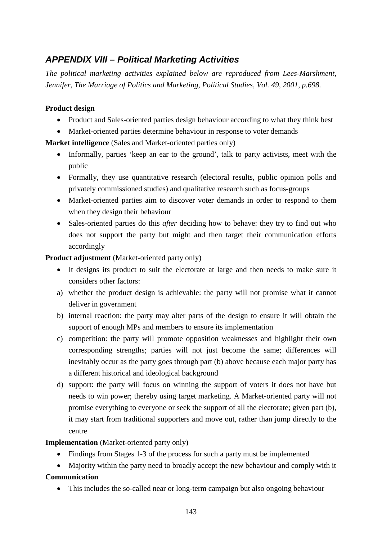# *APPENDIX VIII – Political Marketing Activities*

*The political marketing activities explained below are reproduced from Lees-Marshment, Jennifer, The Marriage of Politics and Marketing, Political Studies, Vol. 49, 2001, p.698.*

# **Product design**

- Product and Sales-oriented parties design behaviour according to what they think best
- Market-oriented parties determine behaviour in response to voter demands

**Market intelligence** (Sales and Market-oriented parties only)

- Informally, parties 'keep an ear to the ground', talk to party activists, meet with the public
- Formally, they use quantitative research (electoral results, public opinion polls and privately commissioned studies) and qualitative research such as focus-groups
- Market-oriented parties aim to discover voter demands in order to respond to them when they design their behaviour
- Sales-oriented parties do this *after* deciding how to behave: they try to find out who does not support the party but might and then target their communication efforts accordingly

**Product adjustment** (Market-oriented party only)

- It designs its product to suit the electorate at large and then needs to make sure it considers other factors:
- a) whether the product design is achievable: the party will not promise what it cannot deliver in government
- b) internal reaction: the party may alter parts of the design to ensure it will obtain the support of enough MPs and members to ensure its implementation
- c) competition: the party will promote opposition weaknesses and highlight their own corresponding strengths; parties will not just become the same; differences will inevitably occur as the party goes through part (b) above because each major party has a different historical and ideological background
- d) support: the party will focus on winning the support of voters it does not have but needs to win power; thereby using target marketing. A Market-oriented party will not promise everything to everyone or seek the support of all the electorate; given part (b), it may start from traditional supporters and move out, rather than jump directly to the centre

# **Implementation** (Market-oriented party only)

- Findings from Stages 1-3 of the process for such a party must be implemented
- Majority within the party need to broadly accept the new behaviour and comply with it

# **Communication**

• This includes the so-called near or long-term campaign but also ongoing behaviour